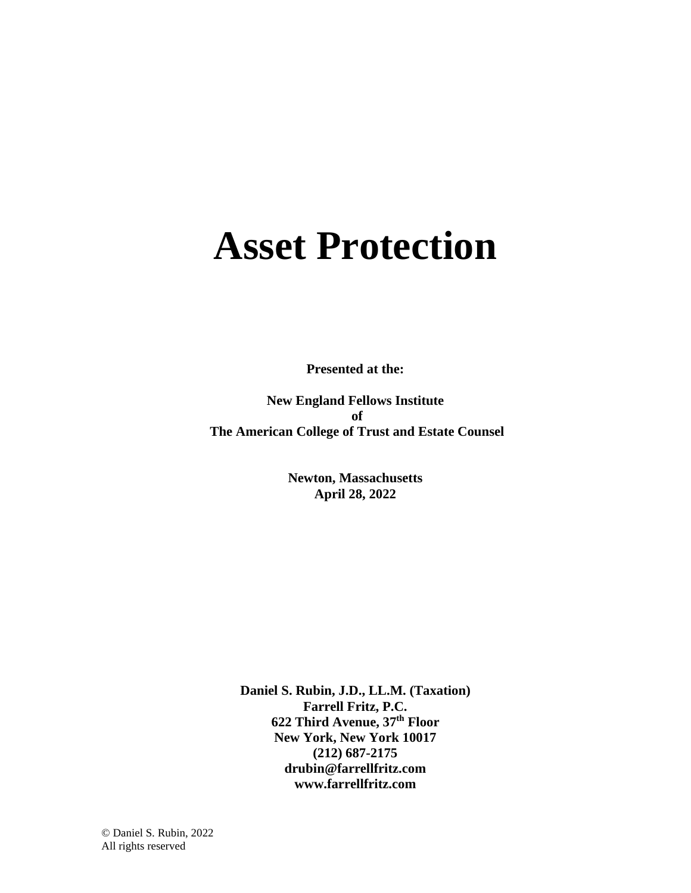# **Asset Protection**

**Presented at the:**

**New England Fellows Institute of The American College of Trust and Estate Counsel**

> **Newton, Massachusetts April 28, 2022**

**Daniel S. Rubin, J.D., LL.M. (Taxation) Farrell Fritz, P.C. 622 Third Avenue, 37th Floor New York, New York 10017 (212) 687-2175 drubin@farrellfritz.com www.farrellfritz.com**

© Daniel S. Rubin, 2022 All rights reserved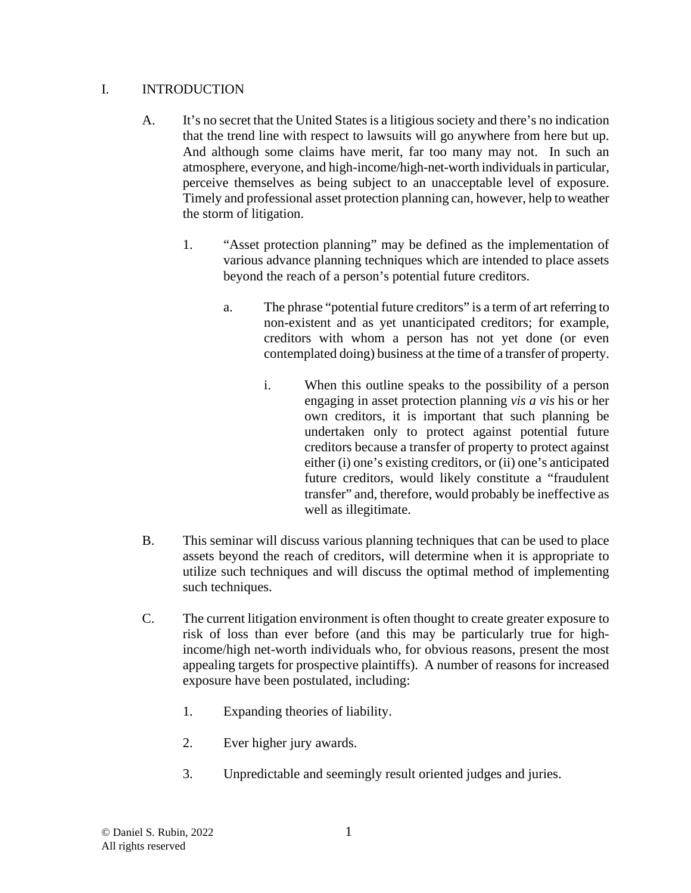## I. INTRODUCTION

- A. It's no secret that the United States is a litigious society and there's no indication that the trend line with respect to lawsuits will go anywhere from here but up. And although some claims have merit, far too many may not. In such an atmosphere, everyone, and high-income/high-net-worth individuals in particular, perceive themselves as being subject to an unacceptable level of exposure. Timely and professional asset protection planning can, however, help to weather the storm of litigation.
	- 1. "Asset protection planning" may be defined as the implementation of various advance planning techniques which are intended to place assets beyond the reach of a person's potential future creditors.
		- a. The phrase "potential future creditors" is a term of art referring to non-existent and as yet unanticipated creditors; for example, creditors with whom a person has not yet done (or even contemplated doing) business at the time of a transfer of property.
			- i. When this outline speaks to the possibility of a person engaging in asset protection planning *vis a vis* his or her own creditors, it is important that such planning be undertaken only to protect against potential future creditors because a transfer of property to protect against either (i) one's existing creditors, or (ii) one's anticipated future creditors, would likely constitute a "fraudulent transfer" and, therefore, would probably be ineffective as well as illegitimate.
- B. This seminar will discuss various planning techniques that can be used to place assets beyond the reach of creditors, will determine when it is appropriate to utilize such techniques and will discuss the optimal method of implementing such techniques.
- C. The current litigation environment is often thought to create greater exposure to risk of loss than ever before (and this may be particularly true for highincome/high net-worth individuals who, for obvious reasons, present the most appealing targets for prospective plaintiffs). A number of reasons for increased exposure have been postulated, including:
	- 1. Expanding theories of liability.
	- 2. Ever higher jury awards.
	- 3. Unpredictable and seemingly result oriented judges and juries.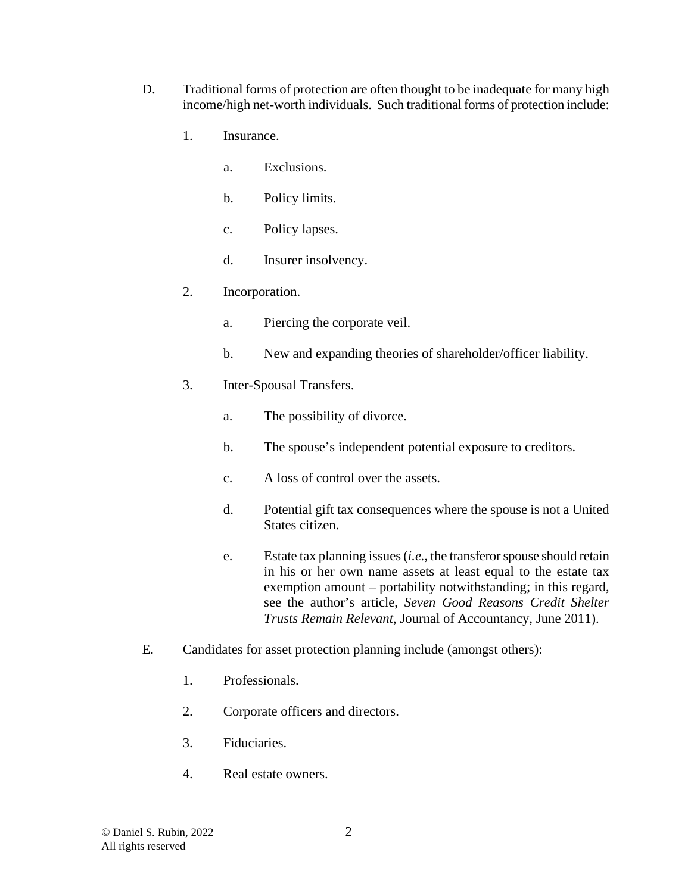- D. Traditional forms of protection are often thought to be inadequate for many high income/high net-worth individuals. Such traditional forms of protection include:
	- 1. Insurance.
		- a. Exclusions.
		- b. Policy limits.
		- c. Policy lapses.
		- d. Insurer insolvency.
	- 2. Incorporation.
		- a. Piercing the corporate veil.
		- b. New and expanding theories of shareholder/officer liability.
	- 3. Inter-Spousal Transfers.
		- a. The possibility of divorce.
		- b. The spouse's independent potential exposure to creditors.
		- c. A loss of control over the assets.
		- d. Potential gift tax consequences where the spouse is not a United States citizen.
		- e. Estate tax planning issues (*i.e.*, the transferor spouse should retain in his or her own name assets at least equal to the estate tax exemption amount – portability notwithstanding; in this regard, see the author's article, *Seven Good Reasons Credit Shelter Trusts Remain Relevant*, Journal of Accountancy, June 2011).
- E. Candidates for asset protection planning include (amongst others):
	- 1. Professionals.
	- 2. Corporate officers and directors.
	- 3. Fiduciaries.
	- 4. Real estate owners.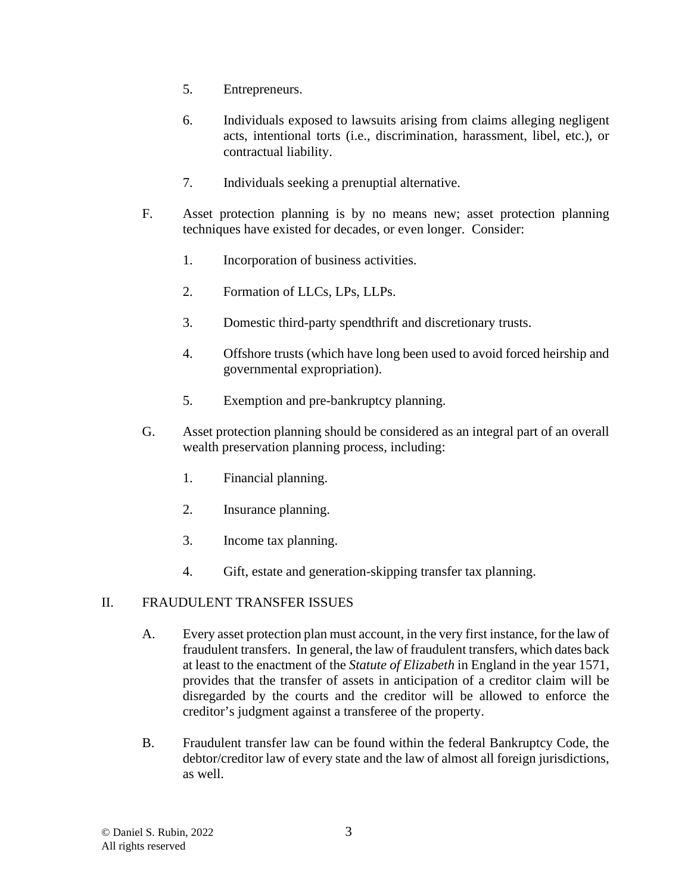- 5. Entrepreneurs.
- 6. Individuals exposed to lawsuits arising from claims alleging negligent acts, intentional torts (i.e., discrimination, harassment, libel, etc.), or contractual liability.
- 7. Individuals seeking a prenuptial alternative.
- F. Asset protection planning is by no means new; asset protection planning techniques have existed for decades, or even longer. Consider:
	- 1. Incorporation of business activities.
	- 2. Formation of LLCs, LPs, LLPs.
	- 3. Domestic third-party spendthrift and discretionary trusts.
	- 4. Offshore trusts (which have long been used to avoid forced heirship and governmental expropriation).
	- 5. Exemption and pre-bankruptcy planning.
- G. Asset protection planning should be considered as an integral part of an overall wealth preservation planning process, including:
	- 1. Financial planning.
	- 2. Insurance planning.
	- 3. Income tax planning.
	- 4. Gift, estate and generation-skipping transfer tax planning.

#### II. FRAUDULENT TRANSFER ISSUES

- A. Every asset protection plan must account, in the very first instance, for the law of fraudulent transfers. In general, the law of fraudulent transfers, which dates back at least to the enactment of the *Statute of Elizabeth* in England in the year 1571, provides that the transfer of assets in anticipation of a creditor claim will be disregarded by the courts and the creditor will be allowed to enforce the creditor's judgment against a transferee of the property.
- B. Fraudulent transfer law can be found within the federal Bankruptcy Code, the debtor/creditor law of every state and the law of almost all foreign jurisdictions, as well.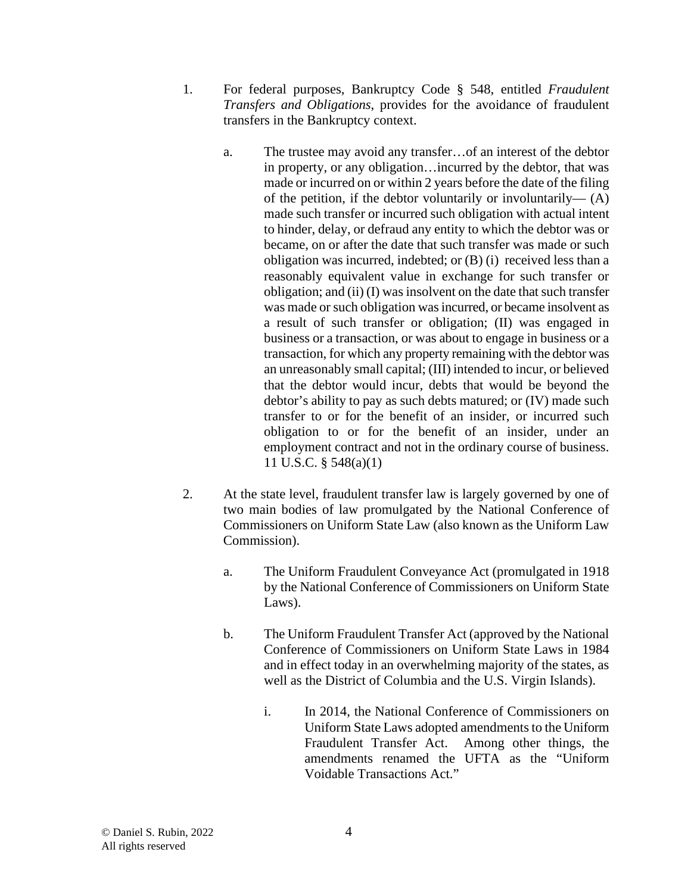- 1. For federal purposes, Bankruptcy Code § 548, entitled *Fraudulent Transfers and Obligations*, provides for the avoidance of fraudulent transfers in the Bankruptcy context.
	- a. The trustee may avoid any transfer…of an interest of the debtor in property, or any obligation…incurred by the debtor, that was made or incurred on or within 2 years before the date of the filing of the petition, if the debtor voluntarily or involuntarily— $(A)$ made such transfer or incurred such obligation with actual intent to hinder, delay, or defraud any entity to which the debtor was or became, on or after the date that such transfer was made or such obligation was incurred, indebted; or (B) (i) received less than a reasonably equivalent value in exchange for such transfer or obligation; and (ii) (I) was insolvent on the date that such transfer was made or such obligation was incurred, or became insolvent as a result of such transfer or obligation; (II) was engaged in business or a transaction, or was about to engage in business or a transaction, for which any property remaining with the debtor was an unreasonably small capital; (III) intended to incur, or believed that the debtor would incur, debts that would be beyond the debtor's ability to pay as such debts matured; or (IV) made such transfer to or for the benefit of an insider, or incurred such obligation to or for the benefit of an insider, under an employment contract and not in the ordinary course of business. 11 U.S.C. § 548(a)(1)
- 2. At the state level, fraudulent transfer law is largely governed by one of two main bodies of law promulgated by the National Conference of Commissioners on Uniform State Law (also known as the Uniform Law Commission).
	- a. The Uniform Fraudulent Conveyance Act (promulgated in 1918 by the National Conference of Commissioners on Uniform State Laws).
	- b. The Uniform Fraudulent Transfer Act (approved by the National Conference of Commissioners on Uniform State Laws in 1984 and in effect today in an overwhelming majority of the states, as well as the District of Columbia and the U.S. Virgin Islands).
		- i. In 2014, the National Conference of Commissioners on Uniform State Laws adopted amendments to the Uniform Fraudulent Transfer Act. Among other things, the amendments renamed the UFTA as the "Uniform Voidable Transactions Act."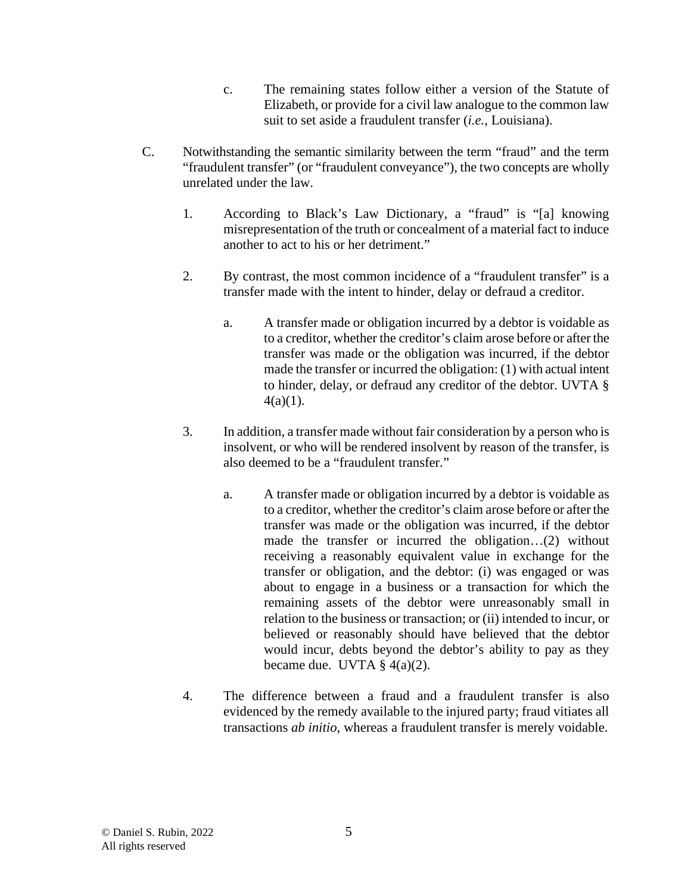- c. The remaining states follow either a version of the Statute of Elizabeth, or provide for a civil law analogue to the common law suit to set aside a fraudulent transfer (*i.e.*, Louisiana).
- C. Notwithstanding the semantic similarity between the term "fraud" and the term "fraudulent transfer" (or "fraudulent conveyance"), the two concepts are wholly unrelated under the law.
	- 1. According to Black's Law Dictionary, a "fraud" is "[a] knowing misrepresentation of the truth or concealment of a material fact to induce another to act to his or her detriment."
	- 2. By contrast, the most common incidence of a "fraudulent transfer" is a transfer made with the intent to hinder, delay or defraud a creditor.
		- a. A transfer made or obligation incurred by a debtor is voidable as to a creditor, whether the creditor's claim arose before or after the transfer was made or the obligation was incurred, if the debtor made the transfer or incurred the obligation: (1) with actual intent to hinder, delay, or defraud any creditor of the debtor. UVTA §  $4(a)(1)$ .
	- 3. In addition, a transfer made without fair consideration by a person who is insolvent, or who will be rendered insolvent by reason of the transfer, is also deemed to be a "fraudulent transfer."
		- a. A transfer made or obligation incurred by a debtor is voidable as to a creditor, whether the creditor's claim arose before or after the transfer was made or the obligation was incurred, if the debtor made the transfer or incurred the obligation…(2) without receiving a reasonably equivalent value in exchange for the transfer or obligation, and the debtor: (i) was engaged or was about to engage in a business or a transaction for which the remaining assets of the debtor were unreasonably small in relation to the business or transaction; or (ii) intended to incur, or believed or reasonably should have believed that the debtor would incur, debts beyond the debtor's ability to pay as they became due. UVTA  $\S$  4(a)(2).
	- 4. The difference between a fraud and a fraudulent transfer is also evidenced by the remedy available to the injured party; fraud vitiates all transactions *ab initio*, whereas a fraudulent transfer is merely voidable.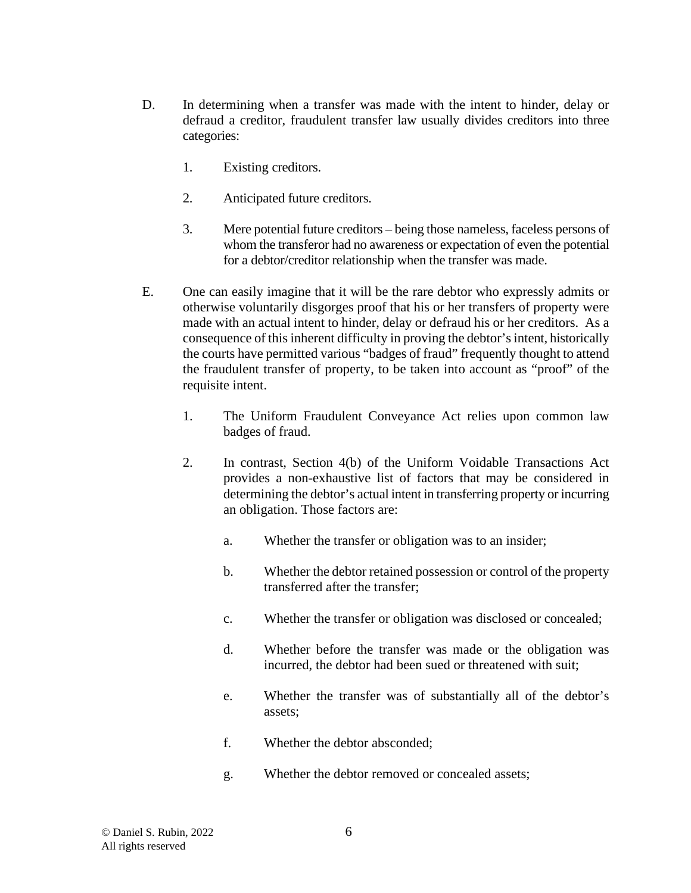- D. In determining when a transfer was made with the intent to hinder, delay or defraud a creditor, fraudulent transfer law usually divides creditors into three categories:
	- 1. Existing creditors.
	- 2. Anticipated future creditors.
	- 3. Mere potential future creditors being those nameless, faceless persons of whom the transferor had no awareness or expectation of even the potential for a debtor/creditor relationship when the transfer was made.
- E. One can easily imagine that it will be the rare debtor who expressly admits or otherwise voluntarily disgorges proof that his or her transfers of property were made with an actual intent to hinder, delay or defraud his or her creditors. As a consequence of this inherent difficulty in proving the debtor's intent, historically the courts have permitted various "badges of fraud" frequently thought to attend the fraudulent transfer of property, to be taken into account as "proof" of the requisite intent.
	- 1. The Uniform Fraudulent Conveyance Act relies upon common law badges of fraud.
	- 2. In contrast, Section 4(b) of the Uniform Voidable Transactions Act provides a non-exhaustive list of factors that may be considered in determining the debtor's actual intent in transferring property or incurring an obligation. Those factors are:
		- a. Whether the transfer or obligation was to an insider;
		- b. Whether the debtor retained possession or control of the property transferred after the transfer;
		- c. Whether the transfer or obligation was disclosed or concealed;
		- d. Whether before the transfer was made or the obligation was incurred, the debtor had been sued or threatened with suit;
		- e. Whether the transfer was of substantially all of the debtor's assets;
		- f. Whether the debtor absconded;
		- g. Whether the debtor removed or concealed assets;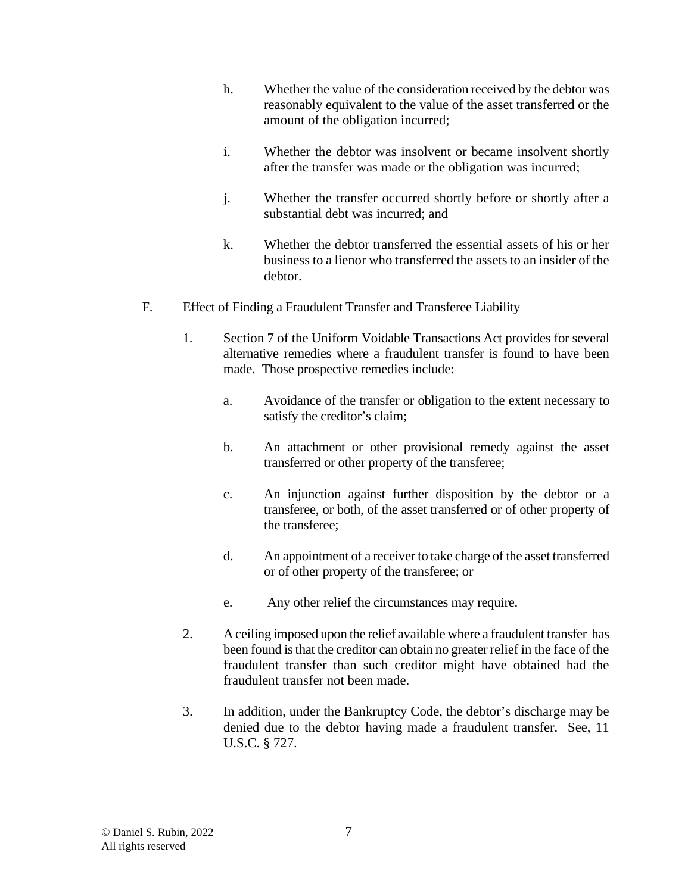- h. Whether the value of the consideration received by the debtor was reasonably equivalent to the value of the asset transferred or the amount of the obligation incurred;
- i. Whether the debtor was insolvent or became insolvent shortly after the transfer was made or the obligation was incurred;
- j. Whether the transfer occurred shortly before or shortly after a substantial debt was incurred; and
- k. Whether the debtor transferred the essential assets of his or her business to a lienor who transferred the assets to an insider of the debtor.
- F. Effect of Finding a Fraudulent Transfer and Transferee Liability
	- 1. Section 7 of the Uniform Voidable Transactions Act provides for several alternative remedies where a fraudulent transfer is found to have been made. Those prospective remedies include:
		- a. Avoidance of the transfer or obligation to the extent necessary to satisfy the creditor's claim;
		- b. An attachment or other provisional remedy against the asset transferred or other property of the transferee;
		- c. An injunction against further disposition by the debtor or a transferee, or both, of the asset transferred or of other property of the transferee;
		- d. An appointment of a receiver to take charge of the asset transferred or of other property of the transferee; or
		- e. Any other relief the circumstances may require.
	- 2. A ceiling imposed upon the relief available where a fraudulent transfer has been found is that the creditor can obtain no greater relief in the face of the fraudulent transfer than such creditor might have obtained had the fraudulent transfer not been made.
	- 3. In addition, under the Bankruptcy Code, the debtor's discharge may be denied due to the debtor having made a fraudulent transfer. See, 11 U.S.C. § 727.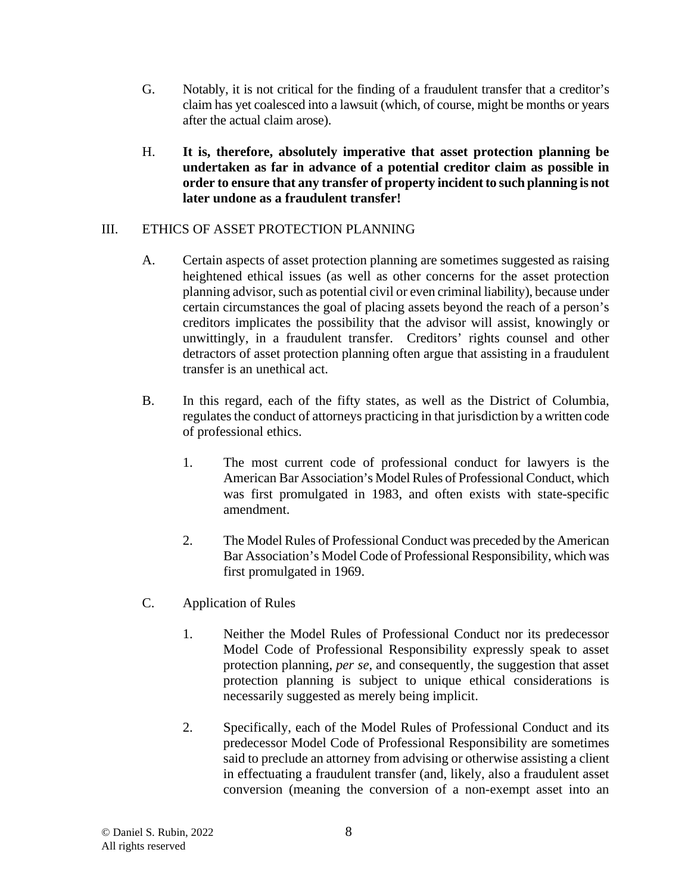- G. Notably, it is not critical for the finding of a fraudulent transfer that a creditor's claim has yet coalesced into a lawsuit (which, of course, might be months or years after the actual claim arose).
- H. **It is, therefore, absolutely imperative that asset protection planning be undertaken as far in advance of a potential creditor claim as possible in order to ensure that any transfer of property incident to such planning is not later undone as a fraudulent transfer!**

## III. ETHICS OF ASSET PROTECTION PLANNING

- A. Certain aspects of asset protection planning are sometimes suggested as raising heightened ethical issues (as well as other concerns for the asset protection planning advisor, such as potential civil or even criminal liability), because under certain circumstances the goal of placing assets beyond the reach of a person's creditors implicates the possibility that the advisor will assist, knowingly or unwittingly, in a fraudulent transfer. Creditors' rights counsel and other detractors of asset protection planning often argue that assisting in a fraudulent transfer is an unethical act.
- B. In this regard, each of the fifty states, as well as the District of Columbia, regulates the conduct of attorneys practicing in that jurisdiction by a written code of professional ethics.
	- 1. The most current code of professional conduct for lawyers is the American Bar Association's Model Rules of Professional Conduct, which was first promulgated in 1983, and often exists with state-specific amendment.
	- 2. The Model Rules of Professional Conduct was preceded by the American Bar Association's Model Code of Professional Responsibility, which was first promulgated in 1969.
- C. Application of Rules
	- 1. Neither the Model Rules of Professional Conduct nor its predecessor Model Code of Professional Responsibility expressly speak to asset protection planning, *per se*, and consequently, the suggestion that asset protection planning is subject to unique ethical considerations is necessarily suggested as merely being implicit.
	- 2. Specifically, each of the Model Rules of Professional Conduct and its predecessor Model Code of Professional Responsibility are sometimes said to preclude an attorney from advising or otherwise assisting a client in effectuating a fraudulent transfer (and, likely, also a fraudulent asset conversion (meaning the conversion of a non-exempt asset into an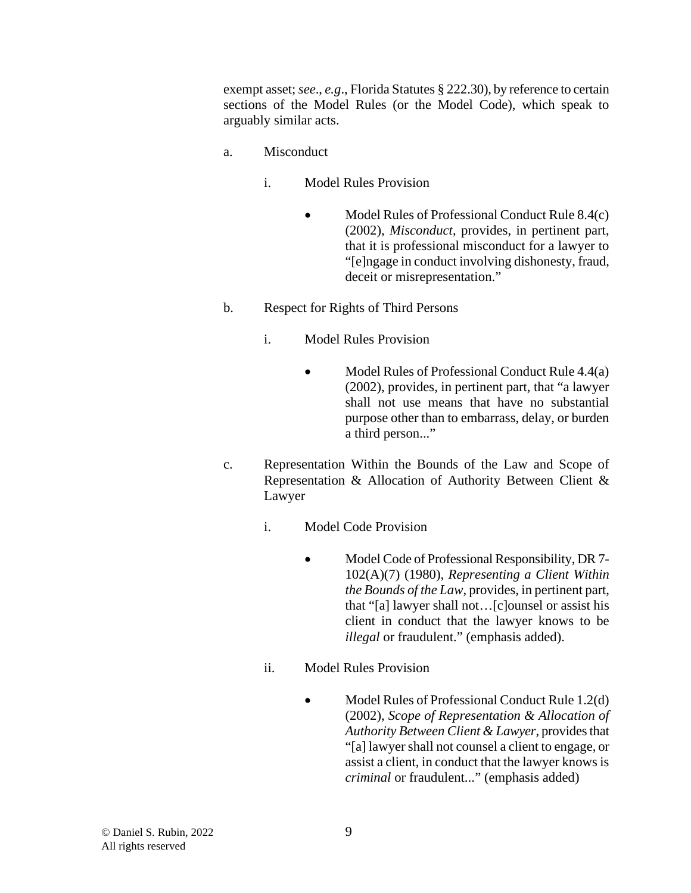exempt asset; *see*., *e.g*., Florida Statutes § 222.30), by reference to certain sections of the Model Rules (or the Model Code), which speak to arguably similar acts.

- a. Misconduct
	- i. Model Rules Provision
		- Model Rules of Professional Conduct Rule 8.4(c) (2002), *Misconduct*, provides, in pertinent part, that it is professional misconduct for a lawyer to "[e]ngage in conduct involving dishonesty, fraud, deceit or misrepresentation."
- b. Respect for Rights of Third Persons
	- i. Model Rules Provision
		- Model Rules of Professional Conduct Rule 4.4(a) (2002), provides, in pertinent part, that "a lawyer shall not use means that have no substantial purpose other than to embarrass, delay, or burden a third person..."
- c. Representation Within the Bounds of the Law and Scope of Representation & Allocation of Authority Between Client & Lawyer
	- i. Model Code Provision
		- Model Code of Professional Responsibility, DR 7-102(A)(7) (1980), *Representing a Client Within the Bounds of the Law*, provides, in pertinent part, that "[a] lawyer shall not…[c]ounsel or assist his client in conduct that the lawyer knows to be *illegal* or fraudulent." (emphasis added).
	- ii. Model Rules Provision
		- Model Rules of Professional Conduct Rule 1.2(d) (2002), *Scope of Representation & Allocation of Authority Between Client & Lawyer*, provides that "[a] lawyer shall not counsel a client to engage, or assist a client, in conduct that the lawyer knows is *criminal* or fraudulent..." (emphasis added)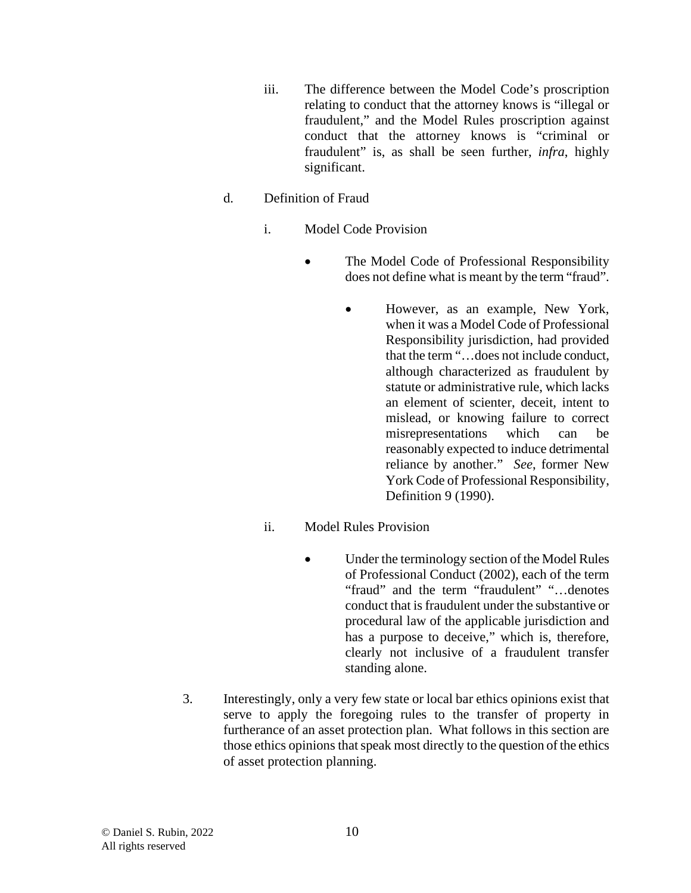- iii. The difference between the Model Code's proscription relating to conduct that the attorney knows is "illegal or fraudulent," and the Model Rules proscription against conduct that the attorney knows is "criminal or fraudulent" is, as shall be seen further, *infra*, highly significant.
- d. Definition of Fraud
	- i. Model Code Provision
		- The Model Code of Professional Responsibility does not define what is meant by the term "fraud".
			- However, as an example, New York, when it was a Model Code of Professional Responsibility jurisdiction, had provided that the term "…does not include conduct, although characterized as fraudulent by statute or administrative rule, which lacks an element of scienter, deceit, intent to mislead, or knowing failure to correct misrepresentations which can be reasonably expected to induce detrimental reliance by another." *See*, former New York Code of Professional Responsibility, Definition 9 (1990).
	- ii. Model Rules Provision
		- Under the terminology section of the Model Rules of Professional Conduct (2002), each of the term "fraud" and the term "fraudulent" "...denotes conduct that is fraudulent under the substantive or procedural law of the applicable jurisdiction and has a purpose to deceive," which is, therefore, clearly not inclusive of a fraudulent transfer standing alone.
- 3. Interestingly, only a very few state or local bar ethics opinions exist that serve to apply the foregoing rules to the transfer of property in furtherance of an asset protection plan. What follows in this section are those ethics opinions that speak most directly to the question of the ethics of asset protection planning.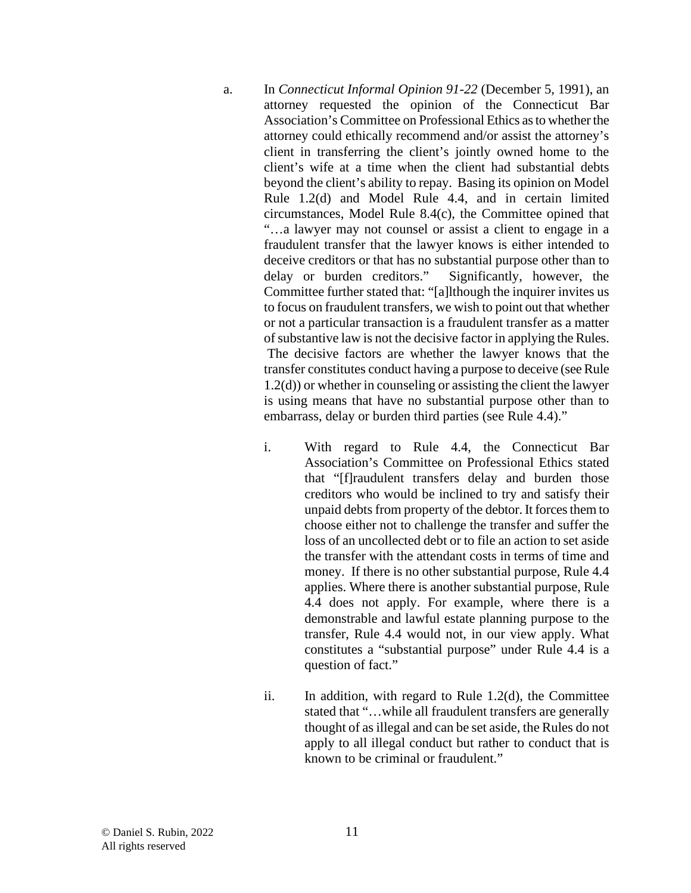- a. In *Connecticut Informal Opinion 91-22* (December 5, 1991), an attorney requested the opinion of the Connecticut Bar Association's Committee on Professional Ethics as to whether the attorney could ethically recommend and/or assist the attorney's client in transferring the client's jointly owned home to the client's wife at a time when the client had substantial debts beyond the client's ability to repay. Basing its opinion on Model Rule 1.2(d) and Model Rule 4.4, and in certain limited circumstances, Model Rule 8.4(c), the Committee opined that "…a lawyer may not counsel or assist a client to engage in a fraudulent transfer that the lawyer knows is either intended to deceive creditors or that has no substantial purpose other than to delay or burden creditors." Significantly, however, the Committee further stated that: "[a]lthough the inquirer invites us to focus on fraudulent transfers, we wish to point out that whether or not a particular transaction is a fraudulent transfer as a matter of substantive law is not the decisive factor in applying the Rules. The decisive factors are whether the lawyer knows that the transfer constitutes conduct having a purpose to deceive (see Rule 1.2(d)) or whether in counseling or assisting the client the lawyer is using means that have no substantial purpose other than to embarrass, delay or burden third parties (see Rule 4.4)."
	- i. With regard to Rule 4.4, the Connecticut Bar Association's Committee on Professional Ethics stated that "[f]raudulent transfers delay and burden those creditors who would be inclined to try and satisfy their unpaid debts from property of the debtor. It forces them to choose either not to challenge the transfer and suffer the loss of an uncollected debt or to file an action to set aside the transfer with the attendant costs in terms of time and money. If there is no other substantial purpose, Rule 4.4 applies. Where there is another substantial purpose, Rule 4.4 does not apply. For example, where there is a demonstrable and lawful estate planning purpose to the transfer, Rule 4.4 would not, in our view apply. What constitutes a "substantial purpose" under Rule 4.4 is a question of fact."
	- ii. In addition, with regard to Rule 1.2(d), the Committee stated that "…while all fraudulent transfers are generally thought of as illegal and can be set aside, the Rules do not apply to all illegal conduct but rather to conduct that is known to be criminal or fraudulent."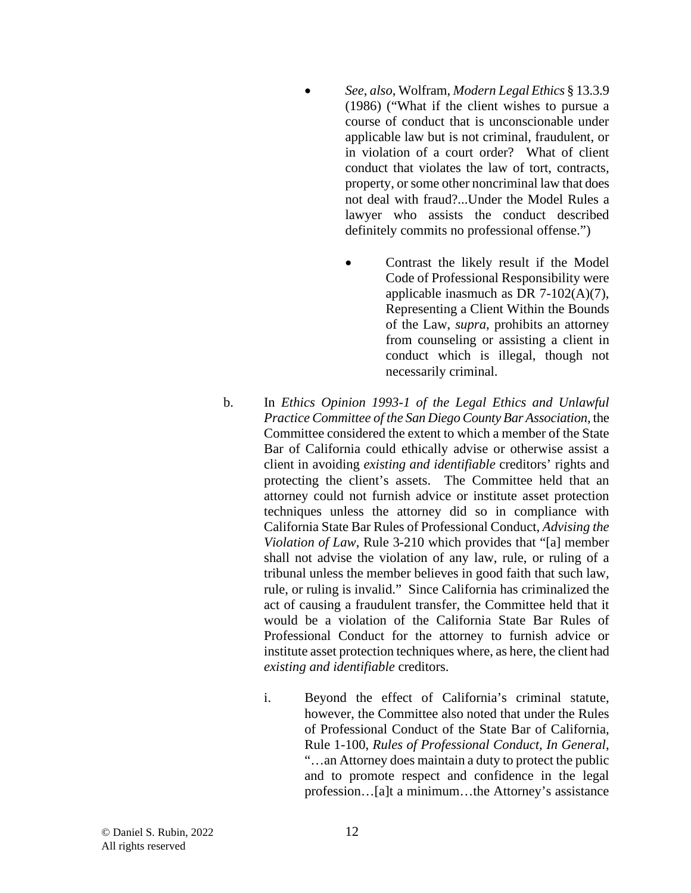- *See*, *also*, Wolfram, *Modern Legal Ethics* § 13.3.9 (1986) ("What if the client wishes to pursue a course of conduct that is unconscionable under applicable law but is not criminal, fraudulent, or in violation of a court order? What of client conduct that violates the law of tort, contracts, property, or some other noncriminal law that does not deal with fraud?...Under the Model Rules a lawyer who assists the conduct described definitely commits no professional offense.")
	- Contrast the likely result if the Model Code of Professional Responsibility were applicable inasmuch as DR 7-102(A)(7), Representing a Client Within the Bounds of the Law, *supra*, prohibits an attorney from counseling or assisting a client in conduct which is illegal, though not necessarily criminal.
- b. In *Ethics Opinion 1993-1 of the Legal Ethics and Unlawful Practice Committee of the San Diego County Bar Association*, the Committee considered the extent to which a member of the State Bar of California could ethically advise or otherwise assist a client in avoiding *existing and identifiable* creditors' rights and protecting the client's assets. The Committee held that an attorney could not furnish advice or institute asset protection techniques unless the attorney did so in compliance with California State Bar Rules of Professional Conduct, *Advising the Violation of Law*, Rule 3-210 which provides that "[a] member shall not advise the violation of any law, rule, or ruling of a tribunal unless the member believes in good faith that such law, rule, or ruling is invalid." Since California has criminalized the act of causing a fraudulent transfer, the Committee held that it would be a violation of the California State Bar Rules of Professional Conduct for the attorney to furnish advice or institute asset protection techniques where, as here, the client had *existing and identifiable* creditors.
	- i. Beyond the effect of California's criminal statute, however, the Committee also noted that under the Rules of Professional Conduct of the State Bar of California, Rule 1-100, *Rules of Professional Conduct, In General*, "…an Attorney does maintain a duty to protect the public and to promote respect and confidence in the legal profession…[a]t a minimum…the Attorney's assistance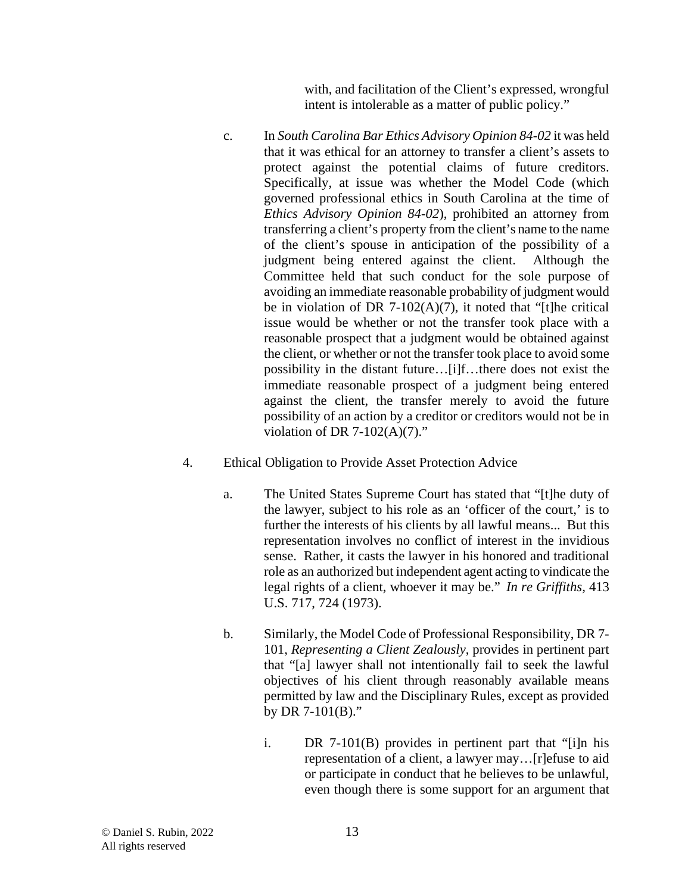with, and facilitation of the Client's expressed, wrongful intent is intolerable as a matter of public policy."

- c. In *South Carolina Bar Ethics Advisory Opinion 84-02* it was held that it was ethical for an attorney to transfer a client's assets to protect against the potential claims of future creditors. Specifically, at issue was whether the Model Code (which governed professional ethics in South Carolina at the time of *Ethics Advisory Opinion 84-02*), prohibited an attorney from transferring a client's property from the client's name to the name of the client's spouse in anticipation of the possibility of a judgment being entered against the client. Although the Committee held that such conduct for the sole purpose of avoiding an immediate reasonable probability of judgment would be in violation of DR 7-102(A)(7), it noted that "[t]he critical issue would be whether or not the transfer took place with a reasonable prospect that a judgment would be obtained against the client, or whether or not the transfer took place to avoid some possibility in the distant future…[i]f…there does not exist the immediate reasonable prospect of a judgment being entered against the client, the transfer merely to avoid the future possibility of an action by a creditor or creditors would not be in violation of DR 7-102(A)(7)."
- 4. Ethical Obligation to Provide Asset Protection Advice
	- a. The United States Supreme Court has stated that "[t]he duty of the lawyer, subject to his role as an 'officer of the court,' is to further the interests of his clients by all lawful means... But this representation involves no conflict of interest in the invidious sense. Rather, it casts the lawyer in his honored and traditional role as an authorized but independent agent acting to vindicate the legal rights of a client, whoever it may be." *In re Griffiths,* 413 U.S. 717, 724 (1973).
	- b. Similarly, the Model Code of Professional Responsibility, DR 7- 101, *Representing a Client Zealously*, provides in pertinent part that "[a] lawyer shall not intentionally fail to seek the lawful objectives of his client through reasonably available means permitted by law and the Disciplinary Rules, except as provided by DR 7-101(B)."
		- i. DR 7-101(B) provides in pertinent part that "[i]n his representation of a client, a lawyer may…[r]efuse to aid or participate in conduct that he believes to be unlawful, even though there is some support for an argument that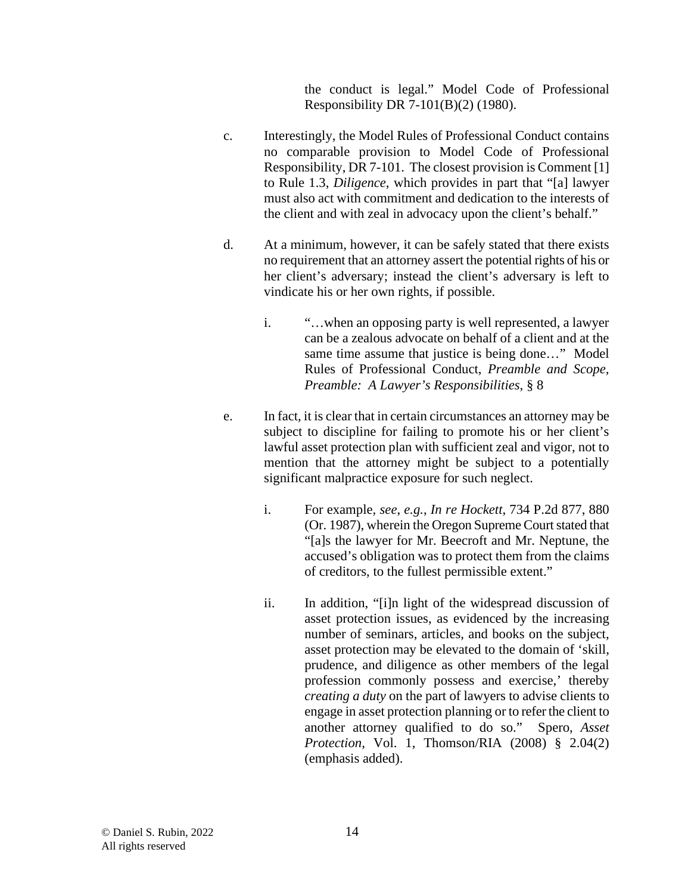the conduct is legal." Model Code of Professional Responsibility DR 7-101(B)(2) (1980).

- c. Interestingly, the Model Rules of Professional Conduct contains no comparable provision to Model Code of Professional Responsibility, DR 7-101. The closest provision is Comment [1] to Rule 1.3, *Diligence*, which provides in part that "[a] lawyer must also act with commitment and dedication to the interests of the client and with zeal in advocacy upon the client's behalf."
- d. At a minimum, however, it can be safely stated that there exists no requirement that an attorney assert the potential rights of his or her client's adversary; instead the client's adversary is left to vindicate his or her own rights, if possible.
	- i. "…when an opposing party is well represented, a lawyer can be a zealous advocate on behalf of a client and at the same time assume that justice is being done…" Model Rules of Professional Conduct, *Preamble and Scope, Preamble: A Lawyer's Responsibilities*, § 8
- e. In fact, it is clear that in certain circumstances an attorney may be subject to discipline for failing to promote his or her client's lawful asset protection plan with sufficient zeal and vigor, not to mention that the attorney might be subject to a potentially significant malpractice exposure for such neglect.
	- i. For example*, see*, *e.g.*, *In re Hockett*, 734 P.2d 877, 880 (Or. 1987), wherein the Oregon Supreme Court stated that "[a]s the lawyer for Mr. Beecroft and Mr. Neptune, the accused's obligation was to protect them from the claims of creditors, to the fullest permissible extent."
	- ii. In addition, "[i]n light of the widespread discussion of asset protection issues, as evidenced by the increasing number of seminars, articles, and books on the subject, asset protection may be elevated to the domain of 'skill, prudence, and diligence as other members of the legal profession commonly possess and exercise,' thereby *creating a duty* on the part of lawyers to advise clients to engage in asset protection planning or to refer the client to another attorney qualified to do so." Spero, *Asset Protection,* Vol. 1, Thomson/RIA (2008) § 2.04(2) (emphasis added).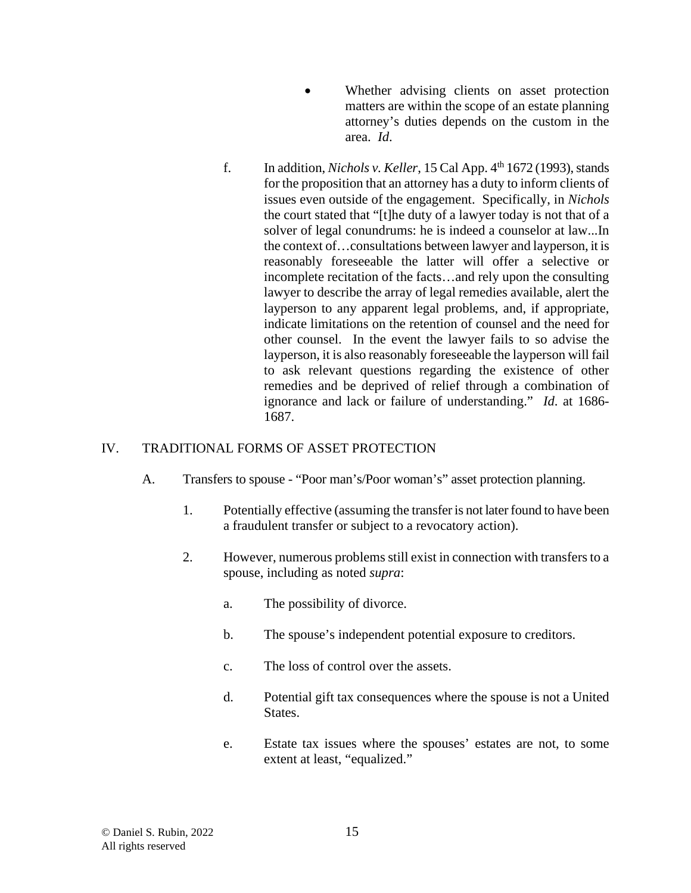- Whether advising clients on asset protection matters are within the scope of an estate planning attorney's duties depends on the custom in the area. *Id*.
- f. In addition, *Nichols v. Keller*, 15 Cal App.  $4<sup>th</sup> 1672$  (1993), stands for the proposition that an attorney has a duty to inform clients of issues even outside of the engagement. Specifically, in *Nichols* the court stated that "[t]he duty of a lawyer today is not that of a solver of legal conundrums: he is indeed a counselor at law...In the context of…consultations between lawyer and layperson, it is reasonably foreseeable the latter will offer a selective or incomplete recitation of the facts…and rely upon the consulting lawyer to describe the array of legal remedies available, alert the layperson to any apparent legal problems, and, if appropriate, indicate limitations on the retention of counsel and the need for other counsel. In the event the lawyer fails to so advise the layperson, it is also reasonably foreseeable the layperson will fail to ask relevant questions regarding the existence of other remedies and be deprived of relief through a combination of ignorance and lack or failure of understanding." *Id*. at 1686- 1687.

## IV. TRADITIONAL FORMS OF ASSET PROTECTION

- A. Transfers to spouse "Poor man's/Poor woman's" asset protection planning.
	- 1. Potentially effective (assuming the transfer is not later found to have been a fraudulent transfer or subject to a revocatory action).
	- 2. However, numerous problems still exist in connection with transfers to a spouse, including as noted *supra*:
		- a. The possibility of divorce.
		- b. The spouse's independent potential exposure to creditors.
		- c. The loss of control over the assets.
		- d. Potential gift tax consequences where the spouse is not a United States.
		- e. Estate tax issues where the spouses' estates are not, to some extent at least, "equalized."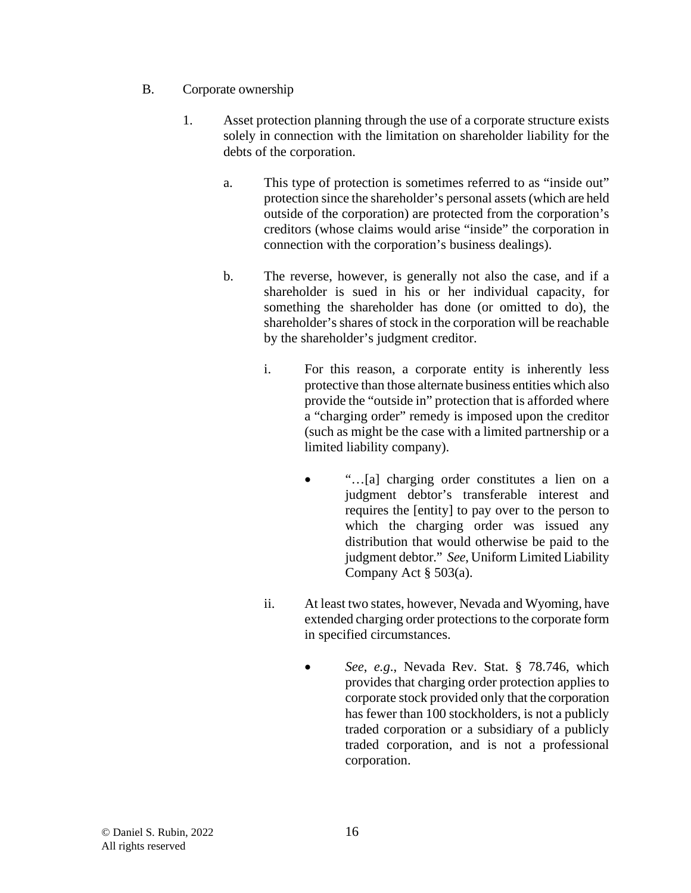- B. Corporate ownership
	- 1. Asset protection planning through the use of a corporate structure exists solely in connection with the limitation on shareholder liability for the debts of the corporation.
		- a. This type of protection is sometimes referred to as "inside out" protection since the shareholder's personal assets (which are held outside of the corporation) are protected from the corporation's creditors (whose claims would arise "inside" the corporation in connection with the corporation's business dealings).
		- b. The reverse, however, is generally not also the case, and if a shareholder is sued in his or her individual capacity, for something the shareholder has done (or omitted to do), the shareholder's shares of stock in the corporation will be reachable by the shareholder's judgment creditor.
			- i. For this reason, a corporate entity is inherently less protective than those alternate business entities which also provide the "outside in" protection that is afforded where a "charging order" remedy is imposed upon the creditor (such as might be the case with a limited partnership or a limited liability company).
				- "…[a] charging order constitutes a lien on a judgment debtor's transferable interest and requires the [entity] to pay over to the person to which the charging order was issued any distribution that would otherwise be paid to the judgment debtor." *See*, Uniform Limited Liability Company Act § 503(a).
			- ii. At least two states, however, Nevada and Wyoming, have extended charging order protections to the corporate form in specified circumstances.
				- *See*, *e.g*., Nevada Rev. Stat. § 78.746, which provides that charging order protection applies to corporate stock provided only that the corporation has fewer than 100 stockholders, is not a publicly traded corporation or a subsidiary of a publicly traded corporation, and is not a professional corporation.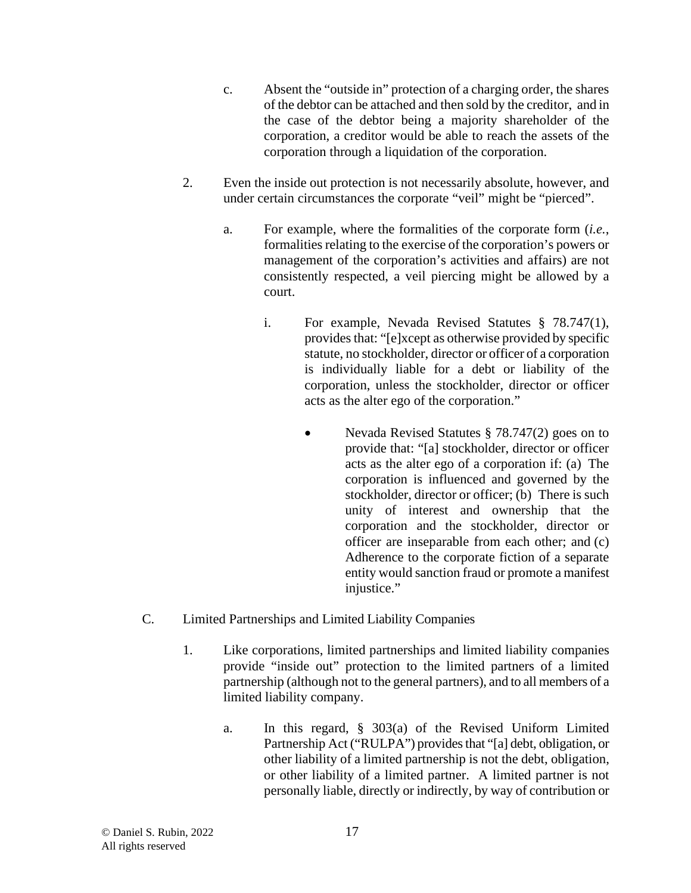- c. Absent the "outside in" protection of a charging order, the shares of the debtor can be attached and then sold by the creditor, and in the case of the debtor being a majority shareholder of the corporation, a creditor would be able to reach the assets of the corporation through a liquidation of the corporation.
- 2. Even the inside out protection is not necessarily absolute, however, and under certain circumstances the corporate "veil" might be "pierced".
	- a. For example, where the formalities of the corporate form (*i.e.*, formalities relating to the exercise of the corporation's powers or management of the corporation's activities and affairs) are not consistently respected, a veil piercing might be allowed by a court.
		- i. For example, Nevada Revised Statutes § 78.747(1), provides that: "[e]xcept as otherwise provided by specific statute, no stockholder, director or officer of a corporation is individually liable for a debt or liability of the corporation, unless the stockholder, director or officer acts as the alter ego of the corporation."
			- Nevada Revised Statutes § 78.747(2) goes on to provide that: "[a] stockholder, director or officer acts as the alter ego of a corporation if: (a) The corporation is influenced and governed by the stockholder, director or officer; (b) There is such unity of interest and ownership that the corporation and the stockholder, director or officer are inseparable from each other; and (c) Adherence to the corporate fiction of a separate entity would sanction fraud or promote a manifest injustice."
- C. Limited Partnerships and Limited Liability Companies
	- 1. Like corporations, limited partnerships and limited liability companies provide "inside out" protection to the limited partners of a limited partnership (although not to the general partners), and to all members of a limited liability company.
		- a. In this regard, § 303(a) of the Revised Uniform Limited Partnership Act ("RULPA") provides that "[a] debt, obligation, or other liability of a limited partnership is not the debt, obligation, or other liability of a limited partner. A limited partner is not personally liable, directly or indirectly, by way of contribution or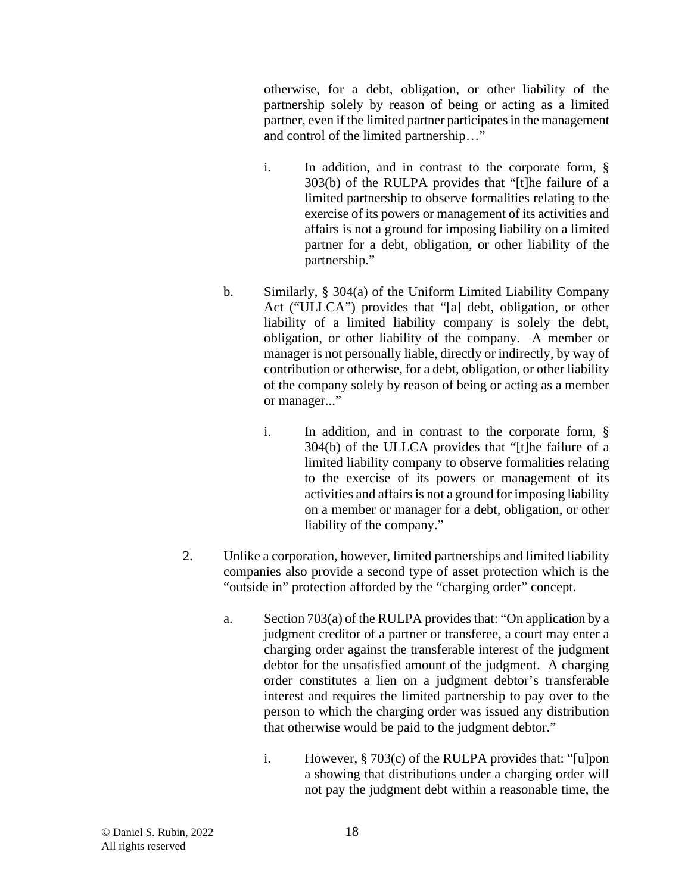otherwise, for a debt, obligation, or other liability of the partnership solely by reason of being or acting as a limited partner, even if the limited partner participates in the management and control of the limited partnership…"

- i. In addition, and in contrast to the corporate form, § 303(b) of the RULPA provides that "[t]he failure of a limited partnership to observe formalities relating to the exercise of its powers or management of its activities and affairs is not a ground for imposing liability on a limited partner for a debt, obligation, or other liability of the partnership."
- b. Similarly, § 304(a) of the Uniform Limited Liability Company Act ("ULLCA") provides that "[a] debt, obligation, or other liability of a limited liability company is solely the debt, obligation, or other liability of the company. A member or manager is not personally liable, directly or indirectly, by way of contribution or otherwise, for a debt, obligation, or other liability of the company solely by reason of being or acting as a member or manager..."
	- i. In addition, and in contrast to the corporate form, § 304(b) of the ULLCA provides that "[t]he failure of a limited liability company to observe formalities relating to the exercise of its powers or management of its activities and affairs is not a ground for imposing liability on a member or manager for a debt, obligation, or other liability of the company."
- 2. Unlike a corporation, however, limited partnerships and limited liability companies also provide a second type of asset protection which is the "outside in" protection afforded by the "charging order" concept.
	- a. Section 703(a) of the RULPA provides that: "On application by a judgment creditor of a partner or transferee, a court may enter a charging order against the transferable interest of the judgment debtor for the unsatisfied amount of the judgment. A charging order constitutes a lien on a judgment debtor's transferable interest and requires the limited partnership to pay over to the person to which the charging order was issued any distribution that otherwise would be paid to the judgment debtor."
		- i. However, § 703(c) of the RULPA provides that: "[u]pon a showing that distributions under a charging order will not pay the judgment debt within a reasonable time, the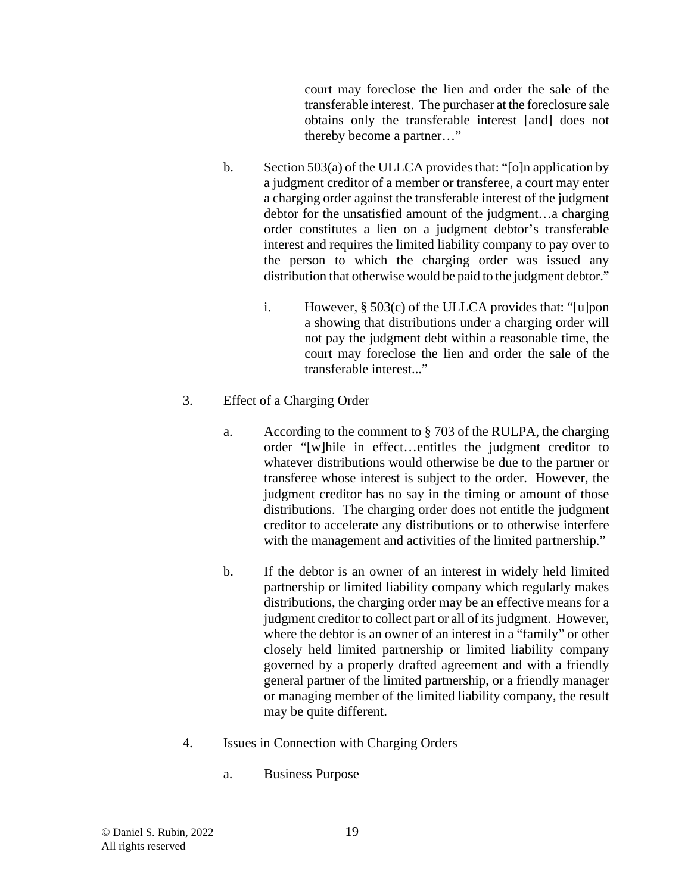court may foreclose the lien and order the sale of the transferable interest. The purchaser at the foreclosure sale obtains only the transferable interest [and] does not thereby become a partner…"

- b. Section 503(a) of the ULLCA provides that: "[o]n application by a judgment creditor of a member or transferee, a court may enter a charging order against the transferable interest of the judgment debtor for the unsatisfied amount of the judgment…a charging order constitutes a lien on a judgment debtor's transferable interest and requires the limited liability company to pay over to the person to which the charging order was issued any distribution that otherwise would be paid to the judgment debtor."
	- i. However, § 503(c) of the ULLCA provides that: "[u]pon a showing that distributions under a charging order will not pay the judgment debt within a reasonable time, the court may foreclose the lien and order the sale of the transferable interest..."
- 3. Effect of a Charging Order
	- a. According to the comment to § 703 of the RULPA, the charging order "[w]hile in effect…entitles the judgment creditor to whatever distributions would otherwise be due to the partner or transferee whose interest is subject to the order. However, the judgment creditor has no say in the timing or amount of those distributions. The charging order does not entitle the judgment creditor to accelerate any distributions or to otherwise interfere with the management and activities of the limited partnership."
	- b. If the debtor is an owner of an interest in widely held limited partnership or limited liability company which regularly makes distributions, the charging order may be an effective means for a judgment creditor to collect part or all of its judgment. However, where the debtor is an owner of an interest in a "family" or other closely held limited partnership or limited liability company governed by a properly drafted agreement and with a friendly general partner of the limited partnership, or a friendly manager or managing member of the limited liability company, the result may be quite different.
- 4. Issues in Connection with Charging Orders
	- a. Business Purpose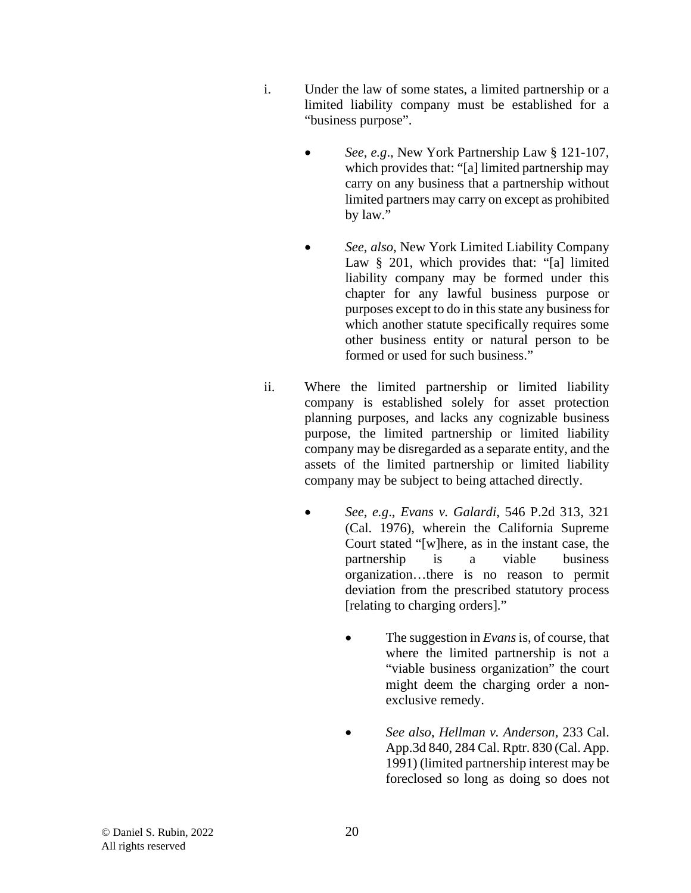- i. Under the law of some states, a limited partnership or a limited liability company must be established for a "business purpose".
	- *See*, *e.g*., New York Partnership Law § 121-107, which provides that: "[a] limited partnership may carry on any business that a partnership without limited partners may carry on except as prohibited by law."
	- *See*, *also*, New York Limited Liability Company Law § 201, which provides that: "[a] limited liability company may be formed under this chapter for any lawful business purpose or purposes except to do in this state any business for which another statute specifically requires some other business entity or natural person to be formed or used for such business."
- ii. Where the limited partnership or limited liability company is established solely for asset protection planning purposes, and lacks any cognizable business purpose, the limited partnership or limited liability company may be disregarded as a separate entity, and the assets of the limited partnership or limited liability company may be subject to being attached directly.
	- *See*, *e.g*., *Evans v. Galardi*, 546 P.2d 313, 321 (Cal. 1976), wherein the California Supreme Court stated "[w]here, as in the instant case, the partnership is a viable business organization…there is no reason to permit deviation from the prescribed statutory process [relating to charging orders]."
		- The suggestion in *Evans*is, of course, that where the limited partnership is not a "viable business organization" the court might deem the charging order a nonexclusive remedy.
		- *See also*, *Hellman v. Anderson,* 233 Cal. App.3d 840, 284 Cal. Rptr. 830 (Cal. App. 1991) (limited partnership interest may be foreclosed so long as doing so does not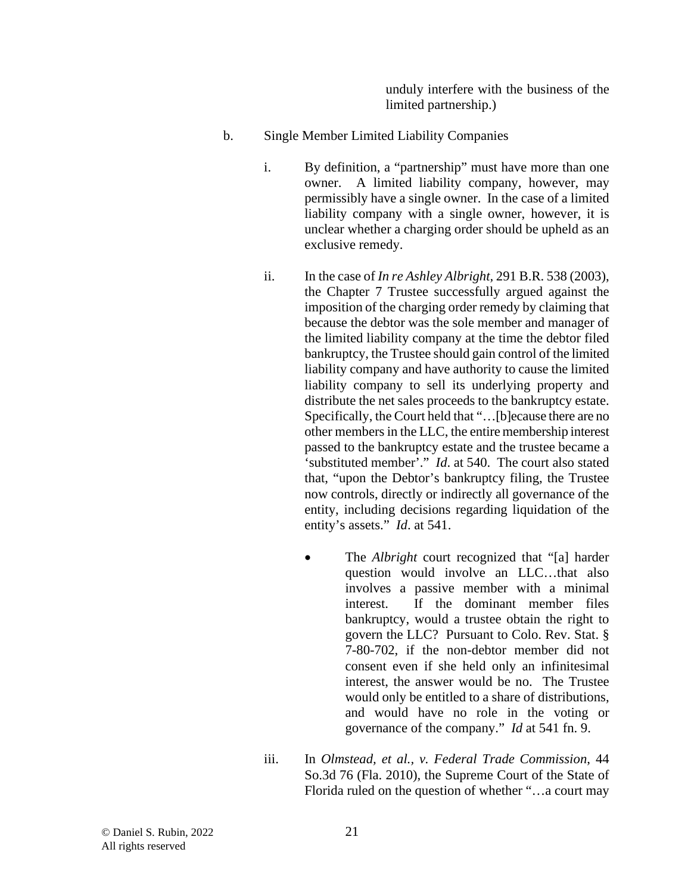unduly interfere with the business of the limited partnership.)

- b. Single Member Limited Liability Companies
	- i. By definition, a "partnership" must have more than one owner. A limited liability company, however, may permissibly have a single owner. In the case of a limited liability company with a single owner, however, it is unclear whether a charging order should be upheld as an exclusive remedy.
	- ii. In the case of *In re Ashley Albright,* 291 B.R. 538 (2003), the Chapter 7 Trustee successfully argued against the imposition of the charging order remedy by claiming that because the debtor was the sole member and manager of the limited liability company at the time the debtor filed bankruptcy, the Trustee should gain control of the limited liability company and have authority to cause the limited liability company to sell its underlying property and distribute the net sales proceeds to the bankruptcy estate. Specifically, the Court held that "…[b]ecause there are no other members in the LLC, the entire membership interest passed to the bankruptcy estate and the trustee became a 'substituted member'." *Id*. at 540. The court also stated that, "upon the Debtor's bankruptcy filing, the Trustee now controls, directly or indirectly all governance of the entity, including decisions regarding liquidation of the entity's assets." *Id*. at 541.
		- The *Albright* court recognized that "[a] harder question would involve an LLC…that also involves a passive member with a minimal interest. If the dominant member files bankruptcy, would a trustee obtain the right to govern the LLC? Pursuant to Colo. Rev. Stat. § 7-80-702, if the non-debtor member did not consent even if she held only an infinitesimal interest, the answer would be no. The Trustee would only be entitled to a share of distributions, and would have no role in the voting or governance of the company." *Id* at 541 fn. 9.
	- iii. In *Olmstead, et al., v. Federal Trade Commission*, 44 So.3d 76 (Fla. 2010), the Supreme Court of the State of Florida ruled on the question of whether "…a court may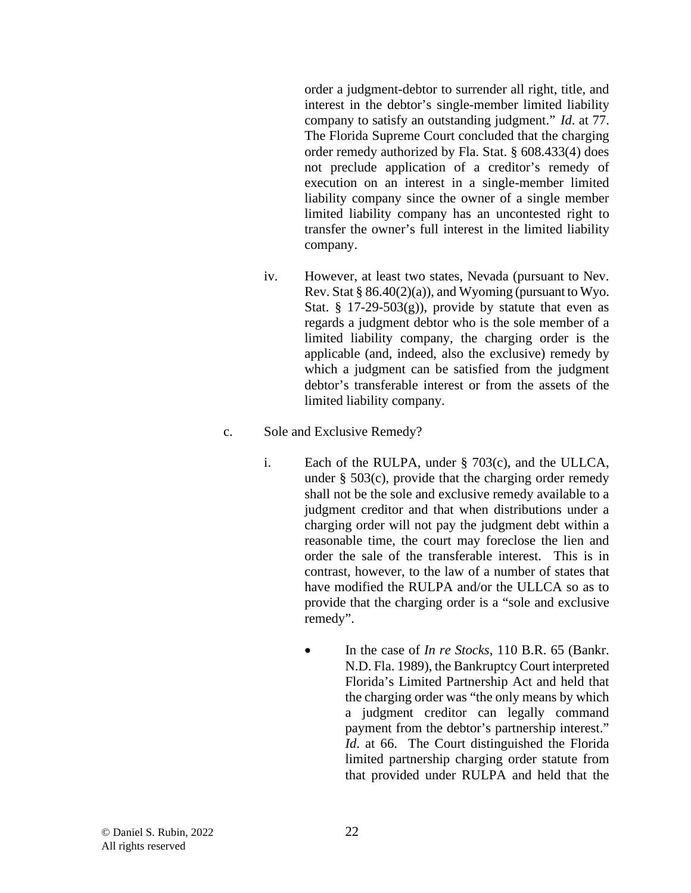order a judgment-debtor to surrender all right, title, and interest in the debtor's single-member limited liability company to satisfy an outstanding judgment." *Id*. at 77. The Florida Supreme Court concluded that the charging order remedy authorized by Fla. Stat. § 608.433(4) does not preclude application of a creditor's remedy of execution on an interest in a single-member limited liability company since the owner of a single member limited liability company has an uncontested right to transfer the owner's full interest in the limited liability company.

- iv. However, at least two states, Nevada (pursuant to Nev. Rev. Stat  $\S 86.40(2)(a)$ , and Wyoming (pursuant to Wyo. Stat. § 17-29-503 $(g)$ , provide by statute that even as regards a judgment debtor who is the sole member of a limited liability company, the charging order is the applicable (and, indeed, also the exclusive) remedy by which a judgment can be satisfied from the judgment debtor's transferable interest or from the assets of the limited liability company.
- c. Sole and Exclusive Remedy?
	- i. Each of the RULPA, under § 703(c), and the ULLCA, under  $\S$  503(c), provide that the charging order remedy shall not be the sole and exclusive remedy available to a judgment creditor and that when distributions under a charging order will not pay the judgment debt within a reasonable time, the court may foreclose the lien and order the sale of the transferable interest. This is in contrast, however, to the law of a number of states that have modified the RULPA and/or the ULLCA so as to provide that the charging order is a "sole and exclusive remedy".
		- In the case of *In re Stocks*, 110 B.R. 65 (Bankr. N.D. Fla. 1989), the Bankruptcy Court interpreted Florida's Limited Partnership Act and held that the charging order was "the only means by which a judgment creditor can legally command payment from the debtor's partnership interest." *Id*. at 66. The Court distinguished the Florida limited partnership charging order statute from that provided under RULPA and held that the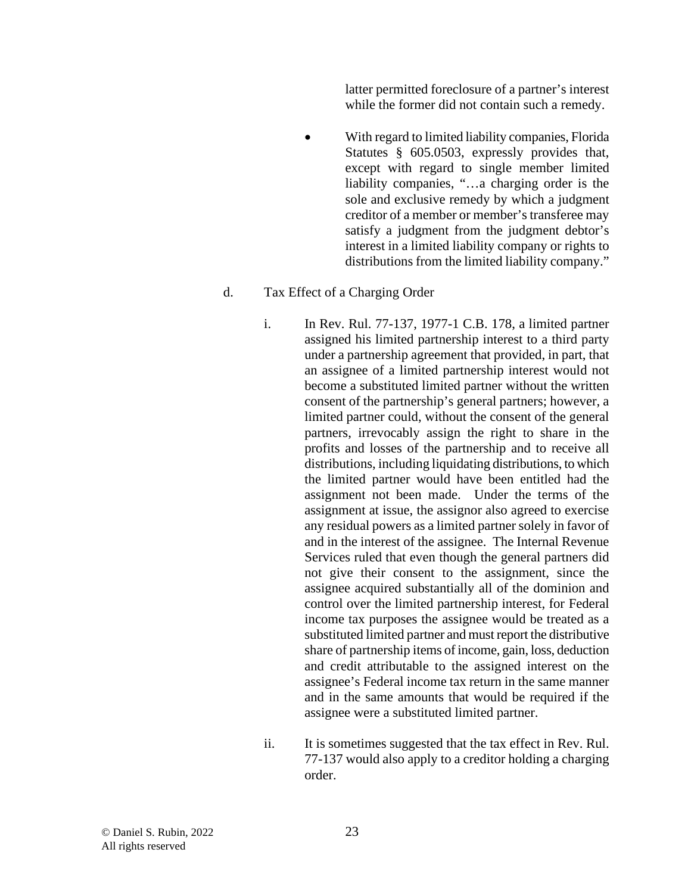latter permitted foreclosure of a partner's interest while the former did not contain such a remedy.

• With regard to limited liability companies, Florida Statutes § 605.0503, expressly provides that, except with regard to single member limited liability companies, "…a charging order is the sole and exclusive remedy by which a judgment creditor of a member or member's transferee may satisfy a judgment from the judgment debtor's interest in a limited liability company or rights to distributions from the limited liability company."

#### d. Tax Effect of a Charging Order

- i. In Rev. Rul. 77-137, 1977-1 C.B. 178, a limited partner assigned his limited partnership interest to a third party under a partnership agreement that provided, in part, that an assignee of a limited partnership interest would not become a substituted limited partner without the written consent of the partnership's general partners; however, a limited partner could, without the consent of the general partners, irrevocably assign the right to share in the profits and losses of the partnership and to receive all distributions, including liquidating distributions, to which the limited partner would have been entitled had the assignment not been made. Under the terms of the assignment at issue, the assignor also agreed to exercise any residual powers as a limited partner solely in favor of and in the interest of the assignee. The Internal Revenue Services ruled that even though the general partners did not give their consent to the assignment, since the assignee acquired substantially all of the dominion and control over the limited partnership interest, for Federal income tax purposes the assignee would be treated as a substituted limited partner and must report the distributive share of partnership items of income, gain, loss, deduction and credit attributable to the assigned interest on the assignee's Federal income tax return in the same manner and in the same amounts that would be required if the assignee were a substituted limited partner.
- ii. It is sometimes suggested that the tax effect in Rev. Rul. 77-137 would also apply to a creditor holding a charging order.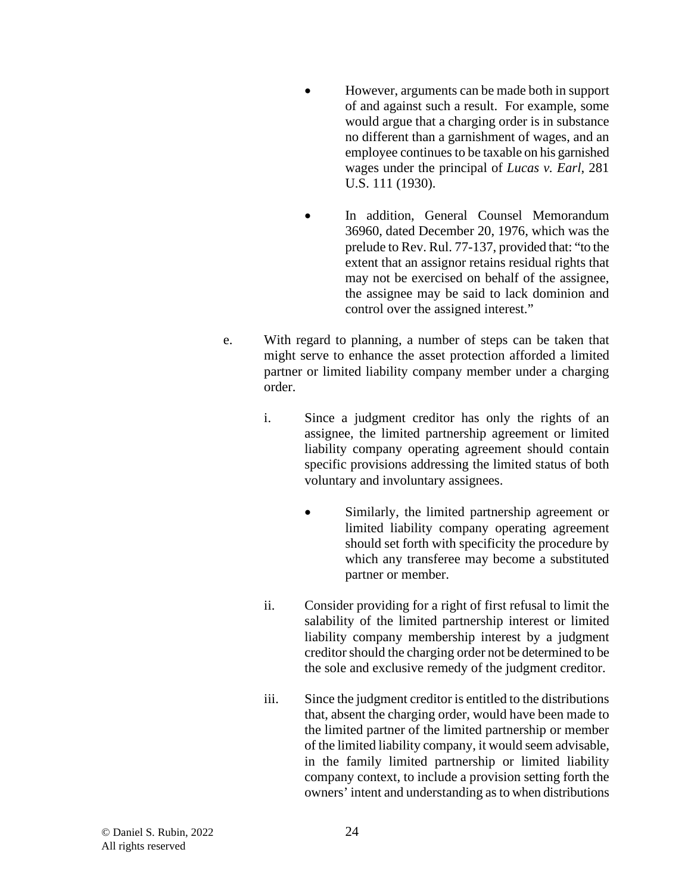- However, arguments can be made both in support of and against such a result. For example, some would argue that a charging order is in substance no different than a garnishment of wages, and an employee continues to be taxable on his garnished wages under the principal of *Lucas v. Earl*, 281 U.S. 111 (1930).
- In addition, General Counsel Memorandum 36960, dated December 20, 1976, which was the prelude to Rev. Rul. 77-137, provided that: "to the extent that an assignor retains residual rights that may not be exercised on behalf of the assignee, the assignee may be said to lack dominion and control over the assigned interest."
- e. With regard to planning, a number of steps can be taken that might serve to enhance the asset protection afforded a limited partner or limited liability company member under a charging order.
	- i. Since a judgment creditor has only the rights of an assignee, the limited partnership agreement or limited liability company operating agreement should contain specific provisions addressing the limited status of both voluntary and involuntary assignees.
		- Similarly, the limited partnership agreement or limited liability company operating agreement should set forth with specificity the procedure by which any transferee may become a substituted partner or member.
	- ii. Consider providing for a right of first refusal to limit the salability of the limited partnership interest or limited liability company membership interest by a judgment creditor should the charging order not be determined to be the sole and exclusive remedy of the judgment creditor.
	- iii. Since the judgment creditor is entitled to the distributions that, absent the charging order, would have been made to the limited partner of the limited partnership or member of the limited liability company, it would seem advisable, in the family limited partnership or limited liability company context, to include a provision setting forth the owners' intent and understanding as to when distributions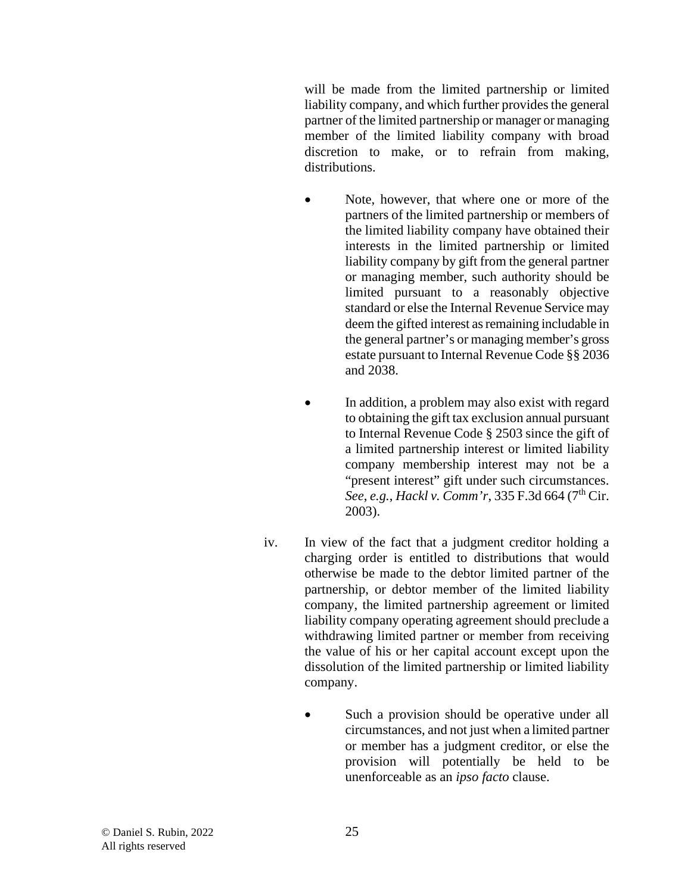will be made from the limited partnership or limited liability company, and which further provides the general partner of the limited partnership or manager or managing member of the limited liability company with broad discretion to make, or to refrain from making, distributions.

- Note, however, that where one or more of the partners of the limited partnership or members of the limited liability company have obtained their interests in the limited partnership or limited liability company by gift from the general partner or managing member, such authority should be limited pursuant to a reasonably objective standard or else the Internal Revenue Service may deem the gifted interest as remaining includable in the general partner's or managing member's gross estate pursuant to Internal Revenue Code §§ 2036 and 2038.
- In addition, a problem may also exist with regard to obtaining the gift tax exclusion annual pursuant to Internal Revenue Code § 2503 since the gift of a limited partnership interest or limited liability company membership interest may not be a "present interest" gift under such circumstances. *See*, *e.g.*, *Hackl v. Comm'r*, 335 F.3d 664 (7<sup>th</sup> Cir. 2003).
- iv. In view of the fact that a judgment creditor holding a charging order is entitled to distributions that would otherwise be made to the debtor limited partner of the partnership, or debtor member of the limited liability company, the limited partnership agreement or limited liability company operating agreement should preclude a withdrawing limited partner or member from receiving the value of his or her capital account except upon the dissolution of the limited partnership or limited liability company.
	- Such a provision should be operative under all circumstances, and not just when a limited partner or member has a judgment creditor, or else the provision will potentially be held to be unenforceable as an *ipso facto* clause.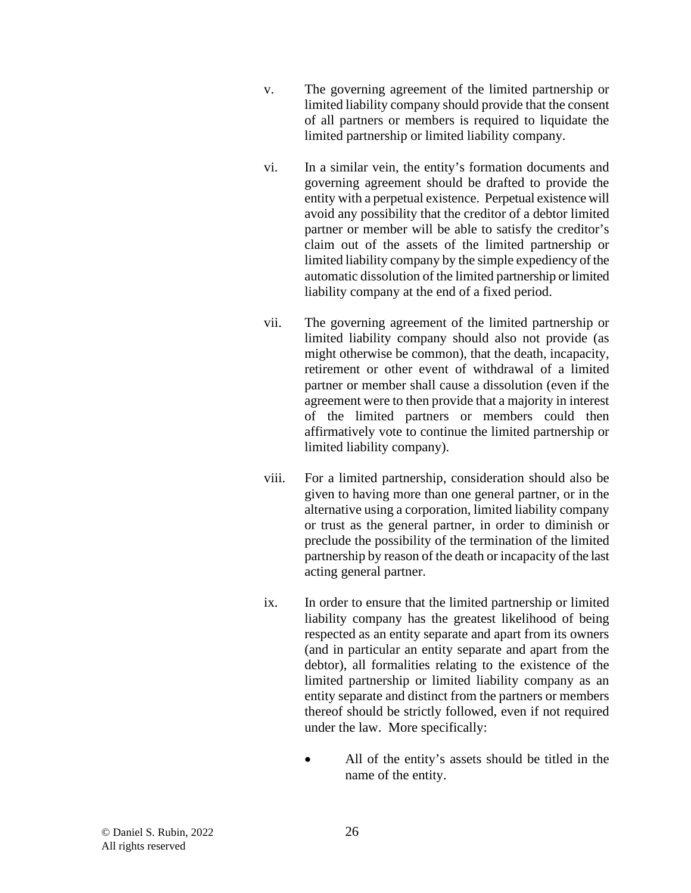- v. The governing agreement of the limited partnership or limited liability company should provide that the consent of all partners or members is required to liquidate the limited partnership or limited liability company.
- vi. In a similar vein, the entity's formation documents and governing agreement should be drafted to provide the entity with a perpetual existence. Perpetual existence will avoid any possibility that the creditor of a debtor limited partner or member will be able to satisfy the creditor's claim out of the assets of the limited partnership or limited liability company by the simple expediency of the automatic dissolution of the limited partnership or limited liability company at the end of a fixed period.
- vii. The governing agreement of the limited partnership or limited liability company should also not provide (as might otherwise be common), that the death, incapacity, retirement or other event of withdrawal of a limited partner or member shall cause a dissolution (even if the agreement were to then provide that a majority in interest of the limited partners or members could then affirmatively vote to continue the limited partnership or limited liability company).
- viii. For a limited partnership, consideration should also be given to having more than one general partner, or in the alternative using a corporation, limited liability company or trust as the general partner, in order to diminish or preclude the possibility of the termination of the limited partnership by reason of the death or incapacity of the last acting general partner.
- ix. In order to ensure that the limited partnership or limited liability company has the greatest likelihood of being respected as an entity separate and apart from its owners (and in particular an entity separate and apart from the debtor), all formalities relating to the existence of the limited partnership or limited liability company as an entity separate and distinct from the partners or members thereof should be strictly followed, even if not required under the law. More specifically:
	- All of the entity's assets should be titled in the name of the entity.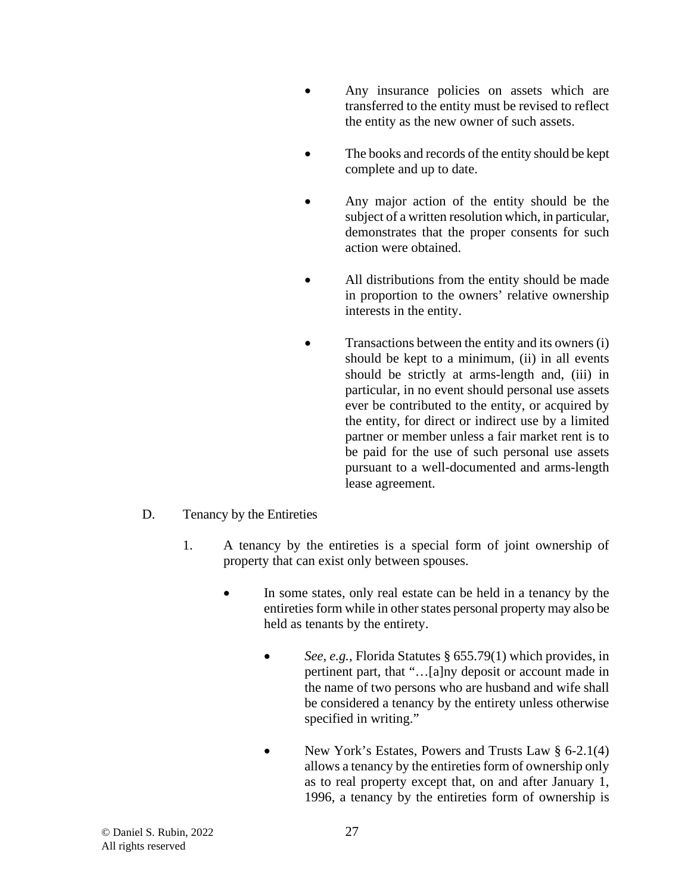- Any insurance policies on assets which are transferred to the entity must be revised to reflect the entity as the new owner of such assets.
- The books and records of the entity should be kept complete and up to date.
- Any major action of the entity should be the subject of a written resolution which, in particular, demonstrates that the proper consents for such action were obtained.
- All distributions from the entity should be made in proportion to the owners' relative ownership interests in the entity.
- Transactions between the entity and its owners (i) should be kept to a minimum, (ii) in all events should be strictly at arms-length and, (iii) in particular, in no event should personal use assets ever be contributed to the entity, or acquired by the entity, for direct or indirect use by a limited partner or member unless a fair market rent is to be paid for the use of such personal use assets pursuant to a well-documented and arms-length lease agreement.
- D. Tenancy by the Entireties
	- 1. A tenancy by the entireties is a special form of joint ownership of property that can exist only between spouses.
		- In some states, only real estate can be held in a tenancy by the entireties form while in other states personal property may also be held as tenants by the entirety.
			- *See*, *e.g.*, Florida Statutes § 655.79(1) which provides, in pertinent part, that "…[a]ny deposit or account made in the name of two persons who are husband and wife shall be considered a tenancy by the entirety unless otherwise specified in writing."
			- New York's Estates, Powers and Trusts Law § 6-2.1(4) allows a tenancy by the entireties form of ownership only as to real property except that, on and after January 1, 1996, a tenancy by the entireties form of ownership is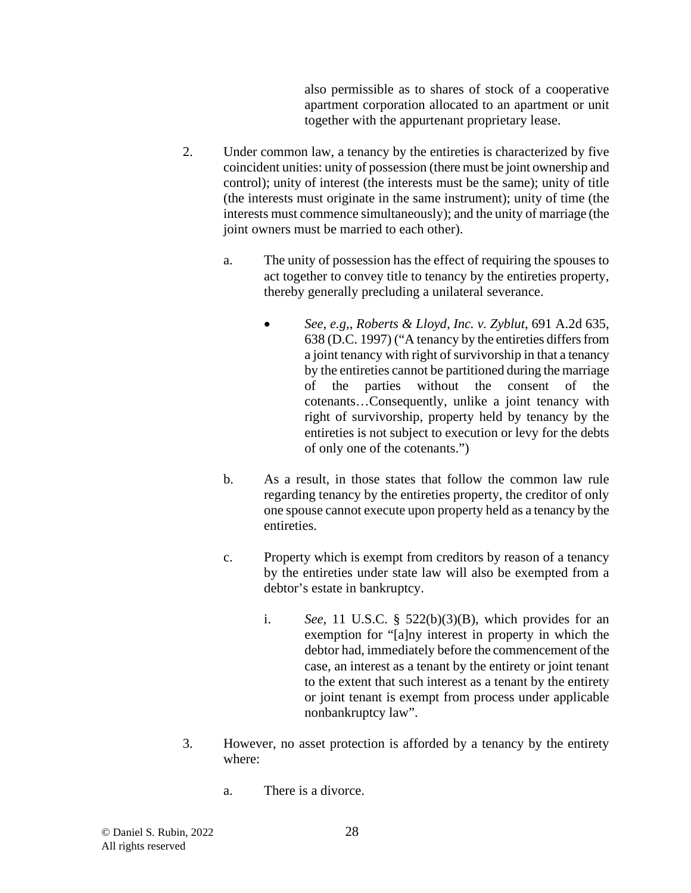also permissible as to shares of stock of a cooperative apartment corporation allocated to an apartment or unit together with the appurtenant proprietary lease.

- 2. Under common law, a tenancy by the entireties is characterized by five coincident unities: unity of possession (there must be joint ownership and control); unity of interest (the interests must be the same); unity of title (the interests must originate in the same instrument); unity of time (the interests must commence simultaneously); and the unity of marriage (the joint owners must be married to each other).
	- a. The unity of possession has the effect of requiring the spouses to act together to convey title to tenancy by the entireties property, thereby generally precluding a unilateral severance.
		- *See*, *e.g,*, *Roberts & Lloyd, Inc. v. Zyblut*, 691 A.2d 635, 638 (D.C. 1997) ("A tenancy by the entireties differs from a joint tenancy with right of survivorship in that a tenancy by the entireties cannot be partitioned during the marriage of the parties without the consent of the cotenants…Consequently, unlike a joint tenancy with right of survivorship, property held by tenancy by the entireties is not subject to execution or levy for the debts of only one of the cotenants.")
	- b. As a result, in those states that follow the common law rule regarding tenancy by the entireties property, the creditor of only one spouse cannot execute upon property held as a tenancy by the entireties.
	- c. Property which is exempt from creditors by reason of a tenancy by the entireties under state law will also be exempted from a debtor's estate in bankruptcy.
		- i. *See*, 11 U.S.C. § 522(b)(3)(B), which provides for an exemption for "[a]ny interest in property in which the debtor had, immediately before the commencement of the case, an interest as a tenant by the entirety or joint tenant to the extent that such interest as a tenant by the entirety or joint tenant is exempt from process under applicable nonbankruptcy law".
- 3. However, no asset protection is afforded by a tenancy by the entirety where:
	- a. There is a divorce.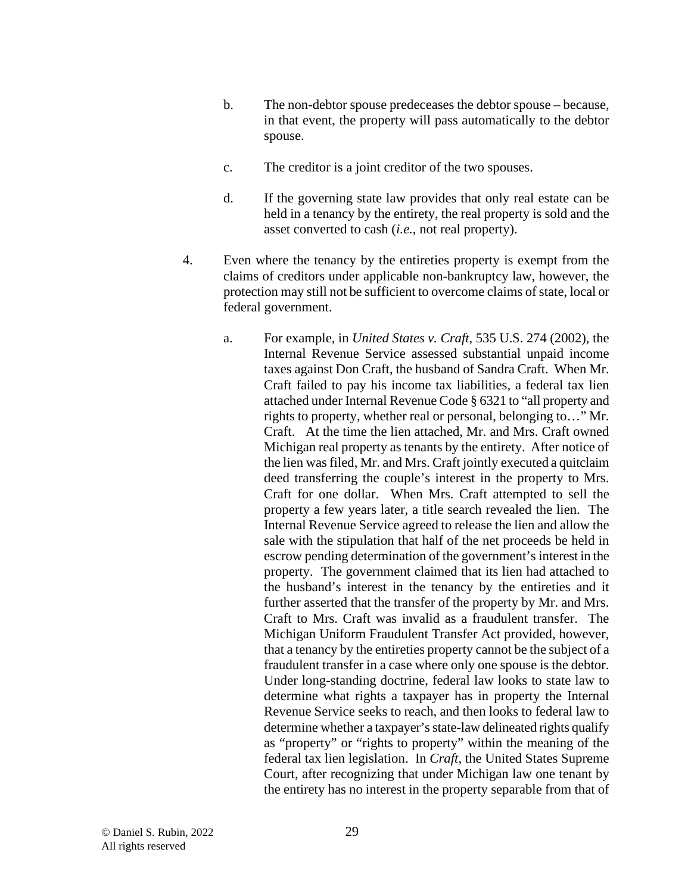- b. The non-debtor spouse predeceases the debtor spouse because, in that event, the property will pass automatically to the debtor spouse.
- c. The creditor is a joint creditor of the two spouses.
- d. If the governing state law provides that only real estate can be held in a tenancy by the entirety, the real property is sold and the asset converted to cash (*i.e.*, not real property).
- 4. Even where the tenancy by the entireties property is exempt from the claims of creditors under applicable non-bankruptcy law, however, the protection may still not be sufficient to overcome claims of state, local or federal government.
	- a. For example, in *United States v. Craft*, 535 U.S. 274 (2002), the Internal Revenue Service assessed substantial unpaid income taxes against Don Craft, the husband of Sandra Craft. When Mr. Craft failed to pay his income tax liabilities, a federal tax lien attached under Internal Revenue Code § 6321 to "all property and rights to property, whether real or personal, belonging to…" Mr. Craft. At the time the lien attached, Mr. and Mrs. Craft owned Michigan real property as tenants by the entirety. After notice of the lien was filed, Mr. and Mrs. Craft jointly executed a quitclaim deed transferring the couple's interest in the property to Mrs. Craft for one dollar. When Mrs. Craft attempted to sell the property a few years later, a title search revealed the lien. The Internal Revenue Service agreed to release the lien and allow the sale with the stipulation that half of the net proceeds be held in escrow pending determination of the government's interest in the property. The government claimed that its lien had attached to the husband's interest in the tenancy by the entireties and it further asserted that the transfer of the property by Mr. and Mrs. Craft to Mrs. Craft was invalid as a fraudulent transfer. The Michigan Uniform Fraudulent Transfer Act provided, however, that a tenancy by the entireties property cannot be the subject of a fraudulent transfer in a case where only one spouse is the debtor. Under long-standing doctrine, federal law looks to state law to determine what rights a taxpayer has in property the Internal Revenue Service seeks to reach, and then looks to federal law to determine whether a taxpayer's state-law delineated rights qualify as "property" or "rights to property" within the meaning of the federal tax lien legislation. In *Craft*, the United States Supreme Court, after recognizing that under Michigan law one tenant by the entirety has no interest in the property separable from that of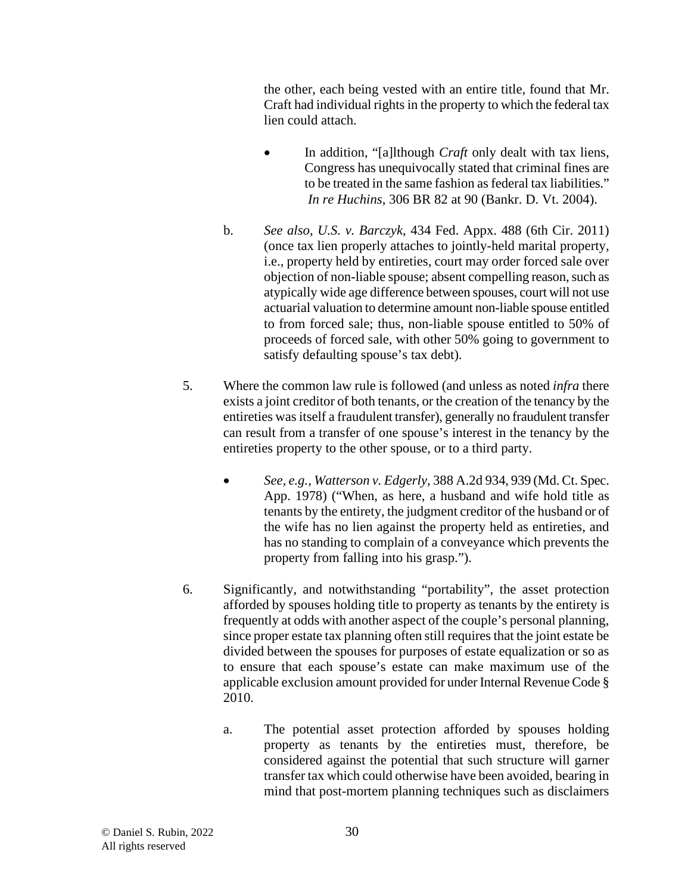the other, each being vested with an entire title, found that Mr. Craft had individual rights in the property to which the federal tax lien could attach.

- In addition, "[a]lthough *Craft* only dealt with tax liens, Congress has unequivocally stated that criminal fines are to be treated in the same fashion as federal tax liabilities." *In re Huchins*, 306 BR 82 at 90 (Bankr. D. Vt. 2004).
- b. *See also*, *U.S. v. Barczyk*, 434 Fed. Appx. 488 (6th Cir. 2011) (once tax lien properly attaches to jointly-held marital property, i.e., property held by entireties, court may order forced sale over objection of non-liable spouse; absent compelling reason, such as atypically wide age difference between spouses, court will not use actuarial valuation to determine amount non-liable spouse entitled to from forced sale; thus, non-liable spouse entitled to 50% of proceeds of forced sale, with other 50% going to government to satisfy defaulting spouse's tax debt).
- 5. Where the common law rule is followed (and unless as noted *infra* there exists a joint creditor of both tenants, or the creation of the tenancy by the entireties was itself a fraudulent transfer), generally no fraudulent transfer can result from a transfer of one spouse's interest in the tenancy by the entireties property to the other spouse, or to a third party.
	- *See, e.g., Watterson v. Edgerly*, 388 A.2d 934, 939 (Md. Ct. Spec. App. 1978) ("When, as here, a husband and wife hold title as tenants by the entirety, the judgment creditor of the husband or of the wife has no lien against the property held as entireties, and has no standing to complain of a conveyance which prevents the property from falling into his grasp.").
- 6. Significantly, and notwithstanding "portability", the asset protection afforded by spouses holding title to property as tenants by the entirety is frequently at odds with another aspect of the couple's personal planning, since proper estate tax planning often still requires that the joint estate be divided between the spouses for purposes of estate equalization or so as to ensure that each spouse's estate can make maximum use of the applicable exclusion amount provided for under Internal Revenue Code § 2010.
	- a. The potential asset protection afforded by spouses holding property as tenants by the entireties must, therefore, be considered against the potential that such structure will garner transfer tax which could otherwise have been avoided, bearing in mind that post-mortem planning techniques such as disclaimers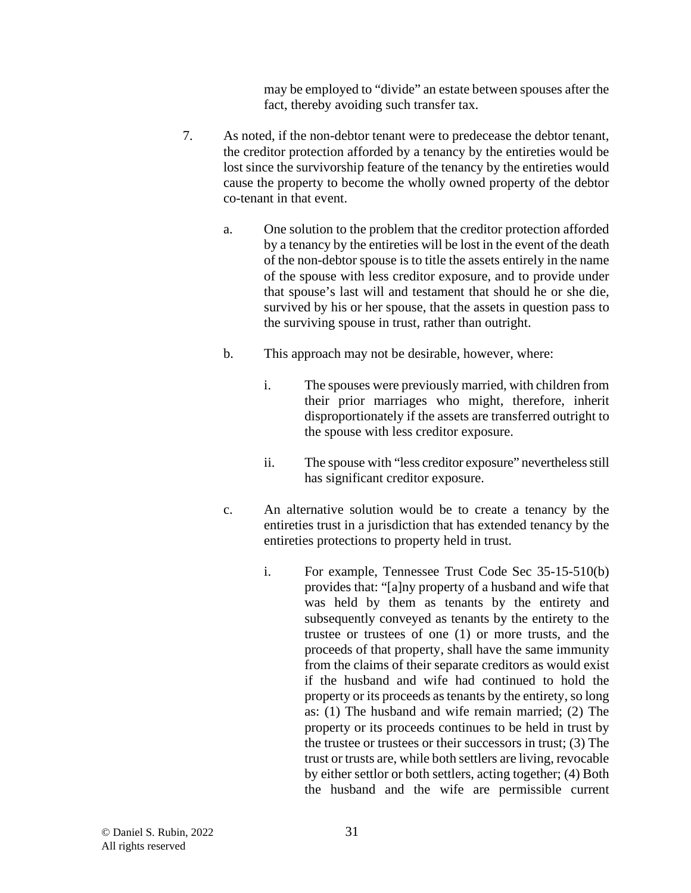may be employed to "divide" an estate between spouses after the fact, thereby avoiding such transfer tax.

- 7. As noted, if the non-debtor tenant were to predecease the debtor tenant, the creditor protection afforded by a tenancy by the entireties would be lost since the survivorship feature of the tenancy by the entireties would cause the property to become the wholly owned property of the debtor co-tenant in that event.
	- a. One solution to the problem that the creditor protection afforded by a tenancy by the entireties will be lost in the event of the death of the non-debtor spouse is to title the assets entirely in the name of the spouse with less creditor exposure, and to provide under that spouse's last will and testament that should he or she die, survived by his or her spouse, that the assets in question pass to the surviving spouse in trust, rather than outright.
	- b. This approach may not be desirable, however, where:
		- i. The spouses were previously married, with children from their prior marriages who might, therefore, inherit disproportionately if the assets are transferred outright to the spouse with less creditor exposure.
		- ii. The spouse with "less creditor exposure" nevertheless still has significant creditor exposure.
	- c. An alternative solution would be to create a tenancy by the entireties trust in a jurisdiction that has extended tenancy by the entireties protections to property held in trust.
		- i. For example, Tennessee Trust Code Sec 35-15-510(b) provides that: "[a]ny property of a husband and wife that was held by them as tenants by the entirety and subsequently conveyed as tenants by the entirety to the trustee or trustees of one (1) or more trusts, and the proceeds of that property, shall have the same immunity from the claims of their separate creditors as would exist if the husband and wife had continued to hold the property or its proceeds as tenants by the entirety, so long as: (1) The husband and wife remain married; (2) The property or its proceeds continues to be held in trust by the trustee or trustees or their successors in trust; (3) The trust or trusts are, while both settlers are living, revocable by either settlor or both settlers, acting together; (4) Both the husband and the wife are permissible current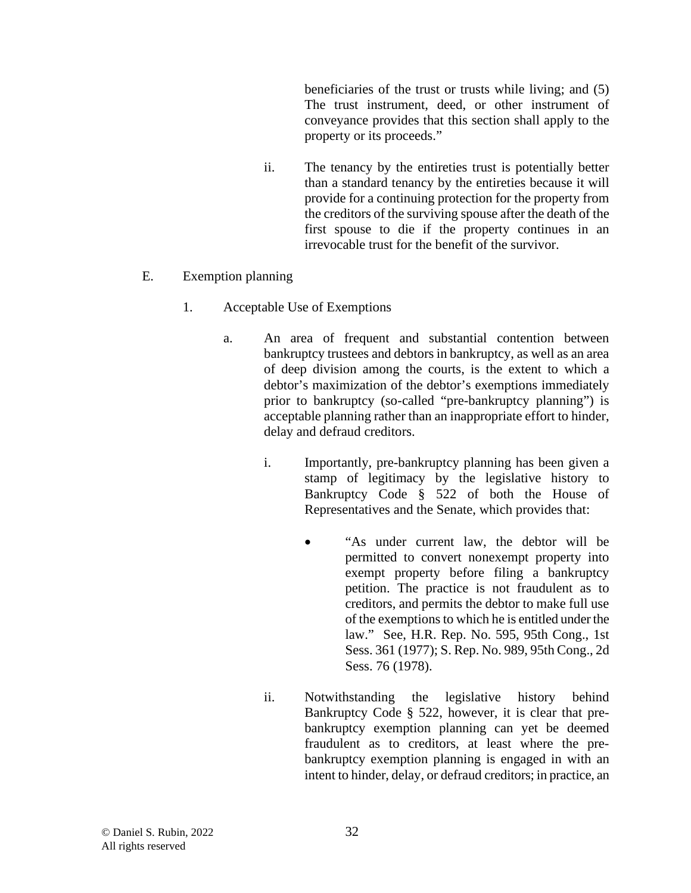beneficiaries of the trust or trusts while living; and (5) The trust instrument, deed, or other instrument of conveyance provides that this section shall apply to the property or its proceeds."

- ii. The tenancy by the entireties trust is potentially better than a standard tenancy by the entireties because it will provide for a continuing protection for the property from the creditors of the surviving spouse after the death of the first spouse to die if the property continues in an irrevocable trust for the benefit of the survivor.
- E. Exemption planning
	- 1. Acceptable Use of Exemptions
		- a. An area of frequent and substantial contention between bankruptcy trustees and debtors in bankruptcy, as well as an area of deep division among the courts, is the extent to which a debtor's maximization of the debtor's exemptions immediately prior to bankruptcy (so-called "pre-bankruptcy planning") is acceptable planning rather than an inappropriate effort to hinder, delay and defraud creditors.
			- i. Importantly, pre-bankruptcy planning has been given a stamp of legitimacy by the legislative history to Bankruptcy Code § 522 of both the House of Representatives and the Senate, which provides that:
				- "As under current law, the debtor will be permitted to convert nonexempt property into exempt property before filing a bankruptcy petition. The practice is not fraudulent as to creditors, and permits the debtor to make full use of the exemptions to which he is entitled under the law." See, H.R. Rep. No. 595, 95th Cong., 1st Sess. 361 (1977); S. Rep. No. 989, 95th Cong., 2d Sess. 76 (1978).
			- ii. Notwithstanding the legislative history behind Bankruptcy Code § 522, however, it is clear that prebankruptcy exemption planning can yet be deemed fraudulent as to creditors, at least where the prebankruptcy exemption planning is engaged in with an intent to hinder, delay, or defraud creditors; in practice, an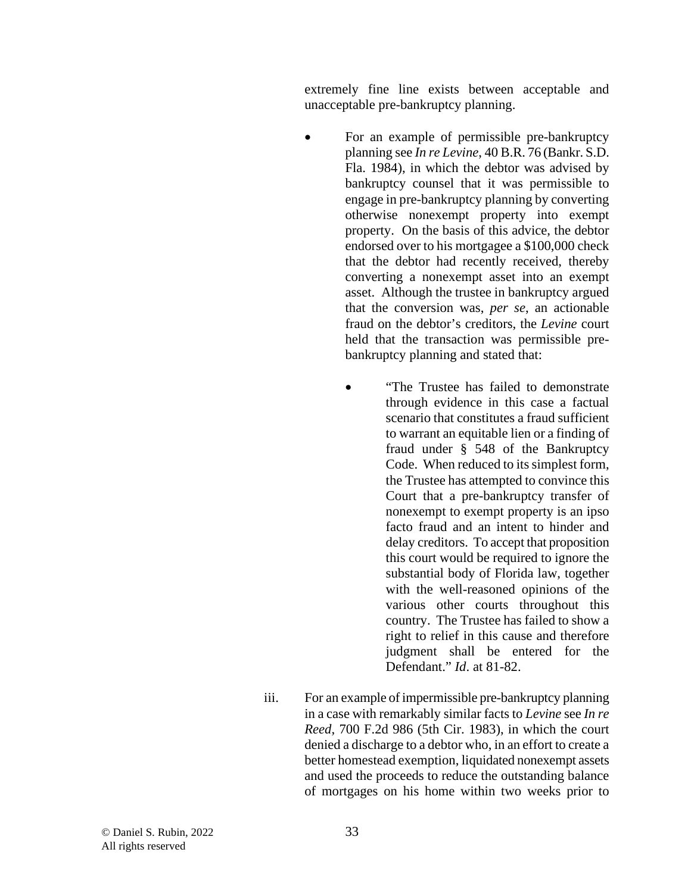extremely fine line exists between acceptable and unacceptable pre-bankruptcy planning.

- For an example of permissible pre-bankruptcy planning see *In re Levine*, 40 B.R. 76 (Bankr. S.D. Fla. 1984), in which the debtor was advised by bankruptcy counsel that it was permissible to engage in pre-bankruptcy planning by converting otherwise nonexempt property into exempt property. On the basis of this advice, the debtor endorsed over to his mortgagee a \$100,000 check that the debtor had recently received, thereby converting a nonexempt asset into an exempt asset. Although the trustee in bankruptcy argued that the conversion was, *per se*, an actionable fraud on the debtor's creditors, the *Levine* court held that the transaction was permissible prebankruptcy planning and stated that:
	- "The Trustee has failed to demonstrate through evidence in this case a factual scenario that constitutes a fraud sufficient to warrant an equitable lien or a finding of fraud under § 548 of the Bankruptcy Code. When reduced to its simplest form, the Trustee has attempted to convince this Court that a pre-bankruptcy transfer of nonexempt to exempt property is an ipso facto fraud and an intent to hinder and delay creditors. To accept that proposition this court would be required to ignore the substantial body of Florida law, together with the well-reasoned opinions of the various other courts throughout this country. The Trustee has failed to show a right to relief in this cause and therefore judgment shall be entered for the Defendant." *Id*. at 81-82.
- iii. For an example of impermissible pre-bankruptcy planning in a case with remarkably similar facts to *Levine* see *In re Reed*, 700 F.2d 986 (5th Cir. 1983), in which the court denied a discharge to a debtor who, in an effort to create a better homestead exemption, liquidated nonexempt assets and used the proceeds to reduce the outstanding balance of mortgages on his home within two weeks prior to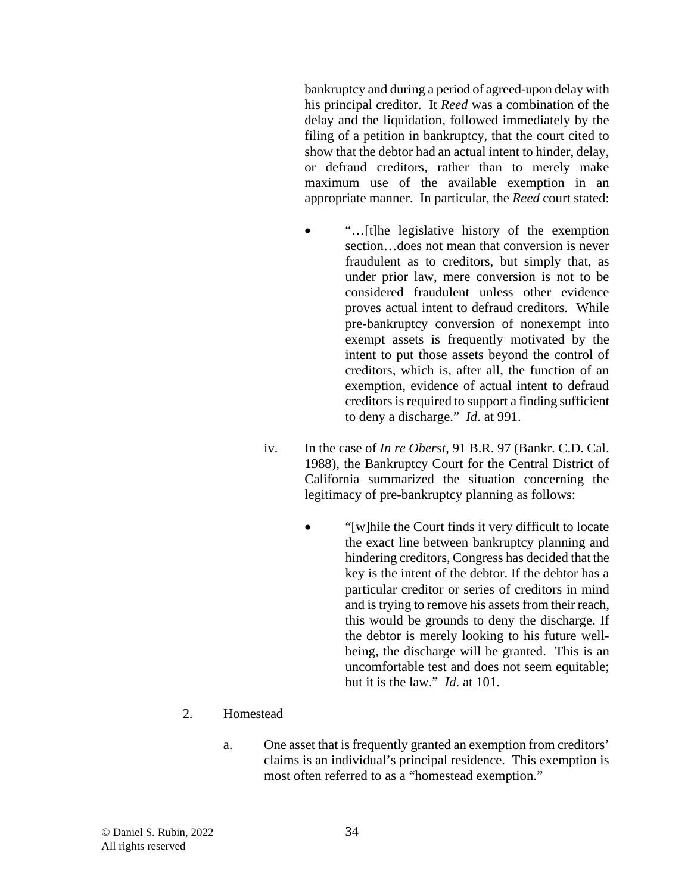bankruptcy and during a period of agreed-upon delay with his principal creditor. It *Reed* was a combination of the delay and the liquidation, followed immediately by the filing of a petition in bankruptcy, that the court cited to show that the debtor had an actual intent to hinder, delay, or defraud creditors, rather than to merely make maximum use of the available exemption in an appropriate manner. In particular, the *Reed* court stated:

- "…[t]he legislative history of the exemption section…does not mean that conversion is never fraudulent as to creditors, but simply that, as under prior law, mere conversion is not to be considered fraudulent unless other evidence proves actual intent to defraud creditors. While pre-bankruptcy conversion of nonexempt into exempt assets is frequently motivated by the intent to put those assets beyond the control of creditors, which is, after all, the function of an exemption, evidence of actual intent to defraud creditors is required to support a finding sufficient to deny a discharge." *Id*. at 991.
- iv. In the case of *In re Oberst*, 91 B.R. 97 (Bankr. C.D. Cal. 1988), the Bankruptcy Court for the Central District of California summarized the situation concerning the legitimacy of pre-bankruptcy planning as follows:
	- "[w]hile the Court finds it very difficult to locate the exact line between bankruptcy planning and hindering creditors, Congress has decided that the key is the intent of the debtor. If the debtor has a particular creditor or series of creditors in mind and is trying to remove his assets from their reach, this would be grounds to deny the discharge. If the debtor is merely looking to his future wellbeing, the discharge will be granted. This is an uncomfortable test and does not seem equitable; but it is the law." *Id*. at 101.

## 2. Homestead

a. One asset that is frequently granted an exemption from creditors' claims is an individual's principal residence. This exemption is most often referred to as a "homestead exemption."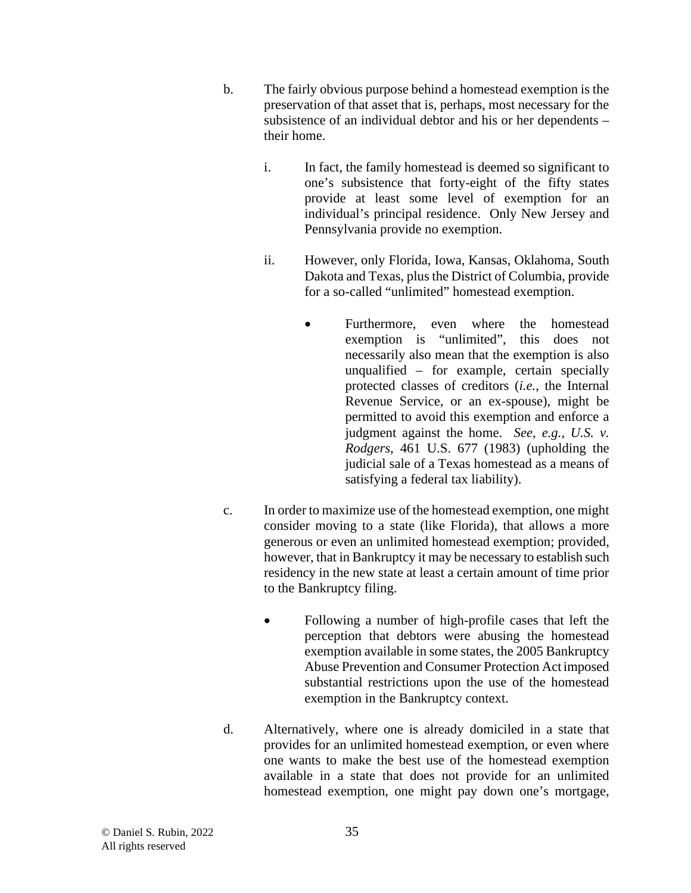- b. The fairly obvious purpose behind a homestead exemption is the preservation of that asset that is, perhaps, most necessary for the subsistence of an individual debtor and his or her dependents – their home.
	- i. In fact, the family homestead is deemed so significant to one's subsistence that forty-eight of the fifty states provide at least some level of exemption for an individual's principal residence. Only New Jersey and Pennsylvania provide no exemption.
	- ii. However, only Florida, Iowa, Kansas, Oklahoma, South Dakota and Texas, plus the District of Columbia, provide for a so-called "unlimited" homestead exemption.
		- Furthermore, even where the homestead exemption is "unlimited", this does not necessarily also mean that the exemption is also unqualified – for example, certain specially protected classes of creditors (*i.e.*, the Internal Revenue Service, or an ex-spouse), might be permitted to avoid this exemption and enforce a judgment against the home. *See*, *e.g.*, *U.S. v. Rodgers*, 461 U.S. 677 (1983) (upholding the judicial sale of a Texas homestead as a means of satisfying a federal tax liability).
- c. In order to maximize use of the homestead exemption, one might consider moving to a state (like Florida), that allows a more generous or even an unlimited homestead exemption; provided, however, that in Bankruptcy it may be necessary to establish such residency in the new state at least a certain amount of time prior to the Bankruptcy filing.
	- Following a number of high-profile cases that left the perception that debtors were abusing the homestead exemption available in some states, the 2005 Bankruptcy Abuse Prevention and Consumer Protection Act imposed substantial restrictions upon the use of the homestead exemption in the Bankruptcy context.
- d. Alternatively, where one is already domiciled in a state that provides for an unlimited homestead exemption, or even where one wants to make the best use of the homestead exemption available in a state that does not provide for an unlimited homestead exemption, one might pay down one's mortgage,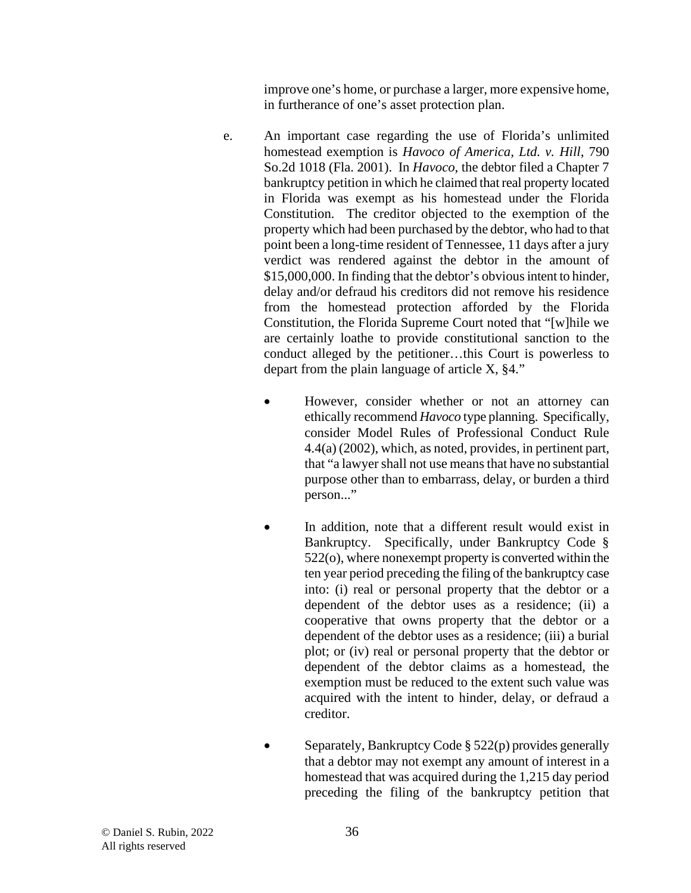improve one's home, or purchase a larger, more expensive home, in furtherance of one's asset protection plan.

- e. An important case regarding the use of Florida's unlimited homestead exemption is *Havoco of America, Ltd. v. Hill*, 790 So.2d 1018 (Fla. 2001). In *Havoco*, the debtor filed a Chapter 7 bankruptcy petition in which he claimed that real property located in Florida was exempt as his homestead under the Florida Constitution. The creditor objected to the exemption of the property which had been purchased by the debtor, who had to that point been a long-time resident of Tennessee, 11 days after a jury verdict was rendered against the debtor in the amount of \$15,000,000. In finding that the debtor's obvious intent to hinder, delay and/or defraud his creditors did not remove his residence from the homestead protection afforded by the Florida Constitution, the Florida Supreme Court noted that "[w]hile we are certainly loathe to provide constitutional sanction to the conduct alleged by the petitioner…this Court is powerless to depart from the plain language of article X, §4."
	- However, consider whether or not an attorney can ethically recommend *Havoco* type planning. Specifically, consider Model Rules of Professional Conduct Rule 4.4(a) (2002), which, as noted, provides, in pertinent part, that "a lawyer shall not use means that have no substantial purpose other than to embarrass, delay, or burden a third person..."
	- In addition, note that a different result would exist in Bankruptcy. Specifically, under Bankruptcy Code § 522(o), where nonexempt property is converted within the ten year period preceding the filing of the bankruptcy case into: (i) real or personal property that the debtor or a dependent of the debtor uses as a residence; (ii) a cooperative that owns property that the debtor or a dependent of the debtor uses as a residence; (iii) a burial plot; or (iv) real or personal property that the debtor or dependent of the debtor claims as a homestead, the exemption must be reduced to the extent such value was acquired with the intent to hinder, delay, or defraud a creditor.
	- Separately, Bankruptcy Code § 522(p) provides generally that a debtor may not exempt any amount of interest in a homestead that was acquired during the 1,215 day period preceding the filing of the bankruptcy petition that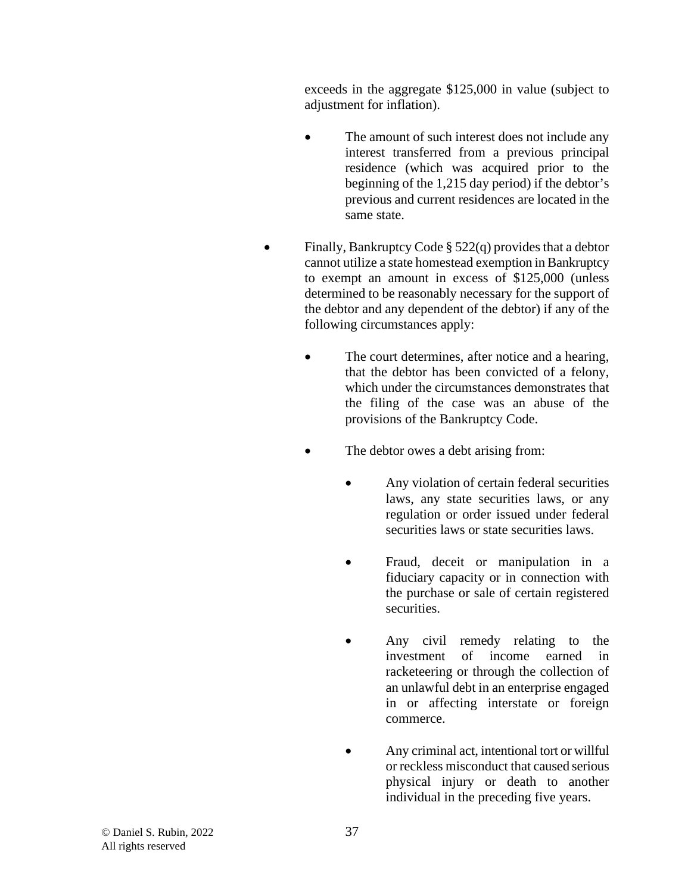exceeds in the aggregate \$125,000 in value (subject to adjustment for inflation).

- The amount of such interest does not include any interest transferred from a previous principal residence (which was acquired prior to the beginning of the 1,215 day period) if the debtor's previous and current residences are located in the same state.
- Finally, Bankruptcy Code  $\S$  522(q) provides that a debtor cannot utilize a state homestead exemption in Bankruptcy to exempt an amount in excess of \$125,000 (unless determined to be reasonably necessary for the support of the debtor and any dependent of the debtor) if any of the following circumstances apply:
	- The court determines, after notice and a hearing, that the debtor has been convicted of a felony, which under the circumstances demonstrates that the filing of the case was an abuse of the provisions of the Bankruptcy Code.
	- The debtor owes a debt arising from:
		- Any violation of certain federal securities laws, any state securities laws, or any regulation or order issued under federal securities laws or state securities laws.
		- Fraud, deceit or manipulation in a fiduciary capacity or in connection with the purchase or sale of certain registered securities.
		- Any civil remedy relating to the investment of income earned in racketeering or through the collection of an unlawful debt in an enterprise engaged in or affecting interstate or foreign commerce.
		- Any criminal act, intentional tort or willful or reckless misconduct that caused serious physical injury or death to another individual in the preceding five years.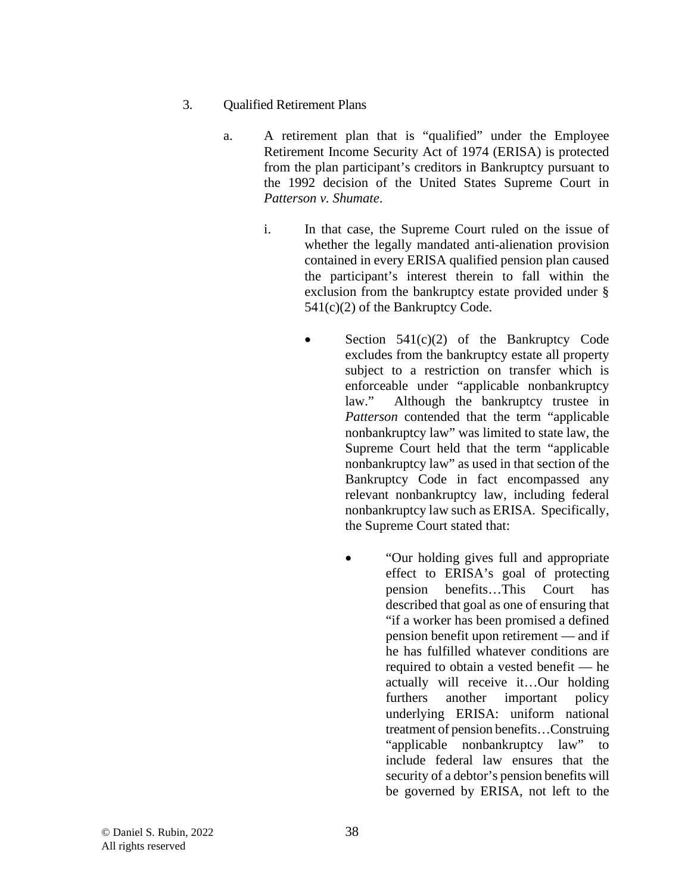- 3. Qualified Retirement Plans
	- a. A retirement plan that is "qualified" under the Employee Retirement Income Security Act of 1974 (ERISA) is protected from the plan participant's creditors in Bankruptcy pursuant to the 1992 decision of the United States Supreme Court in *Patterson v. Shumate*.
		- i. In that case, the Supreme Court ruled on the issue of whether the legally mandated anti-alienation provision contained in every ERISA qualified pension plan caused the participant's interest therein to fall within the exclusion from the bankruptcy estate provided under § 541(c)(2) of the Bankruptcy Code.
			- Section  $541(c)(2)$  of the Bankruptcy Code excludes from the bankruptcy estate all property subject to a restriction on transfer which is enforceable under "applicable nonbankruptcy law." Although the bankruptcy trustee in *Patterson* contended that the term "applicable nonbankruptcy law" was limited to state law, the Supreme Court held that the term "applicable nonbankruptcy law" as used in that section of the Bankruptcy Code in fact encompassed any relevant nonbankruptcy law, including federal nonbankruptcy law such as ERISA. Specifically, the Supreme Court stated that:
				- "Our holding gives full and appropriate" effect to ERISA's goal of protecting pension benefits…This Court has described that goal as one of ensuring that "if a worker has been promised a defined pension benefit upon retirement — and if he has fulfilled whatever conditions are required to obtain a vested benefit — he actually will receive it…Our holding furthers another important policy underlying ERISA: uniform national treatment of pension benefits…Construing "applicable nonbankruptcy law" to include federal law ensures that the security of a debtor's pension benefits will be governed by ERISA, not left to the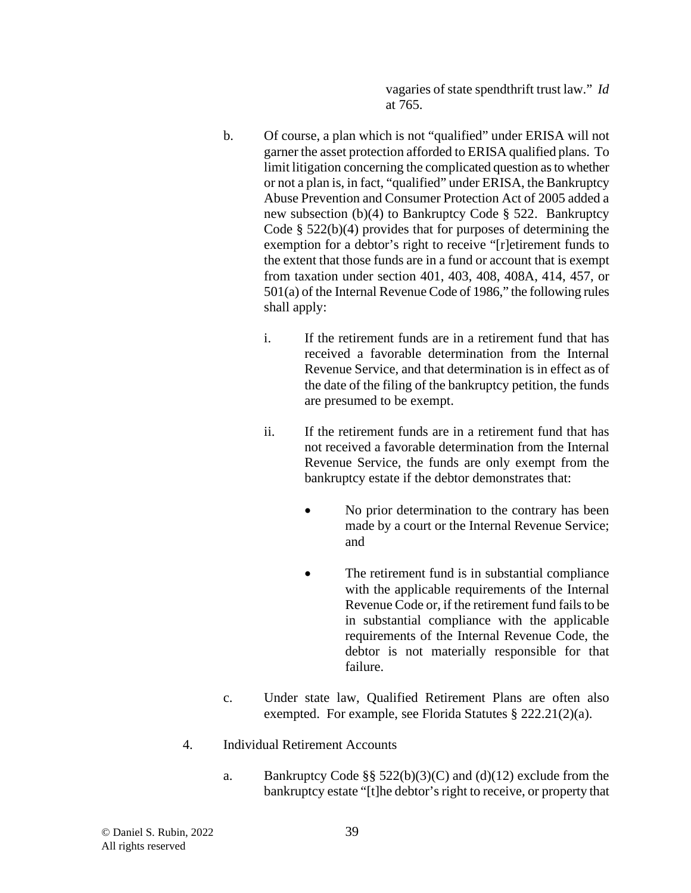vagaries of state spendthrift trust law." *Id* at 765.

- b. Of course, a plan which is not "qualified" under ERISA will not garner the asset protection afforded to ERISA qualified plans. To limit litigation concerning the complicated question as to whether or not a plan is, in fact, "qualified" under ERISA, the Bankruptcy Abuse Prevention and Consumer Protection Act of 2005 added a new subsection (b)(4) to Bankruptcy Code § 522. Bankruptcy Code § 522(b)(4) provides that for purposes of determining the exemption for a debtor's right to receive "[r]etirement funds to the extent that those funds are in a fund or account that is exempt from taxation under section 401, 403, 408, 408A, 414, 457, or 501(a) of the Internal Revenue Code of 1986," the following rules shall apply:
	- i. If the retirement funds are in a retirement fund that has received a favorable determination from the Internal Revenue Service, and that determination is in effect as of the date of the filing of the bankruptcy petition, the funds are presumed to be exempt.
	- ii. If the retirement funds are in a retirement fund that has not received a favorable determination from the Internal Revenue Service, the funds are only exempt from the bankruptcy estate if the debtor demonstrates that:
		- No prior determination to the contrary has been made by a court or the Internal Revenue Service; and
		- The retirement fund is in substantial compliance with the applicable requirements of the Internal Revenue Code or, if the retirement fund fails to be in substantial compliance with the applicable requirements of the Internal Revenue Code, the debtor is not materially responsible for that failure.
- c. Under state law, Qualified Retirement Plans are often also exempted. For example, see Florida Statutes § 222.21(2)(a).
- 4. Individual Retirement Accounts
	- a. Bankruptcy Code §§  $522(b)(3)(C)$  and (d)(12) exclude from the bankruptcy estate "[t]he debtor's right to receive, or property that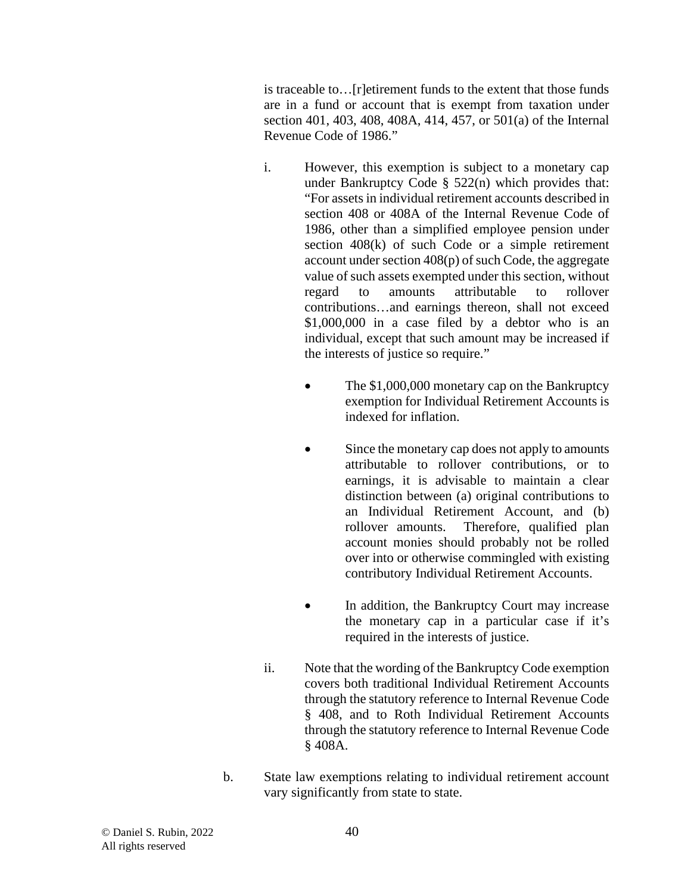is traceable to…[r]etirement funds to the extent that those funds are in a fund or account that is exempt from taxation under section 401, 403, 408, 408A, 414, 457, or 501(a) of the Internal Revenue Code of 1986."

- i. However, this exemption is subject to a monetary cap under Bankruptcy Code § 522(n) which provides that: "For assets in individual retirement accounts described in section 408 or 408A of the Internal Revenue Code of 1986, other than a simplified employee pension under section 408(k) of such Code or a simple retirement account under section 408(p) of such Code, the aggregate value of such assets exempted under this section, without regard to amounts attributable to rollover contributions…and earnings thereon, shall not exceed \$1,000,000 in a case filed by a debtor who is an individual, except that such amount may be increased if the interests of justice so require."
	- The \$1,000,000 monetary cap on the Bankruptcy exemption for Individual Retirement Accounts is indexed for inflation.
	- Since the monetary cap does not apply to amounts attributable to rollover contributions, or to earnings, it is advisable to maintain a clear distinction between (a) original contributions to an Individual Retirement Account, and (b) rollover amounts. Therefore, qualified plan account monies should probably not be rolled over into or otherwise commingled with existing contributory Individual Retirement Accounts.
	- In addition, the Bankruptcy Court may increase the monetary cap in a particular case if it's required in the interests of justice.
- ii. Note that the wording of the Bankruptcy Code exemption covers both traditional Individual Retirement Accounts through the statutory reference to Internal Revenue Code § 408, and to Roth Individual Retirement Accounts through the statutory reference to Internal Revenue Code § 408A.
- b. State law exemptions relating to individual retirement account vary significantly from state to state.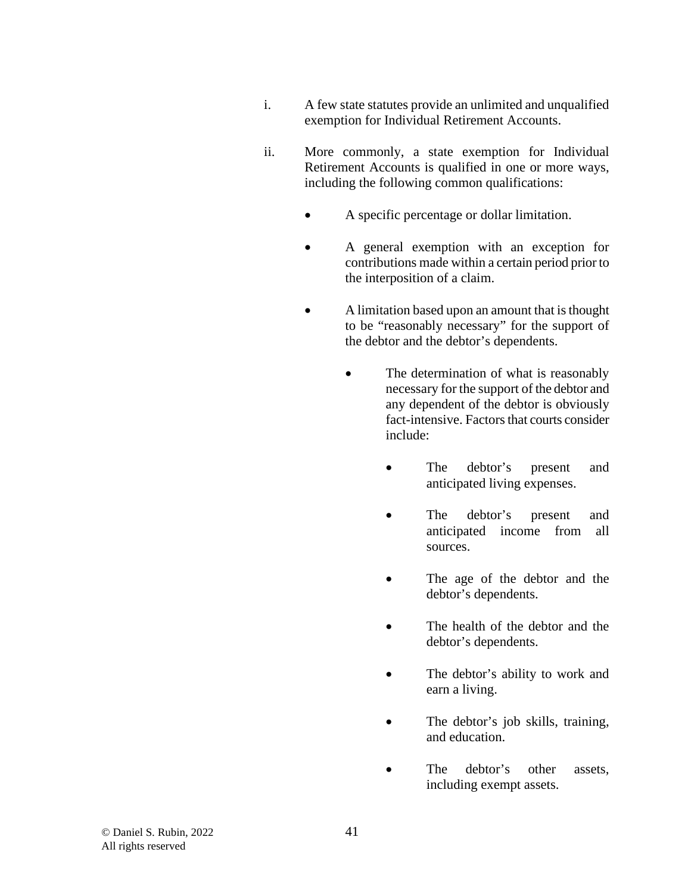- i. A few state statutes provide an unlimited and unqualified exemption for Individual Retirement Accounts.
- ii. More commonly, a state exemption for Individual Retirement Accounts is qualified in one or more ways, including the following common qualifications:
	- A specific percentage or dollar limitation.
	- A general exemption with an exception for contributions made within a certain period prior to the interposition of a claim.
	- A limitation based upon an amount that is thought to be "reasonably necessary" for the support of the debtor and the debtor's dependents.
		- The determination of what is reasonably necessary for the support of the debtor and any dependent of the debtor is obviously fact-intensive. Factors that courts consider include:
			- The debtor's present and anticipated living expenses.
			- The debtor's present and anticipated income from all sources.
			- The age of the debtor and the debtor's dependents.
			- The health of the debtor and the debtor's dependents.
			- The debtor's ability to work and earn a living.
			- The debtor's job skills, training, and education.
			- The debtor's other assets, including exempt assets.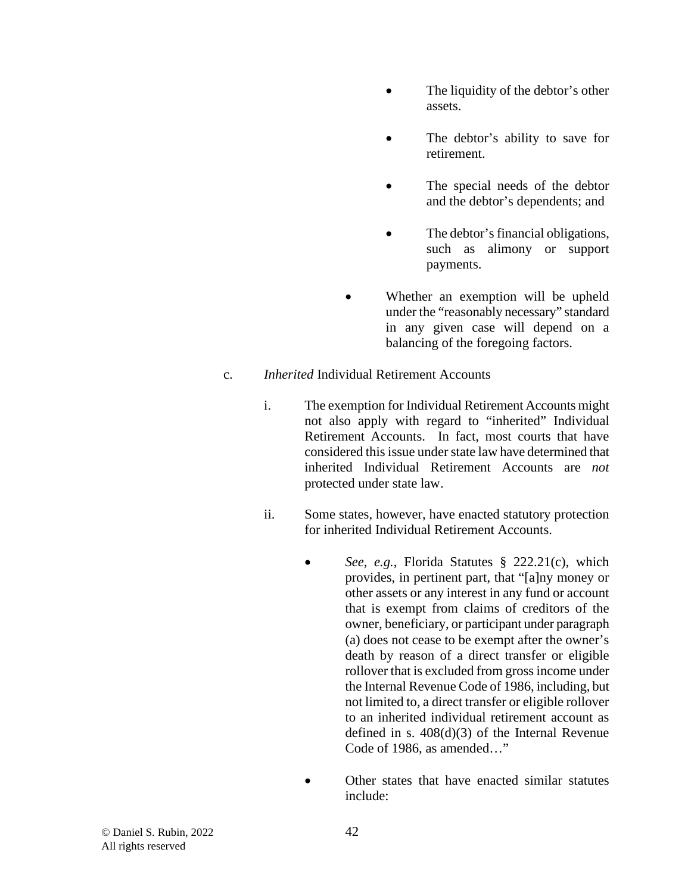- The liquidity of the debtor's other assets.
- The debtor's ability to save for retirement.
- The special needs of the debtor and the debtor's dependents; and
- The debtor's financial obligations, such as alimony or support payments.
- Whether an exemption will be upheld under the "reasonably necessary" standard in any given case will depend on a balancing of the foregoing factors.

### c. *Inherited* Individual Retirement Accounts

- i. The exemption for Individual Retirement Accounts might not also apply with regard to "inherited" Individual Retirement Accounts. In fact, most courts that have considered this issue under state law have determined that inherited Individual Retirement Accounts are *not* protected under state law.
- ii. Some states, however, have enacted statutory protection for inherited Individual Retirement Accounts.
	- *See*, *e.g.*, Florida Statutes § 222.21(c), which provides, in pertinent part, that "[a]ny money or other assets or any interest in any fund or account that is exempt from claims of creditors of the owner, beneficiary, or participant under paragraph (a) does not cease to be exempt after the owner's death by reason of a direct transfer or eligible rollover that is excluded from gross income under the Internal Revenue Code of 1986, including, but not limited to, a direct transfer or eligible rollover to an inherited individual retirement account as defined in s. 408(d)(3) of the Internal Revenue Code of 1986, as amended…"
	- Other states that have enacted similar statutes include: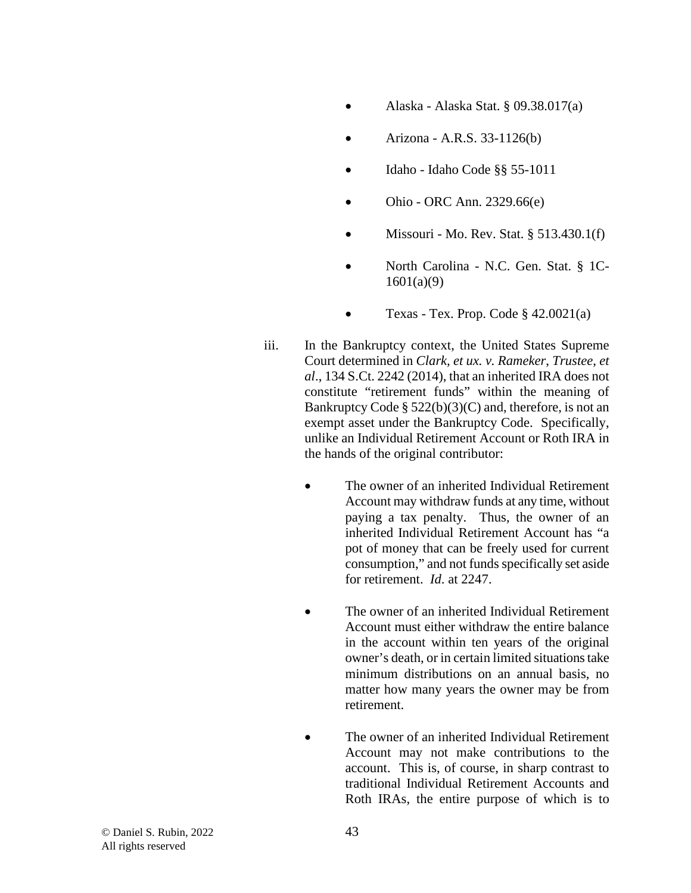- Alaska Alaska Stat. § 09.38.017(a)
- Arizona A.R.S. 33-1126(b)
- Idaho Idaho Code §§ 55-1011
- Ohio ORC Ann. 2329.66(e)
- Missouri Mo. Rev. Stat. § 513.430.1(f)
- North Carolina N.C. Gen. Stat. § 1C-1601(a)(9)
- Texas Tex. Prop. Code  $§$  42.0021(a)
- iii. In the Bankruptcy context, the United States Supreme Court determined in *Clark, et ux. v. Rameker*, *Trustee*, *et al*., 134 S.Ct. 2242 (2014), that an inherited IRA does not constitute "retirement funds" within the meaning of Bankruptcy Code §  $522(b)(3)(C)$  and, therefore, is not an exempt asset under the Bankruptcy Code. Specifically, unlike an Individual Retirement Account or Roth IRA in the hands of the original contributor:
	- The owner of an inherited Individual Retirement Account may withdraw funds at any time, without paying a tax penalty. Thus, the owner of an inherited Individual Retirement Account has "a pot of money that can be freely used for current consumption," and not funds specifically set aside for retirement. *Id*. at 2247.
	- The owner of an inherited Individual Retirement Account must either withdraw the entire balance in the account within ten years of the original owner's death, or in certain limited situations take minimum distributions on an annual basis, no matter how many years the owner may be from retirement.
	- The owner of an inherited Individual Retirement Account may not make contributions to the account. This is, of course, in sharp contrast to traditional Individual Retirement Accounts and Roth IRAs, the entire purpose of which is to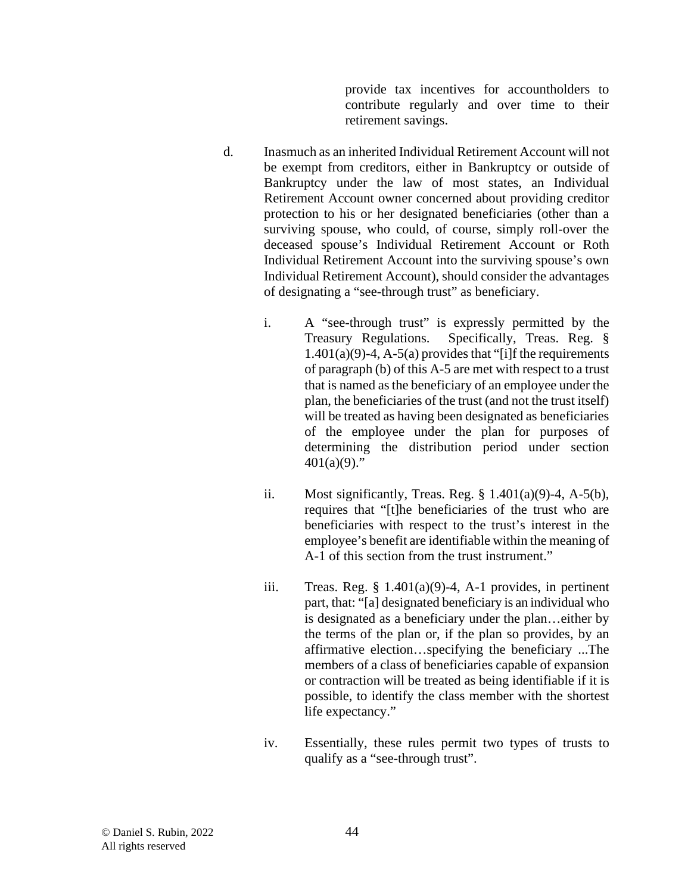provide tax incentives for accountholders to contribute regularly and over time to their retirement savings.

- d. Inasmuch as an inherited Individual Retirement Account will not be exempt from creditors, either in Bankruptcy or outside of Bankruptcy under the law of most states, an Individual Retirement Account owner concerned about providing creditor protection to his or her designated beneficiaries (other than a surviving spouse, who could, of course, simply roll-over the deceased spouse's Individual Retirement Account or Roth Individual Retirement Account into the surviving spouse's own Individual Retirement Account), should consider the advantages of designating a "see-through trust" as beneficiary.
	- i. A "see-through trust" is expressly permitted by the Treasury Regulations. Specifically, Treas. Reg. §  $1.401(a)(9)-4$ , A-5(a) provides that "[i]f the requirements of paragraph (b) of this A-5 are met with respect to a trust that is named as the beneficiary of an employee under the plan, the beneficiaries of the trust (and not the trust itself) will be treated as having been designated as beneficiaries of the employee under the plan for purposes of determining the distribution period under section  $401(a)(9)$ ."
	- ii. Most significantly, Treas. Reg.  $\S$  1.401(a)(9)-4, A-5(b), requires that "[t]he beneficiaries of the trust who are beneficiaries with respect to the trust's interest in the employee's benefit are identifiable within the meaning of A-1 of this section from the trust instrument."
	- iii. Treas. Reg.  $\S 1.401(a)(9)-4$ , A-1 provides, in pertinent part, that: "[a] designated beneficiary is an individual who is designated as a beneficiary under the plan…either by the terms of the plan or, if the plan so provides, by an affirmative election…specifying the beneficiary ...The members of a class of beneficiaries capable of expansion or contraction will be treated as being identifiable if it is possible, to identify the class member with the shortest life expectancy."
	- iv. Essentially, these rules permit two types of trusts to qualify as a "see-through trust".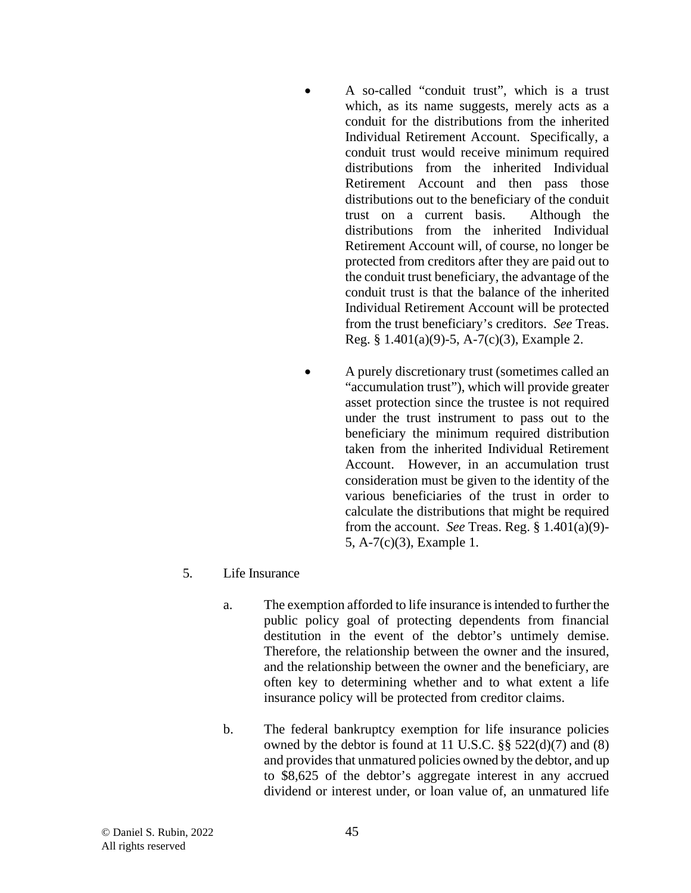- A so-called "conduit trust", which is a trust which, as its name suggests, merely acts as a conduit for the distributions from the inherited Individual Retirement Account. Specifically, a conduit trust would receive minimum required distributions from the inherited Individual Retirement Account and then pass those distributions out to the beneficiary of the conduit trust on a current basis. Although the distributions from the inherited Individual Retirement Account will, of course, no longer be protected from creditors after they are paid out to the conduit trust beneficiary, the advantage of the conduit trust is that the balance of the inherited Individual Retirement Account will be protected from the trust beneficiary's creditors. *See* Treas. Reg. § 1.401(a)(9)-5, A-7(c)(3), Example 2.
- A purely discretionary trust (sometimes called an "accumulation trust"), which will provide greater asset protection since the trustee is not required under the trust instrument to pass out to the beneficiary the minimum required distribution taken from the inherited Individual Retirement Account. However, in an accumulation trust consideration must be given to the identity of the various beneficiaries of the trust in order to calculate the distributions that might be required from the account. *See* Treas. Reg. § 1.401(a)(9)- 5, A-7(c)(3), Example 1.
- 5. Life Insurance
	- a. The exemption afforded to life insurance is intended to further the public policy goal of protecting dependents from financial destitution in the event of the debtor's untimely demise. Therefore, the relationship between the owner and the insured, and the relationship between the owner and the beneficiary, are often key to determining whether and to what extent a life insurance policy will be protected from creditor claims.
	- b. The federal bankruptcy exemption for life insurance policies owned by the debtor is found at 11 U.S.C. §§ 522(d)(7) and (8) and provides that unmatured policies owned by the debtor, and up to \$8,625 of the debtor's aggregate interest in any accrued dividend or interest under, or loan value of, an unmatured life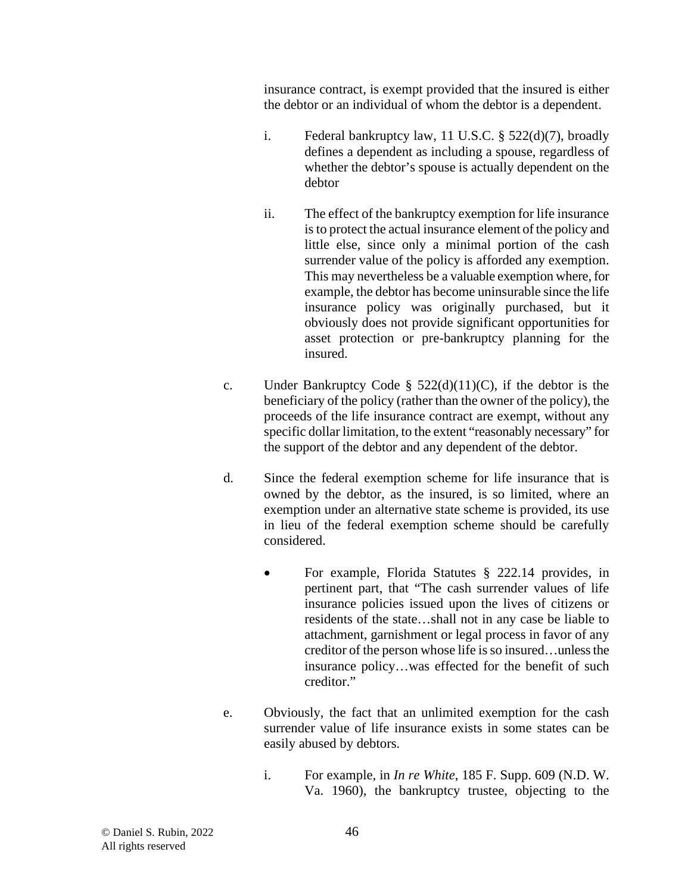insurance contract, is exempt provided that the insured is either the debtor or an individual of whom the debtor is a dependent.

- i. Federal bankruptcy law, 11 U.S.C. § 522(d)(7), broadly defines a dependent as including a spouse, regardless of whether the debtor's spouse is actually dependent on the debtor
- ii. The effect of the bankruptcy exemption for life insurance is to protect the actual insurance element of the policy and little else, since only a minimal portion of the cash surrender value of the policy is afforded any exemption. This may nevertheless be a valuable exemption where, for example, the debtor has become uninsurable since the life insurance policy was originally purchased, but it obviously does not provide significant opportunities for asset protection or pre-bankruptcy planning for the insured.
- c. Under Bankruptcy Code §  $522(d)(11)(C)$ , if the debtor is the beneficiary of the policy (rather than the owner of the policy), the proceeds of the life insurance contract are exempt, without any specific dollar limitation, to the extent "reasonably necessary" for the support of the debtor and any dependent of the debtor.
- d. Since the federal exemption scheme for life insurance that is owned by the debtor, as the insured, is so limited, where an exemption under an alternative state scheme is provided, its use in lieu of the federal exemption scheme should be carefully considered.
	- For example, Florida Statutes § 222.14 provides, in pertinent part, that "The cash surrender values of life insurance policies issued upon the lives of citizens or residents of the state…shall not in any case be liable to attachment, garnishment or legal process in favor of any creditor of the person whose life is so insured…unless the insurance policy…was effected for the benefit of such creditor."
- e. Obviously, the fact that an unlimited exemption for the cash surrender value of life insurance exists in some states can be easily abused by debtors.
	- i. For example, in *In re White*, 185 F. Supp. 609 (N.D. W. Va. 1960), the bankruptcy trustee, objecting to the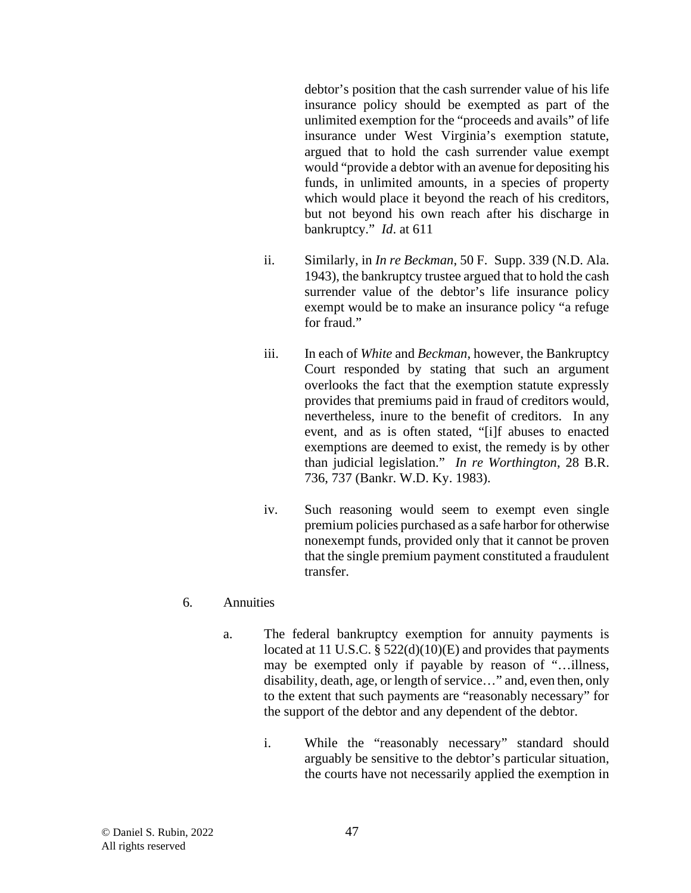debtor's position that the cash surrender value of his life insurance policy should be exempted as part of the unlimited exemption for the "proceeds and avails" of life insurance under West Virginia's exemption statute, argued that to hold the cash surrender value exempt would "provide a debtor with an avenue for depositing his funds, in unlimited amounts, in a species of property which would place it beyond the reach of his creditors, but not beyond his own reach after his discharge in bankruptcy." *Id*. at 611

- ii. Similarly, in *In re Beckman*, 50 F. Supp. 339 (N.D. Ala. 1943), the bankruptcy trustee argued that to hold the cash surrender value of the debtor's life insurance policy exempt would be to make an insurance policy "a refuge for fraud."
- iii. In each of *White* and *Beckman*, however, the Bankruptcy Court responded by stating that such an argument overlooks the fact that the exemption statute expressly provides that premiums paid in fraud of creditors would, nevertheless, inure to the benefit of creditors. In any event, and as is often stated, "[i]f abuses to enacted exemptions are deemed to exist, the remedy is by other than judicial legislation." *In re Worthington*, 28 B.R. 736, 737 (Bankr. W.D. Ky. 1983).
- iv. Such reasoning would seem to exempt even single premium policies purchased as a safe harbor for otherwise nonexempt funds, provided only that it cannot be proven that the single premium payment constituted a fraudulent transfer.

#### 6. Annuities

- a. The federal bankruptcy exemption for annuity payments is located at 11 U.S.C. § 522(d)(10)(E) and provides that payments may be exempted only if payable by reason of "…illness, disability, death, age, or length of service…" and, even then, only to the extent that such payments are "reasonably necessary" for the support of the debtor and any dependent of the debtor.
	- i. While the "reasonably necessary" standard should arguably be sensitive to the debtor's particular situation, the courts have not necessarily applied the exemption in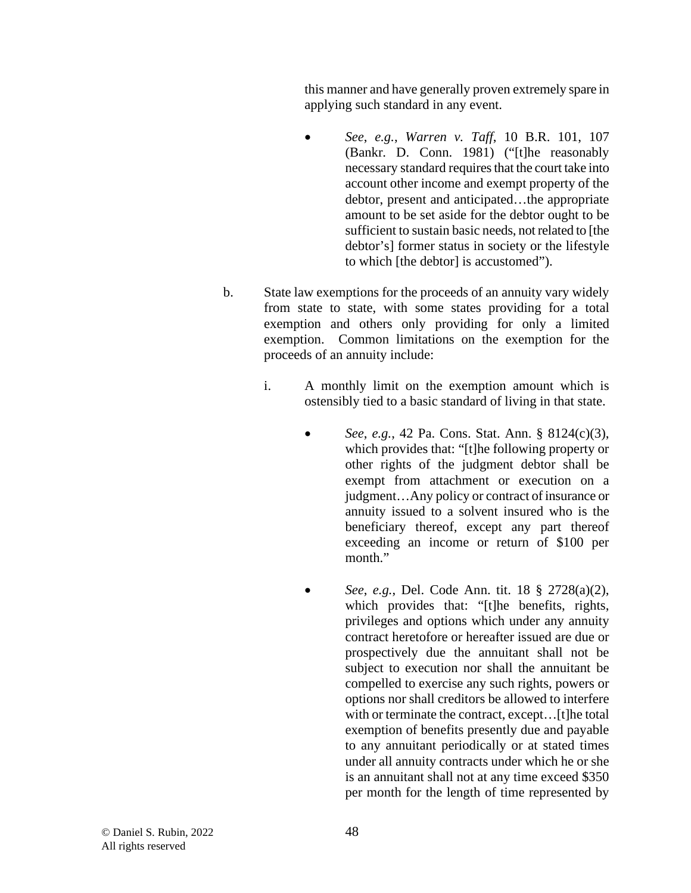this manner and have generally proven extremely spare in applying such standard in any event.

- *See*, *e.g.*, *Warren v. Taff*, 10 B.R. 101, 107 (Bankr. D. Conn. 1981) ("[t]he reasonably necessary standard requires that the court take into account other income and exempt property of the debtor, present and anticipated…the appropriate amount to be set aside for the debtor ought to be sufficient to sustain basic needs, not related to [the debtor's] former status in society or the lifestyle to which [the debtor] is accustomed").
- b. State law exemptions for the proceeds of an annuity vary widely from state to state, with some states providing for a total exemption and others only providing for only a limited exemption. Common limitations on the exemption for the proceeds of an annuity include:
	- i. A monthly limit on the exemption amount which is ostensibly tied to a basic standard of living in that state.
		- *See*, *e.g.*, 42 Pa. Cons. Stat. Ann. § 8124(c)(3), which provides that: "[t]he following property or other rights of the judgment debtor shall be exempt from attachment or execution on a judgment…Any policy or contract of insurance or annuity issued to a solvent insured who is the beneficiary thereof, except any part thereof exceeding an income or return of \$100 per month."
		- *See*, *e.g.*, Del. Code Ann. tit. 18 § 2728(a)(2), which provides that: "[t]he benefits, rights, privileges and options which under any annuity contract heretofore or hereafter issued are due or prospectively due the annuitant shall not be subject to execution nor shall the annuitant be compelled to exercise any such rights, powers or options nor shall creditors be allowed to interfere with or terminate the contract, except... [t]he total exemption of benefits presently due and payable to any annuitant periodically or at stated times under all annuity contracts under which he or she is an annuitant shall not at any time exceed \$350 per month for the length of time represented by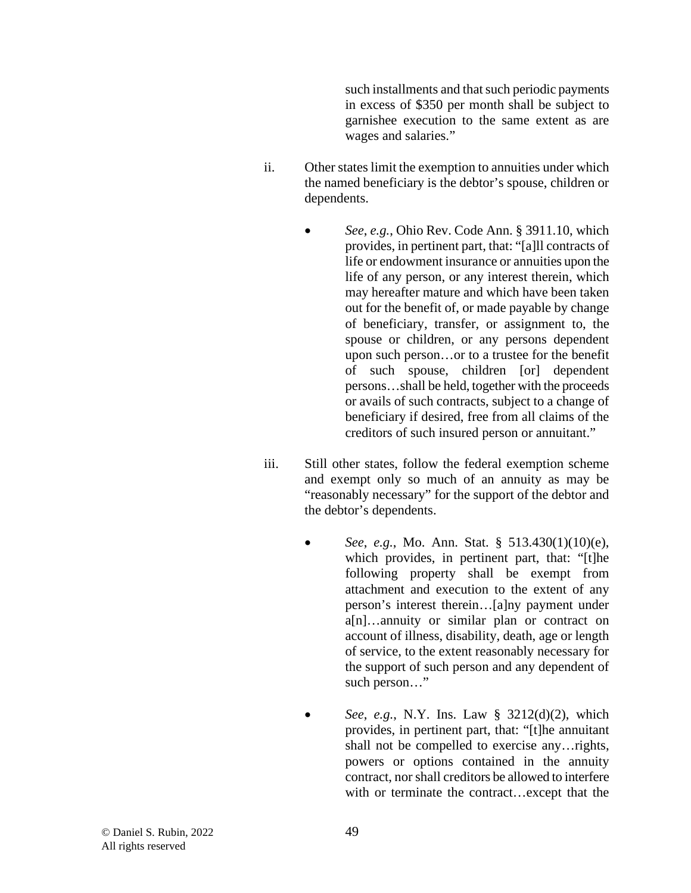such installments and that such periodic payments in excess of \$350 per month shall be subject to garnishee execution to the same extent as are wages and salaries."

- ii. Other states limit the exemption to annuities under which the named beneficiary is the debtor's spouse, children or dependents.
	- *See*, *e.g.*, Ohio Rev. Code Ann. § 3911.10, which provides, in pertinent part, that: "[a]ll contracts of life or endowment insurance or annuities upon the life of any person, or any interest therein, which may hereafter mature and which have been taken out for the benefit of, or made payable by change of beneficiary, transfer, or assignment to, the spouse or children, or any persons dependent upon such person…or to a trustee for the benefit of such spouse, children [or] dependent persons…shall be held, together with the proceeds or avails of such contracts, subject to a change of beneficiary if desired, free from all claims of the creditors of such insured person or annuitant."
- iii. Still other states, follow the federal exemption scheme and exempt only so much of an annuity as may be "reasonably necessary" for the support of the debtor and the debtor's dependents.
	- *See*, *e.g.*, Mo. Ann. Stat. § 513.430(1)(10)(e), which provides, in pertinent part, that: "[t]he following property shall be exempt from attachment and execution to the extent of any person's interest therein…[a]ny payment under a[n]…annuity or similar plan or contract on account of illness, disability, death, age or length of service, to the extent reasonably necessary for the support of such person and any dependent of such person…"
	- *See*, *e.g.*, N.Y. Ins. Law § 3212(d)(2), which provides, in pertinent part, that: "[t]he annuitant shall not be compelled to exercise any…rights, powers or options contained in the annuity contract, nor shall creditors be allowed to interfere with or terminate the contract…except that the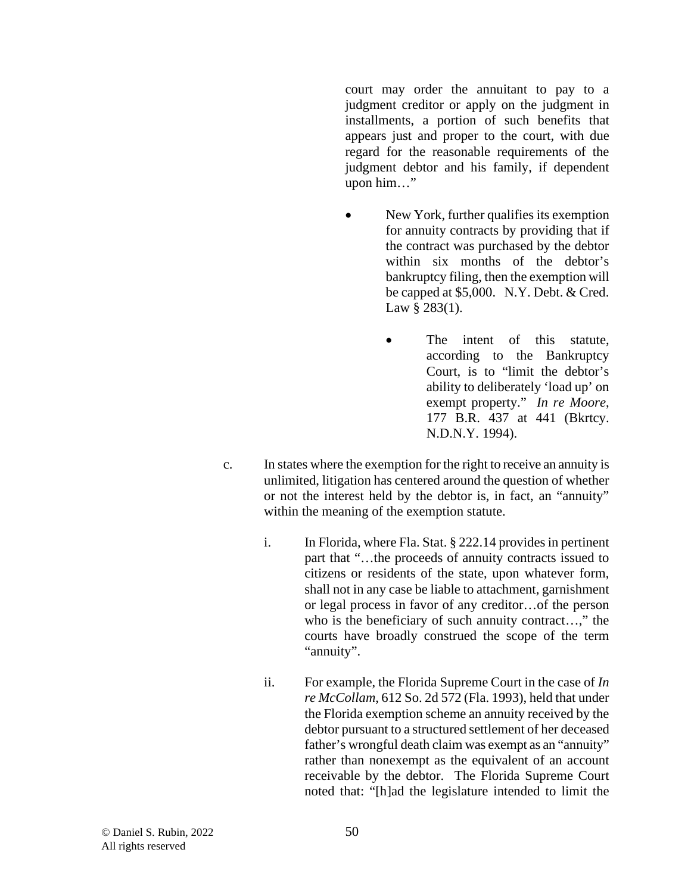court may order the annuitant to pay to a judgment creditor or apply on the judgment in installments, a portion of such benefits that appears just and proper to the court, with due regard for the reasonable requirements of the judgment debtor and his family, if dependent upon him…"

- New York, further qualifies its exemption for annuity contracts by providing that if the contract was purchased by the debtor within six months of the debtor's bankruptcy filing, then the exemption will be capped at \$5,000. N.Y. Debt. & Cred. Law § 283(1).
	- The intent of this statute, according to the Bankruptcy Court, is to "limit the debtor's ability to deliberately 'load up' on exempt property." *In re Moore*, 177 B.R. 437 at 441 (Bkrtcy. N.D.N.Y. 1994).
- c. In states where the exemption for the right to receive an annuity is unlimited, litigation has centered around the question of whether or not the interest held by the debtor is, in fact, an "annuity" within the meaning of the exemption statute.
	- i. In Florida, where Fla. Stat. § 222.14 provides in pertinent part that "…the proceeds of annuity contracts issued to citizens or residents of the state, upon whatever form, shall not in any case be liable to attachment, garnishment or legal process in favor of any creditor…of the person who is the beneficiary of such annuity contract...," the courts have broadly construed the scope of the term "annuity".
	- ii. For example, the Florida Supreme Court in the case of *In re McCollam*, 612 So. 2d 572 (Fla. 1993), held that under the Florida exemption scheme an annuity received by the debtor pursuant to a structured settlement of her deceased father's wrongful death claim was exempt as an "annuity" rather than nonexempt as the equivalent of an account receivable by the debtor. The Florida Supreme Court noted that: "[h]ad the legislature intended to limit the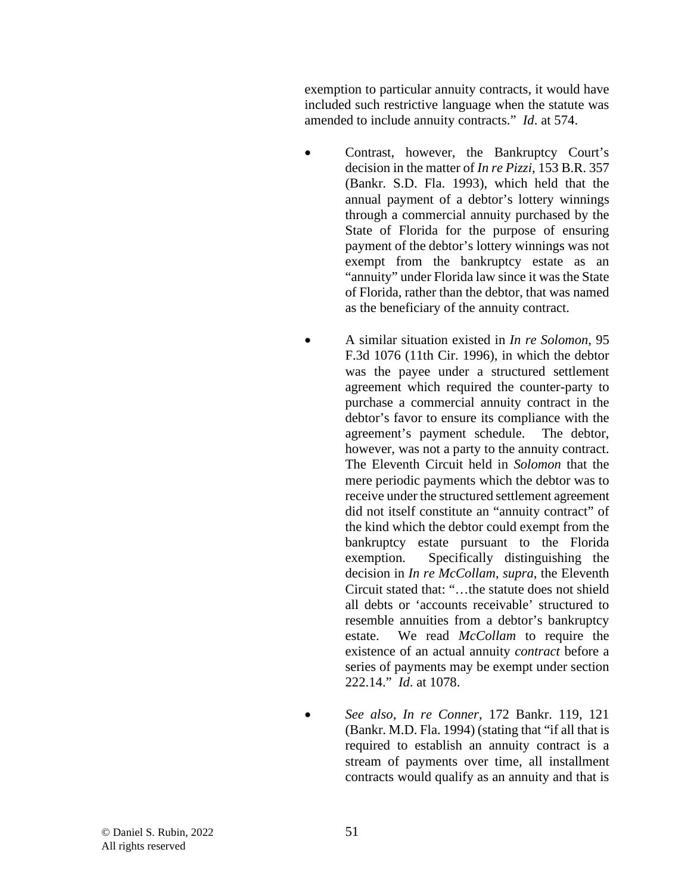exemption to particular annuity contracts, it would have included such restrictive language when the statute was amended to include annuity contracts." *Id*. at 574.

- Contrast, however, the Bankruptcy Court's decision in the matter of *In re Pizzi*, 153 B.R. 357 (Bankr. S.D. Fla. 1993), which held that the annual payment of a debtor's lottery winnings through a commercial annuity purchased by the State of Florida for the purpose of ensuring payment of the debtor's lottery winnings was not exempt from the bankruptcy estate as an "annuity" under Florida law since it was the State of Florida, rather than the debtor, that was named as the beneficiary of the annuity contract.
	- A similar situation existed in *In re Solomon*, 95 F.3d 1076 (11th Cir. 1996), in which the debtor was the payee under a structured settlement agreement which required the counter-party to purchase a commercial annuity contract in the debtor's favor to ensure its compliance with the agreement's payment schedule. The debtor, however, was not a party to the annuity contract. The Eleventh Circuit held in *Solomon* that the mere periodic payments which the debtor was to receive under the structured settlement agreement did not itself constitute an "annuity contract" of the kind which the debtor could exempt from the bankruptcy estate pursuant to the Florida exemption. Specifically distinguishing the decision in *In re McCollam*, *supra*, the Eleventh Circuit stated that: "…the statute does not shield all debts or 'accounts receivable' structured to resemble annuities from a debtor's bankruptcy estate. We read *McCollam* to require the existence of an actual annuity *contract* before a series of payments may be exempt under section 222.14." *Id*. at 1078.
- *See also*, *In re Conner*, 172 Bankr. 119, 121 (Bankr. M.D. Fla. 1994) (stating that "if all that is required to establish an annuity contract is a stream of payments over time, all installment contracts would qualify as an annuity and that is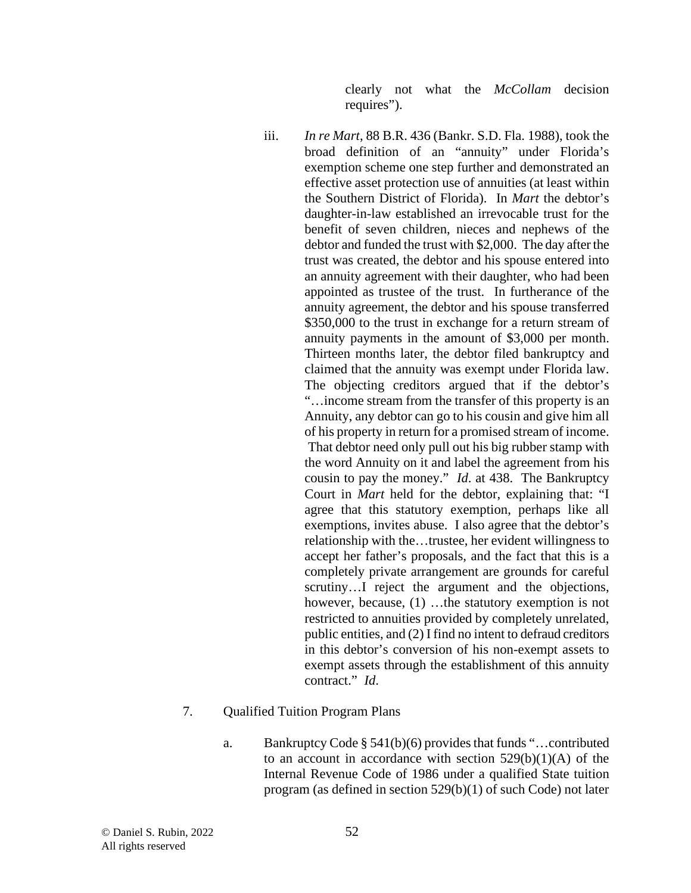clearly not what the *McCollam* decision requires").

iii. *In re Mart*, 88 B.R. 436 (Bankr. S.D. Fla. 1988), took the broad definition of an "annuity" under Florida's exemption scheme one step further and demonstrated an effective asset protection use of annuities (at least within the Southern District of Florida). In *Mart* the debtor's daughter-in-law established an irrevocable trust for the benefit of seven children, nieces and nephews of the debtor and funded the trust with \$2,000. The day after the trust was created, the debtor and his spouse entered into an annuity agreement with their daughter, who had been appointed as trustee of the trust. In furtherance of the annuity agreement, the debtor and his spouse transferred \$350,000 to the trust in exchange for a return stream of annuity payments in the amount of \$3,000 per month. Thirteen months later, the debtor filed bankruptcy and claimed that the annuity was exempt under Florida law. The objecting creditors argued that if the debtor's "…income stream from the transfer of this property is an Annuity, any debtor can go to his cousin and give him all of his property in return for a promised stream of income. That debtor need only pull out his big rubber stamp with the word Annuity on it and label the agreement from his cousin to pay the money." *Id*. at 438. The Bankruptcy Court in *Mart* held for the debtor, explaining that: "I agree that this statutory exemption, perhaps like all exemptions, invites abuse. I also agree that the debtor's relationship with the…trustee, her evident willingness to accept her father's proposals, and the fact that this is a completely private arrangement are grounds for careful scrutiny…I reject the argument and the objections, however, because, (1) …the statutory exemption is not restricted to annuities provided by completely unrelated, public entities, and (2) I find no intent to defraud creditors in this debtor's conversion of his non-exempt assets to exempt assets through the establishment of this annuity contract." *Id*.

### 7. Qualified Tuition Program Plans

a. Bankruptcy Code § 541(b)(6) provides that funds "…contributed to an account in accordance with section 529(b)(1)(A) of the Internal Revenue Code of 1986 under a qualified State tuition program (as defined in section 529(b)(1) of such Code) not later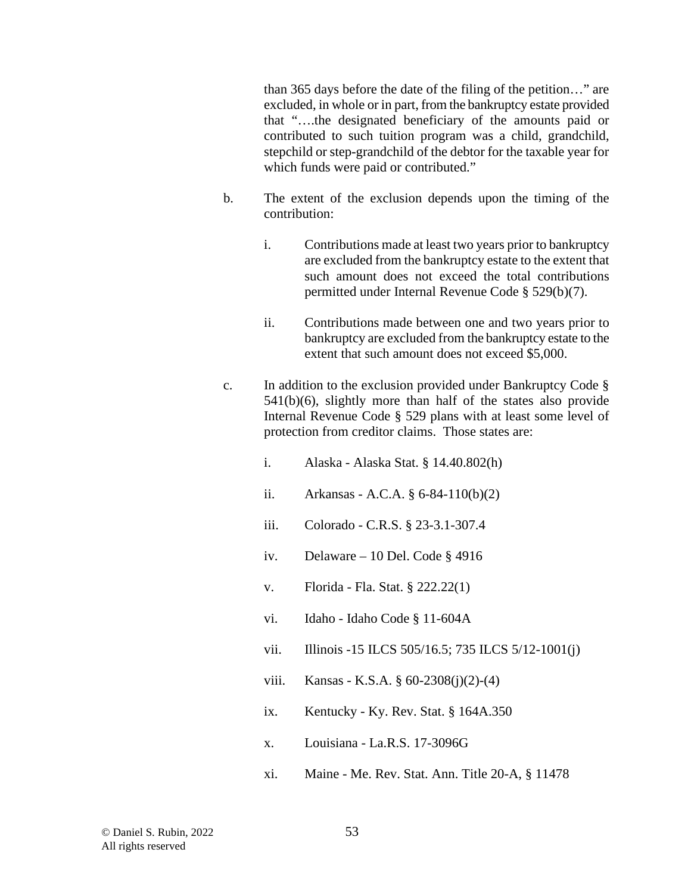than 365 days before the date of the filing of the petition…" are excluded, in whole or in part, from the bankruptcy estate provided that "….the designated beneficiary of the amounts paid or contributed to such tuition program was a child, grandchild, stepchild or step-grandchild of the debtor for the taxable year for which funds were paid or contributed."

- b. The extent of the exclusion depends upon the timing of the contribution:
	- i. Contributions made at least two years prior to bankruptcy are excluded from the bankruptcy estate to the extent that such amount does not exceed the total contributions permitted under Internal Revenue Code § 529(b)(7).
	- ii. Contributions made between one and two years prior to bankruptcy are excluded from the bankruptcy estate to the extent that such amount does not exceed \$5,000.
- c. In addition to the exclusion provided under Bankruptcy Code § 541(b)(6), slightly more than half of the states also provide Internal Revenue Code § 529 plans with at least some level of protection from creditor claims. Those states are:
	- i. Alaska Alaska Stat. § 14.40.802(h)
	- ii. Arkansas A.C.A. § 6-84-110(b)(2)
	- iii. Colorado C.R.S. § 23-3.1-307.4
	- iv. Delaware 10 Del. Code § 4916
	- v. Florida Fla. Stat. § 222.22(1)
	- vi. Idaho Idaho Code § 11-604A
	- vii. Illinois -15 ILCS 505/16.5; 735 ILCS 5/12-1001(j)
	- viii. Kansas K.S.A.  $\frac{60-2308(i)(2)-(4)}{6}$
	- ix. Kentucky Ky. Rev. Stat.  $§$  164A.350
	- x. Louisiana La.R.S. 17-3096G
	- xi. Maine Me. Rev. Stat. Ann. Title 20-A, § 11478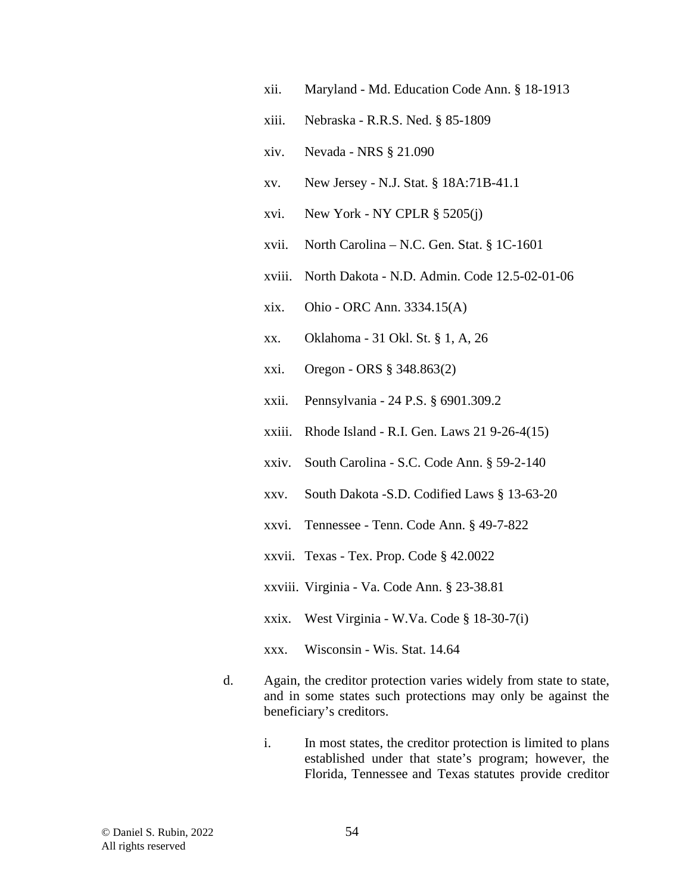- xii. Maryland Md. Education Code Ann. § 18-1913
- xiii. Nebraska R.R.S. Ned. § 85-1809
- xiv. Nevada NRS § 21.090
- xv. New Jersey N.J. Stat. § 18A:71B-41.1
- xvi. New York NY CPLR § 5205(j)
- xvii. North Carolina N.C. Gen. Stat. § 1C-1601
- xviii. North Dakota N.D. Admin. Code 12.5-02-01-06
- xix. Ohio ORC Ann. 3334.15(A)
- xx. Oklahoma 31 Okl. St. § 1, A, 26
- xxi. Oregon ORS § 348.863(2)
- xxii. Pennsylvania 24 P.S. § 6901.309.2
- xxiii. Rhode Island R.I. Gen. Laws 21 9-26-4(15)
- xxiv. South Carolina S.C. Code Ann. § 59-2-140
- xxv. South Dakota -S.D. Codified Laws § 13-63-20
- xxvi. Tennessee Tenn. Code Ann. § 49-7-822
- xxvii. Texas Tex. Prop. Code § 42.0022
- xxviii. Virginia Va. Code Ann. § 23-38.81
- xxix. West Virginia W.Va. Code § 18-30-7(i)
- xxx. Wisconsin Wis. Stat. 14.64
- d. Again, the creditor protection varies widely from state to state, and in some states such protections may only be against the beneficiary's creditors.
	- i. In most states, the creditor protection is limited to plans established under that state's program; however, the Florida, Tennessee and Texas statutes provide creditor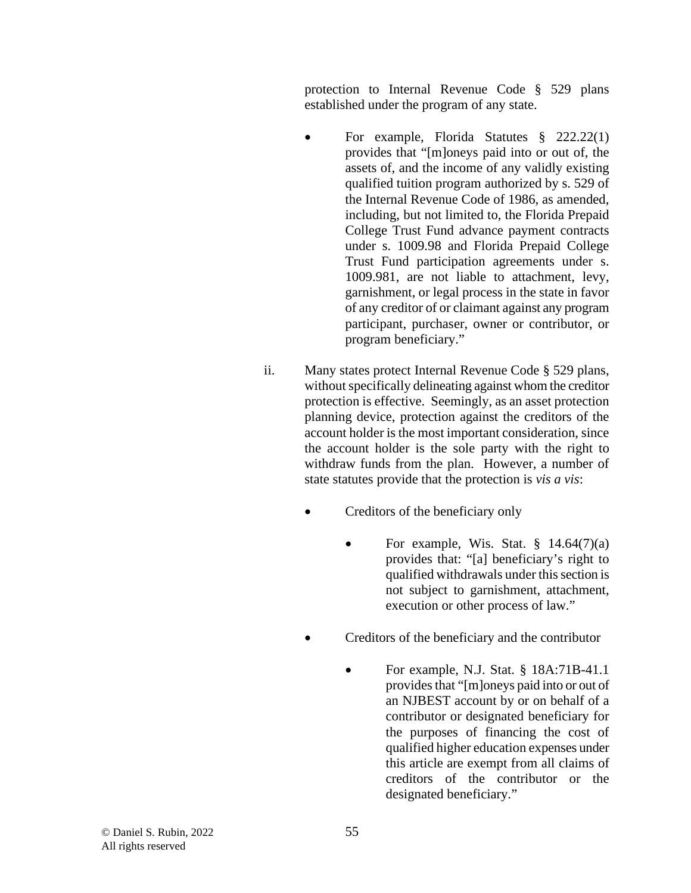protection to Internal Revenue Code § 529 plans established under the program of any state.

- For example, Florida Statutes § 222.22(1) provides that "[m]oneys paid into or out of, the assets of, and the income of any validly existing qualified tuition program authorized by s. 529 of the Internal Revenue Code of 1986, as amended, including, but not limited to, the Florida Prepaid College Trust Fund advance payment contracts under s. 1009.98 and Florida Prepaid College Trust Fund participation agreements under s. 1009.981, are not liable to attachment, levy, garnishment, or legal process in the state in favor of any creditor of or claimant against any program participant, purchaser, owner or contributor, or program beneficiary."
- ii. Many states protect Internal Revenue Code § 529 plans, without specifically delineating against whom the creditor protection is effective. Seemingly, as an asset protection planning device, protection against the creditors of the account holder is the most important consideration, since the account holder is the sole party with the right to withdraw funds from the plan. However, a number of state statutes provide that the protection is *vis a vis*:
	- Creditors of the beneficiary only
		- For example, Wis. Stat.  $\S$  14.64(7)(a) provides that: "[a] beneficiary's right to qualified withdrawals under this section is not subject to garnishment, attachment, execution or other process of law."
	- Creditors of the beneficiary and the contributor
		- For example, N.J. Stat. § 18A:71B-41.1 provides that "[m]oneys paid into or out of an NJBEST account by or on behalf of a contributor or designated beneficiary for the purposes of financing the cost of qualified higher education expenses under this article are exempt from all claims of creditors of the contributor or the designated beneficiary."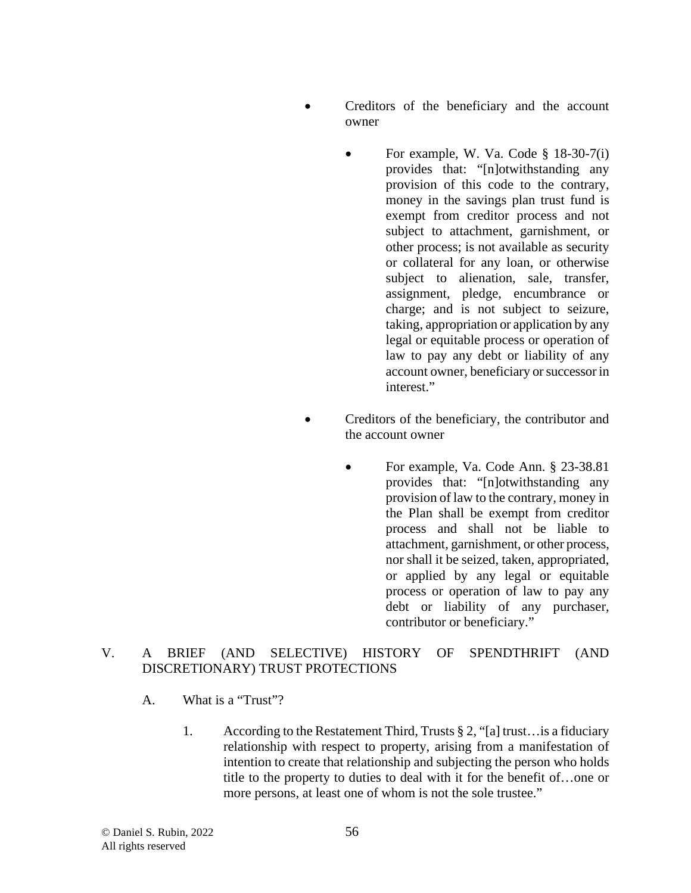- Creditors of the beneficiary and the account owner
	- For example, W. Va. Code § 18-30-7(i) provides that: "[n]otwithstanding any provision of this code to the contrary, money in the savings plan trust fund is exempt from creditor process and not subject to attachment, garnishment, or other process; is not available as security or collateral for any loan, or otherwise subject to alienation, sale, transfer, assignment, pledge, encumbrance or charge; and is not subject to seizure, taking, appropriation or application by any legal or equitable process or operation of law to pay any debt or liability of any account owner, beneficiary or successor in interest."
- Creditors of the beneficiary, the contributor and the account owner
	- For example, Va. Code Ann. § 23-38.81 provides that: "[n]otwithstanding any provision of law to the contrary, money in the Plan shall be exempt from creditor process and shall not be liable to attachment, garnishment, or other process, nor shall it be seized, taken, appropriated, or applied by any legal or equitable process or operation of law to pay any debt or liability of any purchaser, contributor or beneficiary."

### V. A BRIEF (AND SELECTIVE) HISTORY OF SPENDTHRIFT (AND DISCRETIONARY) TRUST PROTECTIONS

- A. What is a "Trust"?
	- 1. According to the Restatement Third, Trusts § 2, "[a] trust…is a fiduciary relationship with respect to property, arising from a manifestation of intention to create that relationship and subjecting the person who holds title to the property to duties to deal with it for the benefit of…one or more persons, at least one of whom is not the sole trustee."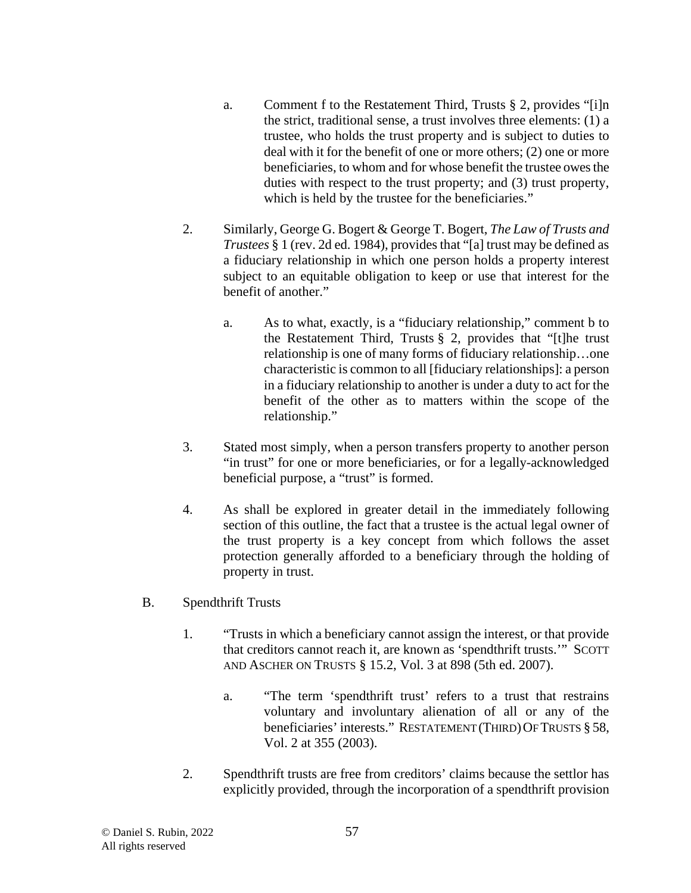- a. Comment f to the Restatement Third, Trusts § 2, provides "[i]n the strict, traditional sense, a trust involves three elements: (1) a trustee, who holds the trust property and is subject to duties to deal with it for the benefit of one or more others; (2) one or more beneficiaries, to whom and for whose benefit the trustee owes the duties with respect to the trust property; and (3) trust property, which is held by the trustee for the beneficiaries."
- 2. Similarly, George G. Bogert & George T. Bogert, *The Law of Trusts and Trustees* § 1 (rev. 2d ed. 1984), provides that "[a] trust may be defined as a fiduciary relationship in which one person holds a property interest subject to an equitable obligation to keep or use that interest for the benefit of another."
	- a. As to what, exactly, is a "fiduciary relationship," comment b to the Restatement Third, Trusts  $\S$  2, provides that "[t]he trust relationship is one of many forms of fiduciary relationship…one characteristic is common to all [fiduciary relationships]: a person in a fiduciary relationship to another is under a duty to act for the benefit of the other as to matters within the scope of the relationship."
- 3. Stated most simply, when a person transfers property to another person "in trust" for one or more beneficiaries, or for a legally-acknowledged beneficial purpose, a "trust" is formed.
- 4. As shall be explored in greater detail in the immediately following section of this outline, the fact that a trustee is the actual legal owner of the trust property is a key concept from which follows the asset protection generally afforded to a beneficiary through the holding of property in trust.
- B. Spendthrift Trusts
	- 1. "Trusts in which a beneficiary cannot assign the interest, or that provide that creditors cannot reach it, are known as 'spendthrift trusts.'" SCOTT AND ASCHER ON TRUSTS § 15.2, Vol. 3 at 898 (5th ed. 2007).
		- a. "The term 'spendthrift trust' refers to a trust that restrains voluntary and involuntary alienation of all or any of the beneficiaries' interests." RESTATEMENT (THIRD) OF TRUSTS § 58, Vol. 2 at 355 (2003).
	- 2. Spendthrift trusts are free from creditors' claims because the settlor has explicitly provided, through the incorporation of a spendthrift provision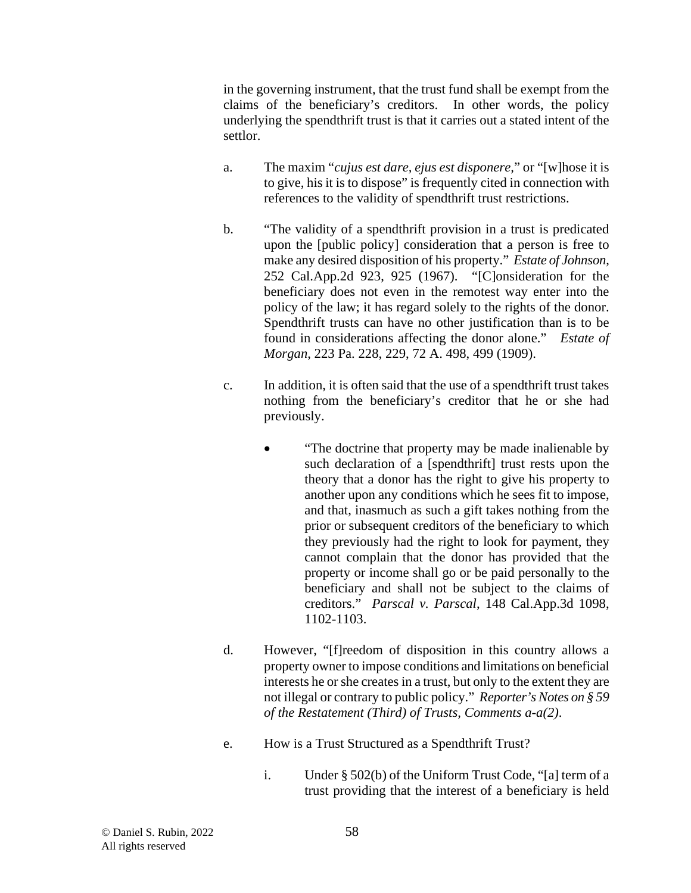in the governing instrument, that the trust fund shall be exempt from the claims of the beneficiary's creditors. In other words, the policy underlying the spendthrift trust is that it carries out a stated intent of the settlor.

- a. The maxim "*cujus est dare, ejus est disponere,*" or "[w]hose it is to give, his it is to dispose" is frequently cited in connection with references to the validity of spendthrift trust restrictions.
- b. "The validity of a spendthrift provision in a trust is predicated upon the [public policy] consideration that a person is free to make any desired disposition of his property." *Estate of Johnson*, 252 Cal.App.2d 923, 925 (1967). "[C]onsideration for the beneficiary does not even in the remotest way enter into the policy of the law; it has regard solely to the rights of the donor. Spendthrift trusts can have no other justification than is to be found in considerations affecting the donor alone." *[Estate of](http://www.westlaw.com/Link/Document/FullText?findType=Y&serNum=1909004354&pubNum=0000161&originatingDoc=I20b5f947dac711e2b36b0000833f9e5b&refType=RP&fi=co_pp_sp_161_499&originationContext=document&vr=3.0&rs=cblt1.0&transitionType=DocumentItem&contextData=(sc.Category)#co_pp_sp_161_499)  Morgan*[, 223 Pa. 228, 229, 72 A. 498, 499 \(1909\).](http://www.westlaw.com/Link/Document/FullText?findType=Y&serNum=1909004354&pubNum=0000161&originatingDoc=I20b5f947dac711e2b36b0000833f9e5b&refType=RP&fi=co_pp_sp_161_499&originationContext=document&vr=3.0&rs=cblt1.0&transitionType=DocumentItem&contextData=(sc.Category)#co_pp_sp_161_499)
- c. In addition, it is often said that the use of a spendthrift trust takes nothing from the beneficiary's creditor that he or she had previously.
	- "The doctrine that property may be made inalienable by such declaration of a [spendthrift] trust rests upon the theory that a donor has the right to give his property to another upon any conditions which he sees fit to impose, and that, inasmuch as such a gift takes nothing from the prior or subsequent creditors of the beneficiary to which they previously had the right to look for payment, they cannot complain that the donor has provided that the property or income shall go or be paid personally to the beneficiary and shall not be subject to the claims of creditors." *Parscal v. Parscal*, 148 Cal.App.3d 1098, 1102-1103.
- d. However, "[f]reedom of disposition in this country allows a property owner to impose conditions and limitations on beneficial interests he or she creates in a trust, but only to the extent they are not illegal or contrary to public policy." *Reporter's Notes on § 59 of the Restatement (Third) of Trusts, Comments a-a(2)*.
- e. How is a Trust Structured as a Spendthrift Trust?
	- i. Under § 502(b) of the Uniform Trust Code, "[a] term of a trust providing that the interest of a beneficiary is held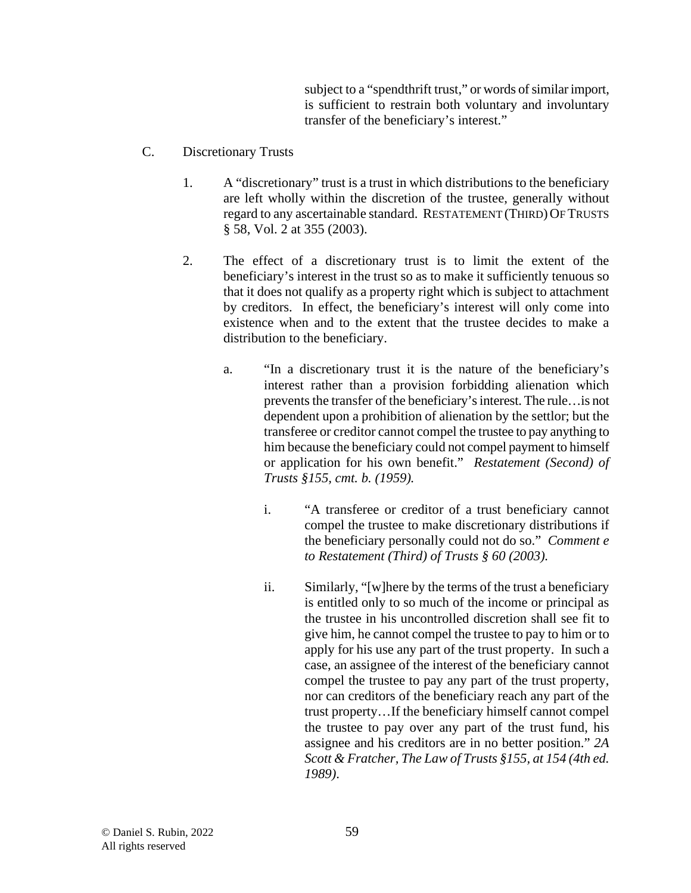subject to a "spendthrift trust," or words of similar import, is sufficient to restrain both voluntary and involuntary transfer of the beneficiary's interest."

- C. Discretionary Trusts
	- 1. A "discretionary" trust is a trust in which distributions to the beneficiary are left wholly within the discretion of the trustee, generally without regard to any ascertainable standard. RESTATEMENT (THIRD) OF TRUSTS § 58, Vol. 2 at 355 (2003).
	- 2. The effect of a discretionary trust is to limit the extent of the beneficiary's interest in the trust so as to make it sufficiently tenuous so that it does not qualify as a property right which is subject to attachment by creditors. In effect, the beneficiary's interest will only come into existence when and to the extent that the trustee decides to make a distribution to the beneficiary.
		- a. "In a discretionary trust it is the nature of the beneficiary's interest rather than a provision forbidding alienation which prevents the transfer of the beneficiary's interest. The rule…is not dependent upon a prohibition of alienation by the settlor; but the transferee or creditor cannot compel the trustee to pay anything to him because the beneficiary could not compel payment to himself or application for his own benefit." *Restatement (Second) of Trusts §155, cmt. b. (1959).*
			- i. "A transferee or creditor of a trust beneficiary cannot compel the trustee to make discretionary distributions if the beneficiary personally could not do so." *Comment e to Restatement (Third) of Trusts § 60 (2003).*
			- ii. Similarly, "[w]here by the terms of the trust a beneficiary is entitled only to so much of the income or principal as the trustee in his uncontrolled discretion shall see fit to give him, he cannot compel the trustee to pay to him or to apply for his use any part of the trust property. In such a case, an assignee of the interest of the beneficiary cannot compel the trustee to pay any part of the trust property, nor can creditors of the beneficiary reach any part of the trust property…If the beneficiary himself cannot compel the trustee to pay over any part of the trust fund, his assignee and his creditors are in no better position." *2A Scott & Fratcher, The Law of Trusts §155, at 154 (4th ed. 1989)*.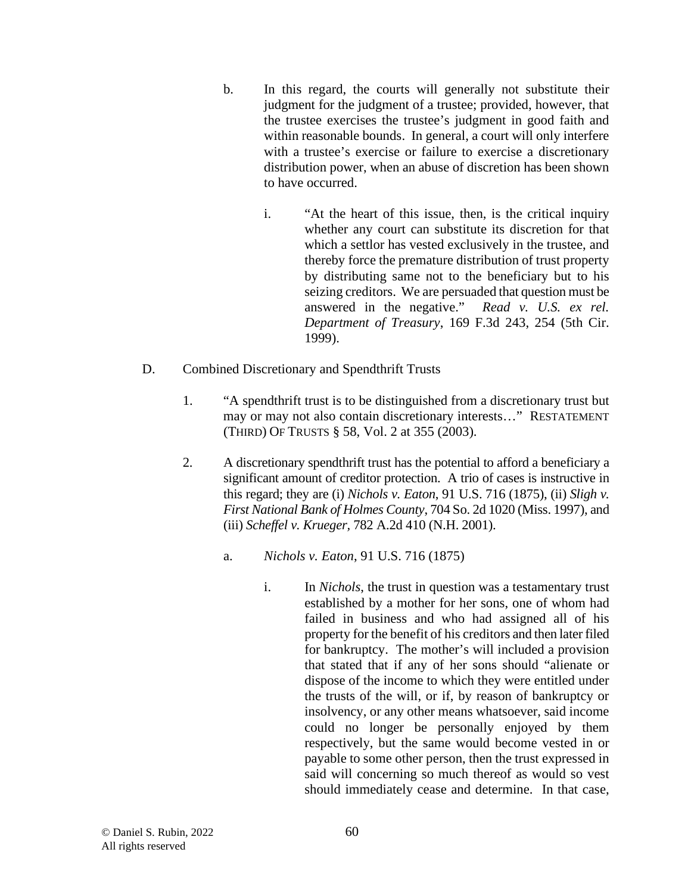- b. In this regard, the courts will generally not substitute their judgment for the judgment of a trustee; provided, however, that the trustee exercises the trustee's judgment in good faith and within reasonable bounds. In general, a court will only interfere with a trustee's exercise or failure to exercise a discretionary distribution power, when an abuse of discretion has been shown to have occurred.
	- i. "At the heart of this issue, then, is the critical inquiry whether any court can substitute its discretion for that which a settlor has vested exclusively in the trustee, and thereby force the premature distribution of trust property by distributing same not to the beneficiary but to his seizing creditors. We are persuaded that question must be answered in the negative." *Read v. U.S. ex rel. Department of Treasury*, 169 F.3d 243, 254 (5th Cir. 1999).
- D. Combined Discretionary and Spendthrift Trusts
	- 1. "A spendthrift trust is to be distinguished from a discretionary trust but may or may not also contain discretionary interests…" RESTATEMENT (THIRD) OF TRUSTS § 58, Vol. 2 at 355 (2003).
	- 2. A discretionary spendthrift trust has the potential to afford a beneficiary a significant amount of creditor protection. A trio of cases is instructive in this regard; they are (i) *Nichols v. Eaton*, 91 U.S. 716 (1875), (ii) *Sligh v. First National Bank of Holmes County*, 704 So. 2d 1020 (Miss. 1997), and (iii) *Scheffel v. Krueger,* 782 A.2d 410 (N.H. 2001).
		- a. *Nichols v. Eaton*, 91 U.S. 716 (1875)
			- i. In *Nichols*, the trust in question was a testamentary trust established by a mother for her sons, one of whom had failed in business and who had assigned all of his property for the benefit of his creditors and then later filed for bankruptcy. The mother's will included a provision that stated that if any of her sons should "alienate or dispose of the income to which they were entitled under the trusts of the will, or if, by reason of bankruptcy or insolvency, or any other means whatsoever, said income could no longer be personally enjoyed by them respectively, but the same would become vested in or payable to some other person, then the trust expressed in said will concerning so much thereof as would so vest should immediately cease and determine. In that case,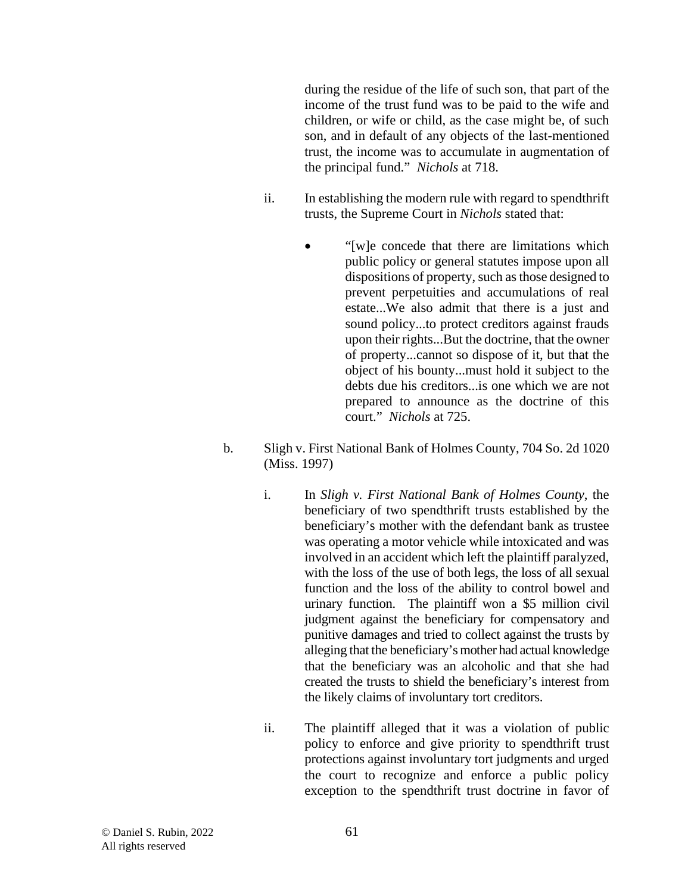during the residue of the life of such son, that part of the income of the trust fund was to be paid to the wife and children, or wife or child, as the case might be, of such son, and in default of any objects of the last-mentioned trust, the income was to accumulate in augmentation of the principal fund." *Nichols* at 718.

- ii. In establishing the modern rule with regard to spendthrift trusts, the Supreme Court in *Nichols* stated that:
	- "[w]e concede that there are limitations which public policy or general statutes impose upon all dispositions of property, such as those designed to prevent perpetuities and accumulations of real estate...We also admit that there is a just and sound policy...to protect creditors against frauds upon their rights...But the doctrine, that the owner of property...cannot so dispose of it, but that the object of his bounty...must hold it subject to the debts due his creditors...is one which we are not prepared to announce as the doctrine of this court." *Nichols* at 725.
- b. Sligh v. First National Bank of Holmes County, 704 So. 2d 1020 (Miss. 1997)
	- i. In *Sligh v. First National Bank of Holmes County*, the beneficiary of two spendthrift trusts established by the beneficiary's mother with the defendant bank as trustee was operating a motor vehicle while intoxicated and was involved in an accident which left the plaintiff paralyzed, with the loss of the use of both legs, the loss of all sexual function and the loss of the ability to control bowel and urinary function. The plaintiff won a \$5 million civil judgment against the beneficiary for compensatory and punitive damages and tried to collect against the trusts by alleging that the beneficiary's mother had actual knowledge that the beneficiary was an alcoholic and that she had created the trusts to shield the beneficiary's interest from the likely claims of involuntary tort creditors.
	- ii. The plaintiff alleged that it was a violation of public policy to enforce and give priority to spendthrift trust protections against involuntary tort judgments and urged the court to recognize and enforce a public policy exception to the spendthrift trust doctrine in favor of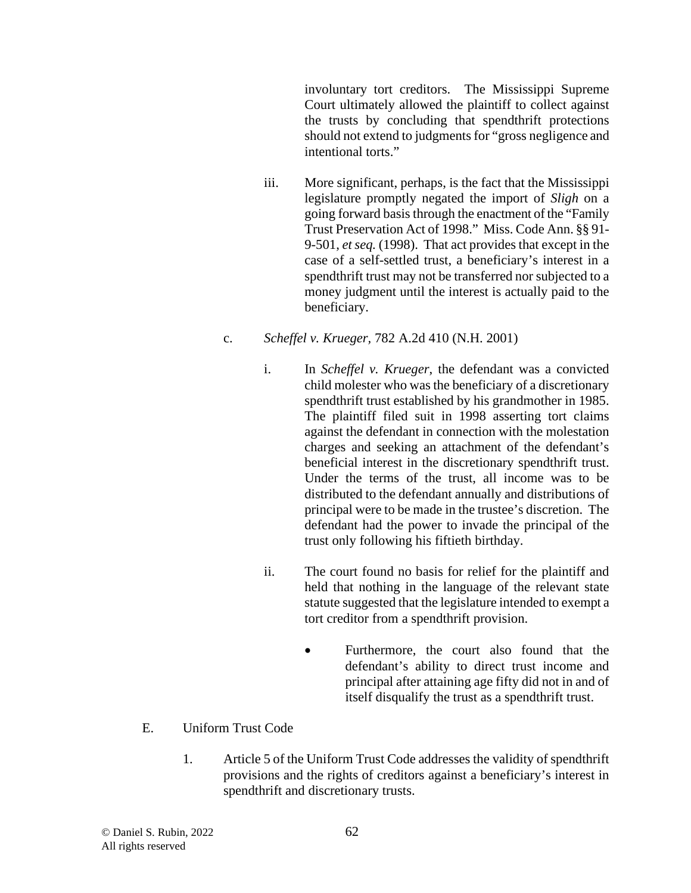involuntary tort creditors. The Mississippi Supreme Court ultimately allowed the plaintiff to collect against the trusts by concluding that spendthrift protections should not extend to judgments for "gross negligence and intentional torts."

iii. More significant, perhaps, is the fact that the Mississippi legislature promptly negated the import of *Sligh* on a going forward basis through the enactment of the "Family Trust Preservation Act of 1998." Miss. Code Ann. §§ 91- 9-501, *et seq.* (1998). That act provides that except in the case of a self-settled trust, a beneficiary's interest in a spendthrift trust may not be transferred nor subjected to a money judgment until the interest is actually paid to the beneficiary.

### c. *Scheffel v. Krueger,* 782 A.2d 410 (N.H. 2001)

- i. In *Scheffel v. Krueger*, the defendant was a convicted child molester who was the beneficiary of a discretionary spendthrift trust established by his grandmother in 1985. The plaintiff filed suit in 1998 asserting tort claims against the defendant in connection with the molestation charges and seeking an attachment of the defendant's beneficial interest in the discretionary spendthrift trust. Under the terms of the trust, all income was to be distributed to the defendant annually and distributions of principal were to be made in the trustee's discretion. The defendant had the power to invade the principal of the trust only following his fiftieth birthday.
- ii. The court found no basis for relief for the plaintiff and held that nothing in the language of the relevant state statute suggested that the legislature intended to exempt a tort creditor from a spendthrift provision.
	- Furthermore, the court also found that the defendant's ability to direct trust income and principal after attaining age fifty did not in and of itself disqualify the trust as a spendthrift trust.

# E. Uniform Trust Code

1. Article 5 of the Uniform Trust Code addresses the validity of spendthrift provisions and the rights of creditors against a beneficiary's interest in spendthrift and discretionary trusts.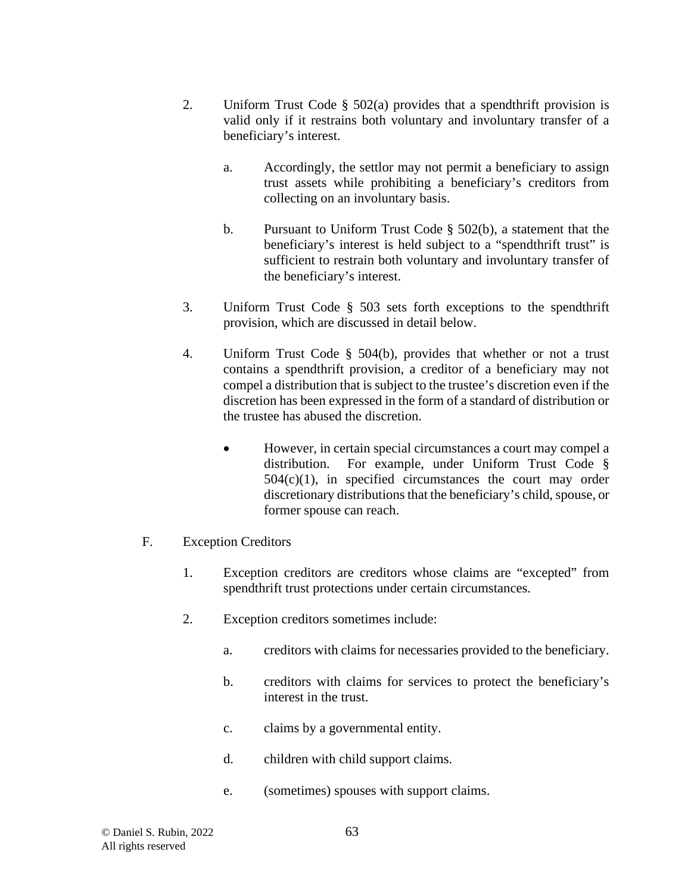- 2. Uniform Trust Code  $\S$  502(a) provides that a spendthrift provision is valid only if it restrains both voluntary and involuntary transfer of a beneficiary's interest.
	- a. Accordingly, the settlor may not permit a beneficiary to assign trust assets while prohibiting a beneficiary's creditors from collecting on an involuntary basis.
	- b. Pursuant to Uniform Trust Code § 502(b), a statement that the beneficiary's interest is held subject to a "spendthrift trust" is sufficient to restrain both voluntary and involuntary transfer of the beneficiary's interest.
- 3. Uniform Trust Code § 503 sets forth exceptions to the spendthrift provision, which are discussed in detail below.
- 4. Uniform Trust Code § 504(b), provides that whether or not a trust contains a spendthrift provision, a creditor of a beneficiary may not compel a distribution that is subject to the trustee's discretion even if the discretion has been expressed in the form of a standard of distribution or the trustee has abused the discretion.
	- However, in certain special circumstances a court may compel a distribution. For example, under Uniform Trust Code §  $504(c)(1)$ , in specified circumstances the court may order discretionary distributions that the beneficiary's child, spouse, or former spouse can reach.
- F. Exception Creditors
	- 1. Exception creditors are creditors whose claims are "excepted" from spendthrift trust protections under certain circumstances.
	- 2. Exception creditors sometimes include:
		- a. creditors with claims for necessaries provided to the beneficiary.
		- b. creditors with claims for services to protect the beneficiary's interest in the trust.
		- c. claims by a governmental entity.
		- d. children with child support claims.
		- e. (sometimes) spouses with support claims.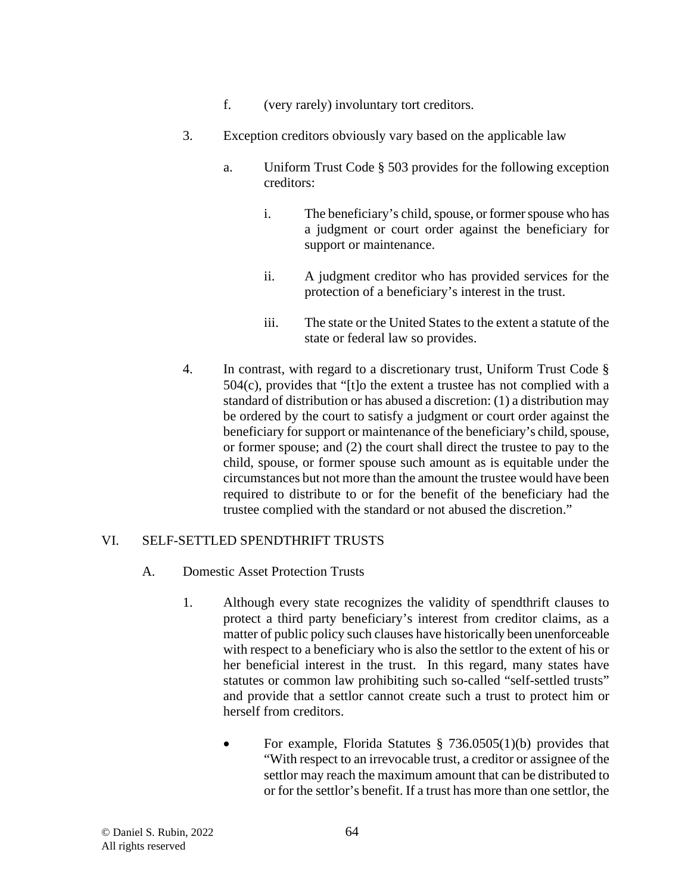- f. (very rarely) involuntary tort creditors.
- 3. Exception creditors obviously vary based on the applicable law
	- a. Uniform Trust Code § 503 provides for the following exception creditors:
		- i. The beneficiary's child, spouse, or former spouse who has a judgment or court order against the beneficiary for support or maintenance.
		- ii. A judgment creditor who has provided services for the protection of a beneficiary's interest in the trust.
		- iii. The state or the United States to the extent a statute of the state or federal law so provides.
- 4. In contrast, with regard to a discretionary trust, Uniform Trust Code §  $504(c)$ , provides that "[t]o the extent a trustee has not complied with a standard of distribution or has abused a discretion: (1) a distribution may be ordered by the court to satisfy a judgment or court order against the beneficiary for support or maintenance of the beneficiary's child, spouse, or former spouse; and (2) the court shall direct the trustee to pay to the child, spouse, or former spouse such amount as is equitable under the circumstances but not more than the amount the trustee would have been required to distribute to or for the benefit of the beneficiary had the trustee complied with the standard or not abused the discretion."

# VI. SELF-SETTLED SPENDTHRIFT TRUSTS

- A. Domestic Asset Protection Trusts
	- 1. Although every state recognizes the validity of spendthrift clauses to protect a third party beneficiary's interest from creditor claims, as a matter of public policy such clauses have historically been unenforceable with respect to a beneficiary who is also the settlor to the extent of his or her beneficial interest in the trust. In this regard, many states have statutes or common law prohibiting such so-called "self-settled trusts" and provide that a settlor cannot create such a trust to protect him or herself from creditors.
		- For example, Florida Statutes  $\S$  736.0505(1)(b) provides that "With respect to an irrevocable trust, a creditor or assignee of the settlor may reach the maximum amount that can be distributed to or for the settlor's benefit. If a trust has more than one settlor, the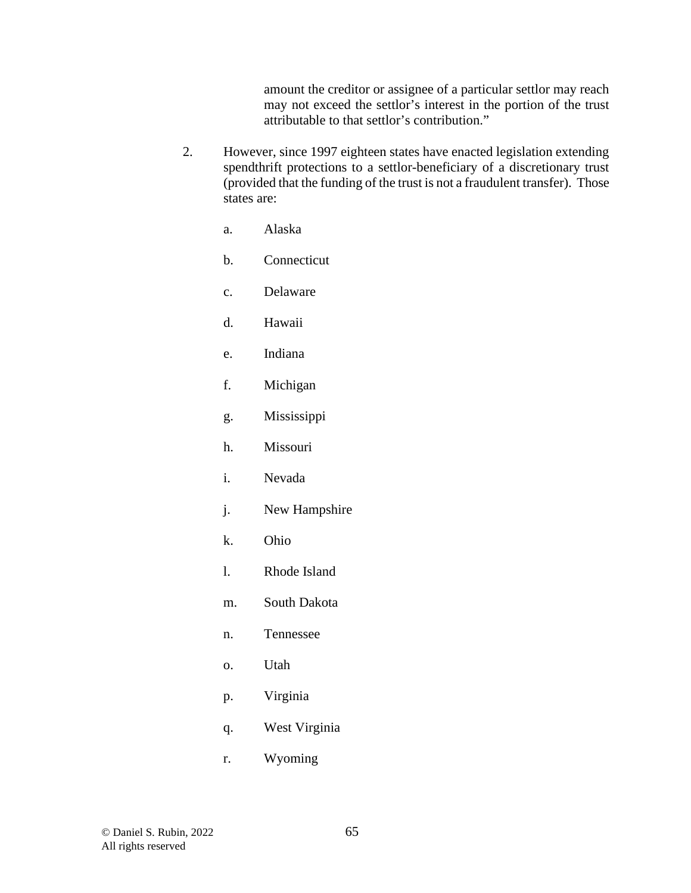amount the creditor or assignee of a particular settlor may reach may not exceed the settlor's interest in the portion of the trust attributable to that settlor's contribution."

- 2. However, since 1997 eighteen states have enacted legislation extending spendthrift protections to a settlor-beneficiary of a discretionary trust (provided that the funding of the trust is not a fraudulent transfer). Those states are:
	- a. Alaska
	- b. Connecticut
	- c. Delaware
	- d. Hawaii
	- e. Indiana
	- f. Michigan
	- g. Mississippi
	- h. Missouri
	- i. Nevada
	- j. New Hampshire
	- k. Ohio
	- l. Rhode Island
	- m. South Dakota
	- n. Tennessee
	- o. Utah
	- p. Virginia
	- q. West Virginia
	- r. Wyoming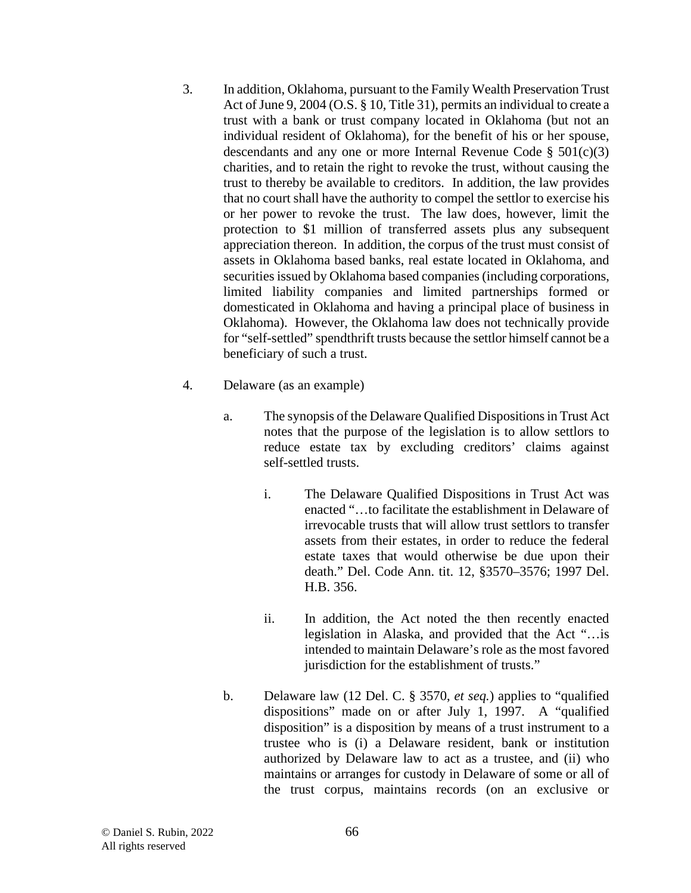- 3. In addition, Oklahoma, pursuant to the Family Wealth Preservation Trust Act of June 9, 2004 (O.S. § 10, Title 31), permits an individual to create a trust with a bank or trust company located in Oklahoma (but not an individual resident of Oklahoma), for the benefit of his or her spouse, descendants and any one or more Internal Revenue Code § 501(c)(3) charities, and to retain the right to revoke the trust, without causing the trust to thereby be available to creditors. In addition, the law provides that no court shall have the authority to compel the settlor to exercise his or her power to revoke the trust. The law does, however, limit the protection to \$1 million of transferred assets plus any subsequent appreciation thereon. In addition, the corpus of the trust must consist of assets in Oklahoma based banks, real estate located in Oklahoma, and securities issued by Oklahoma based companies (including corporations, limited liability companies and limited partnerships formed or domesticated in Oklahoma and having a principal place of business in Oklahoma). However, the Oklahoma law does not technically provide for "self-settled" spendthrift trusts because the settlor himself cannot be a beneficiary of such a trust.
- 4. Delaware (as an example)
	- a. The synopsis of the Delaware Qualified Dispositions in Trust Act notes that the purpose of the legislation is to allow settlors to reduce estate tax by excluding creditors' claims against self-settled trusts.
		- i. The Delaware Qualified Dispositions in Trust Act was enacted "…to facilitate the establishment in Delaware of irrevocable trusts that will allow trust settlors to transfer assets from their estates, in order to reduce the federal estate taxes that would otherwise be due upon their death." Del. Code Ann. tit. 12, §3570–3576; 1997 Del. H.B. 356.
		- ii. In addition, the Act noted the then recently enacted legislation in Alaska, and provided that the Act "…is intended to maintain Delaware's role as the most favored jurisdiction for the establishment of trusts."
	- b. Delaware law (12 Del. C. § 3570, *et seq.*) applies to "qualified dispositions" made on or after July 1, 1997. A "qualified disposition" is a disposition by means of a trust instrument to a trustee who is (i) a Delaware resident, bank or institution authorized by Delaware law to act as a trustee, and (ii) who maintains or arranges for custody in Delaware of some or all of the trust corpus, maintains records (on an exclusive or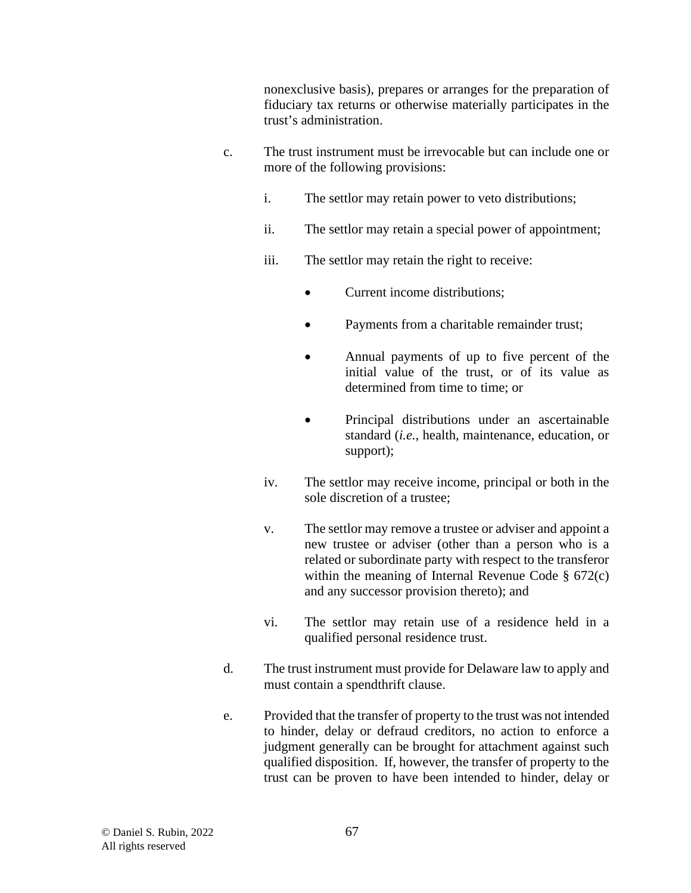nonexclusive basis), prepares or arranges for the preparation of fiduciary tax returns or otherwise materially participates in the trust's administration.

- c. The trust instrument must be irrevocable but can include one or more of the following provisions:
	- i. The settlor may retain power to veto distributions;
	- ii. The settlor may retain a special power of appointment;
	- iii. The settlor may retain the right to receive:
		- Current income distributions;
		- Payments from a charitable remainder trust;
		- Annual payments of up to five percent of the initial value of the trust, or of its value as determined from time to time; or
		- Principal distributions under an ascertainable standard (*i.e.*, health, maintenance, education, or support);
	- iv. The settlor may receive income, principal or both in the sole discretion of a trustee;
	- v. The settlor may remove a trustee or adviser and appoint a new trustee or adviser (other than a person who is a related or subordinate party with respect to the transferor within the meaning of Internal Revenue Code § 672(c) and any successor provision thereto); and
	- vi. The settlor may retain use of a residence held in a qualified personal residence trust.
- d. The trust instrument must provide for Delaware law to apply and must contain a spendthrift clause.
- e. Provided that the transfer of property to the trust was not intended to hinder, delay or defraud creditors, no action to enforce a judgment generally can be brought for attachment against such qualified disposition. If, however, the transfer of property to the trust can be proven to have been intended to hinder, delay or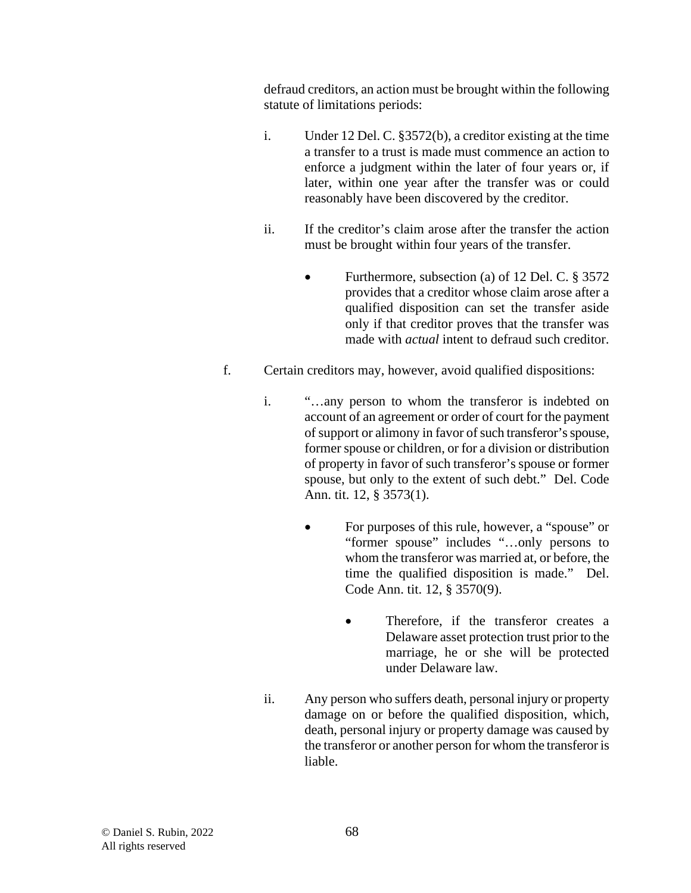defraud creditors, an action must be brought within the following statute of limitations periods:

- i. Under 12 Del. C. §3572(b), a creditor existing at the time a transfer to a trust is made must commence an action to enforce a judgment within the later of four years or, if later, within one year after the transfer was or could reasonably have been discovered by the creditor.
- ii. If the creditor's claim arose after the transfer the action must be brought within four years of the transfer.
	- Furthermore, subsection (a) of 12 Del. C. § 3572 provides that a creditor whose claim arose after a qualified disposition can set the transfer aside only if that creditor proves that the transfer was made with *actual* intent to defraud such creditor.
- f. Certain creditors may, however, avoid qualified dispositions:
	- i. "…any person to whom the transferor is indebted on account of an agreement or order of court for the payment of support or alimony in favor of such transferor's spouse, former spouse or children, or for a division or distribution of property in favor of such transferor's spouse or former spouse, but only to the extent of such debt." Del. Code Ann. tit. 12, § 3573(1).
		- For purposes of this rule, however, a "spouse" or "former spouse" includes "…only persons to whom the transferor was married at, or before, the time the qualified disposition is made." Del. Code Ann. tit. 12, § 3570(9).
			- Therefore, if the transferor creates a Delaware asset protection trust prior to the marriage, he or she will be protected under Delaware law.
	- ii. Any person who suffers death, personal injury or property damage on or before the qualified disposition, which, death, personal injury or property damage was caused by the transferor or another person for whom the transferor is liable.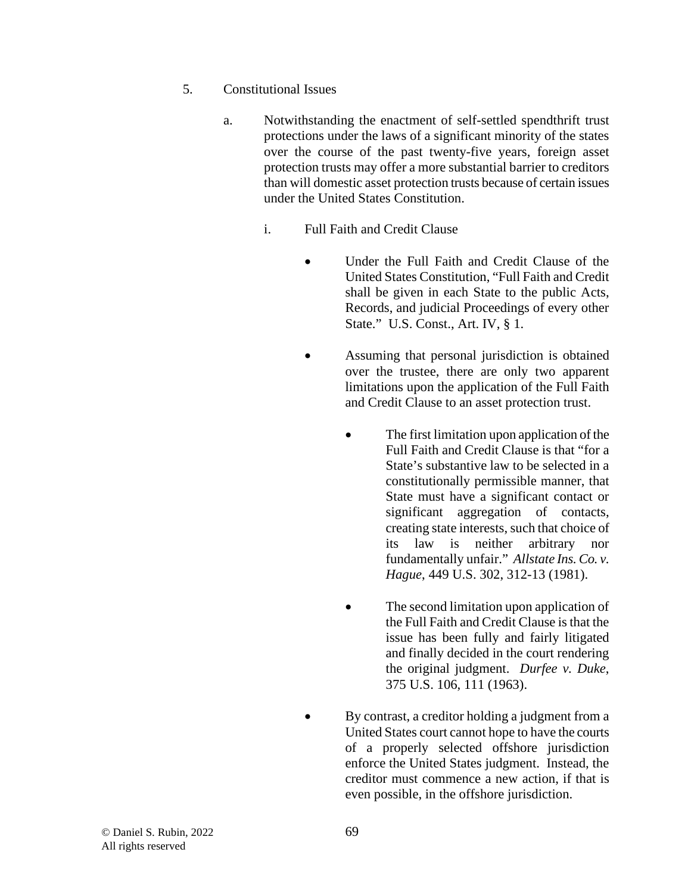- 5. Constitutional Issues
	- a. Notwithstanding the enactment of self-settled spendthrift trust protections under the laws of a significant minority of the states over the course of the past twenty-five years, foreign asset protection trusts may offer a more substantial barrier to creditors than will domestic asset protection trusts because of certain issues under the United States Constitution.
		- i. Full Faith and Credit Clause
			- Under the Full Faith and Credit Clause of the United States Constitution, "Full Faith and Credit shall be given in each State to the public Acts, Records, and judicial Proceedings of every other State." U.S. Const., Art. IV, § 1.
			- Assuming that personal jurisdiction is obtained over the trustee, there are only two apparent limitations upon the application of the Full Faith and Credit Clause to an asset protection trust.
				- The first limitation upon application of the Full Faith and Credit Clause is that "for a State's substantive law to be selected in a constitutionally permissible manner, that State must have a significant contact or significant aggregation of contacts, creating state interests, such that choice of its law is neither arbitrary nor fundamentally unfair." *Allstate Ins. Co. v. Hague*, 449 U.S. 302, 312-13 (1981).
				- The second limitation upon application of the Full Faith and Credit Clause is that the issue has been fully and fairly litigated and finally decided in the court rendering the original judgment. *Durfee v. Duke*, 375 U.S. 106, 111 (1963).
				- By contrast, a creditor holding a judgment from a United States court cannot hope to have the courts of a properly selected offshore jurisdiction enforce the United States judgment. Instead, the creditor must commence a new action, if that is even possible, in the offshore jurisdiction.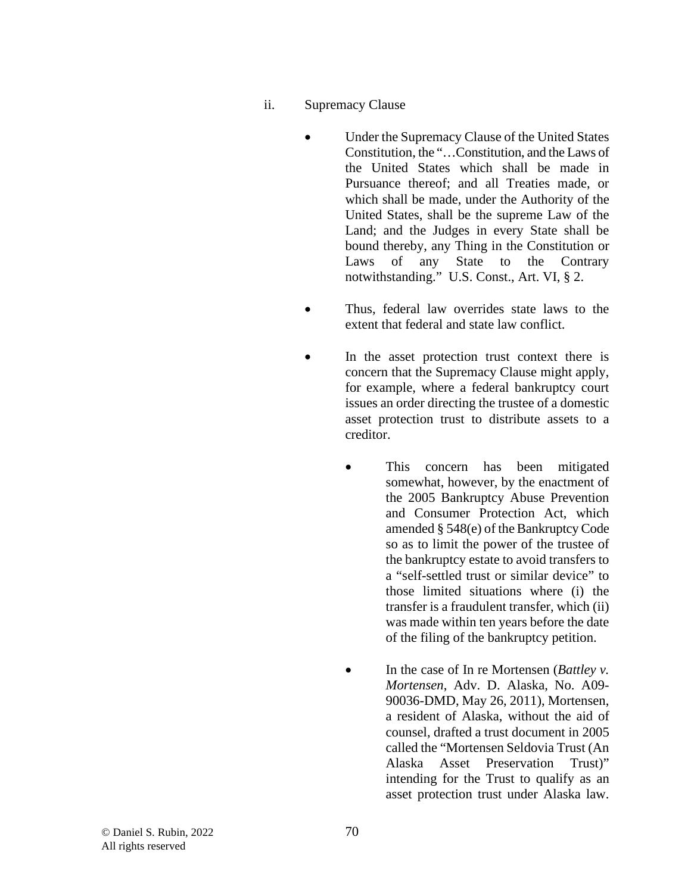- ii. Supremacy Clause
	- Under the Supremacy Clause of the United States Constitution, the "…Constitution, and the Laws of the United States which shall be made in Pursuance thereof; and all Treaties made, or which shall be made, under the Authority of the United States, shall be the supreme Law of the Land; and the Judges in every State shall be bound thereby, any Thing in the Constitution or Laws of any State to the Contrary notwithstanding." U.S. Const., Art. VI, § 2.
	- Thus, federal law overrides state laws to the extent that federal and state law conflict.
	- In the asset protection trust context there is concern that the Supremacy Clause might apply, for example, where a federal bankruptcy court issues an order directing the trustee of a domestic asset protection trust to distribute assets to a creditor.
		- This concern has been mitigated somewhat, however, by the enactment of the 2005 Bankruptcy Abuse Prevention and Consumer Protection Act, which amended § 548(e) of the Bankruptcy Code so as to limit the power of the trustee of the bankruptcy estate to avoid transfers to a "self-settled trust or similar device" to those limited situations where (i) the transfer is a fraudulent transfer, which (ii) was made within ten years before the date of the filing of the bankruptcy petition.
		- In the case of In re Mortensen (*Battley v. Mortensen*, Adv. D. Alaska, No. A09- 90036-DMD, May 26, 2011), Mortensen, a resident of Alaska, without the aid of counsel, drafted a trust document in 2005 called the "Mortensen Seldovia Trust (An Alaska Asset Preservation Trust)" intending for the Trust to qualify as an asset protection trust under Alaska law.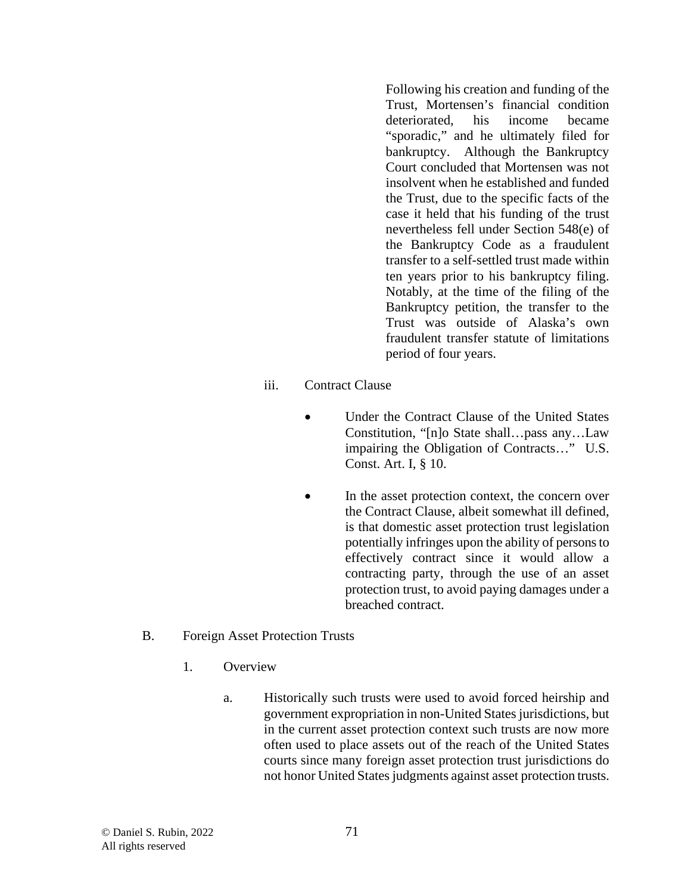Following his creation and funding of the Trust, Mortensen's financial condition deteriorated, his income became "sporadic," and he ultimately filed for bankruptcy. Although the Bankruptcy Court concluded that Mortensen was not insolvent when he established and funded the Trust, due to the specific facts of the case it held that his funding of the trust nevertheless fell under Section 548(e) of the Bankruptcy Code as a fraudulent transfer to a self-settled trust made within ten years prior to his bankruptcy filing. Notably, at the time of the filing of the Bankruptcy petition, the transfer to the Trust was outside of Alaska's own fraudulent transfer statute of limitations period of four years.

- iii. Contract Clause
	- Under the Contract Clause of the United States Constitution, "[n]o State shall…pass any…Law impairing the Obligation of Contracts…" U.S. Const. Art. I, § 10.
	- In the asset protection context, the concern over the Contract Clause, albeit somewhat ill defined, is that domestic asset protection trust legislation potentially infringes upon the ability of persons to effectively contract since it would allow a contracting party, through the use of an asset protection trust, to avoid paying damages under a breached contract.
- B. Foreign Asset Protection Trusts
	- 1. Overview
		- a. Historically such trusts were used to avoid forced heirship and government expropriation in non-United States jurisdictions, but in the current asset protection context such trusts are now more often used to place assets out of the reach of the United States courts since many foreign asset protection trust jurisdictions do not honor United States judgments against asset protection trusts.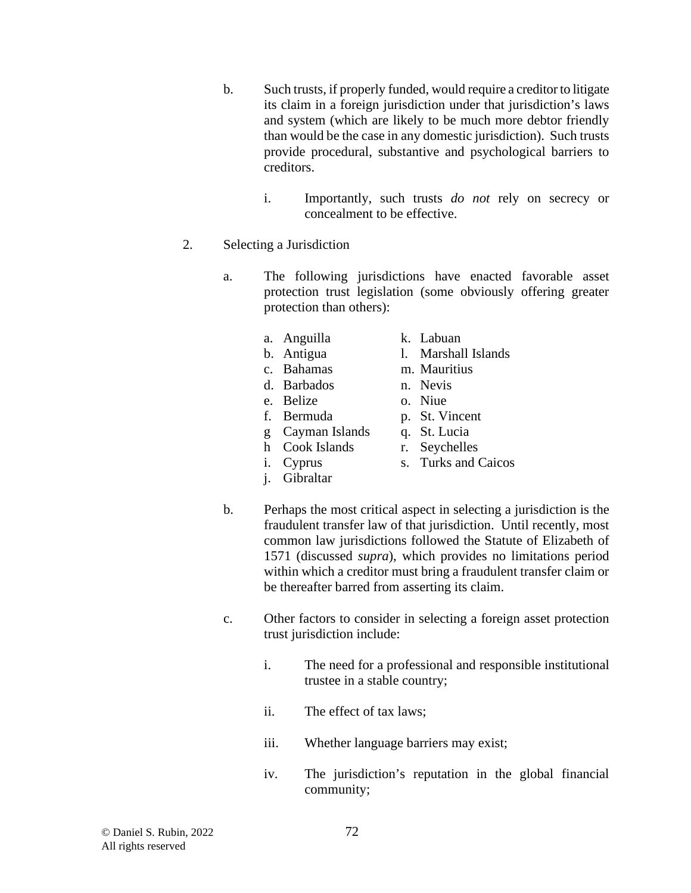- b. Such trusts, if properly funded, would require a creditor to litigate its claim in a foreign jurisdiction under that jurisdiction's laws and system (which are likely to be much more debtor friendly than would be the case in any domestic jurisdiction). Such trusts provide procedural, substantive and psychological barriers to creditors.
	- i. Importantly, such trusts *do not* rely on secrecy or concealment to be effective.
- 2. Selecting a Jurisdiction
	- a. The following jurisdictions have enacted favorable asset protection trust legislation (some obviously offering greater protection than others):
		- a. Anguilla
			- k. Labuan l. Marshall Islands
		- b. Antigua c. Bahamas
		- d. Barbados
		- e. Belize
		- f. Bermuda
- n. Nevis o. Niue
- p. St. Vincent

m. Mauritius

- g Cayman Islands
- r. Seychelles
- h Cook Islands i. Cyprus
- j. Gibraltar
- s. Turks and Caicos
- b. Perhaps the most critical aspect in selecting a jurisdiction is the fraudulent transfer law of that jurisdiction. Until recently, most common law jurisdictions followed the Statute of Elizabeth of 1571 (discussed *supra*), which provides no limitations period within which a creditor must bring a fraudulent transfer claim or be thereafter barred from asserting its claim.
- c. Other factors to consider in selecting a foreign asset protection trust jurisdiction include:
	- i. The need for a professional and responsible institutional trustee in a stable country;
	- ii. The effect of tax laws;
	- iii. Whether language barriers may exist;
	- iv. The jurisdiction's reputation in the global financial community;
- q. St. Lucia
- -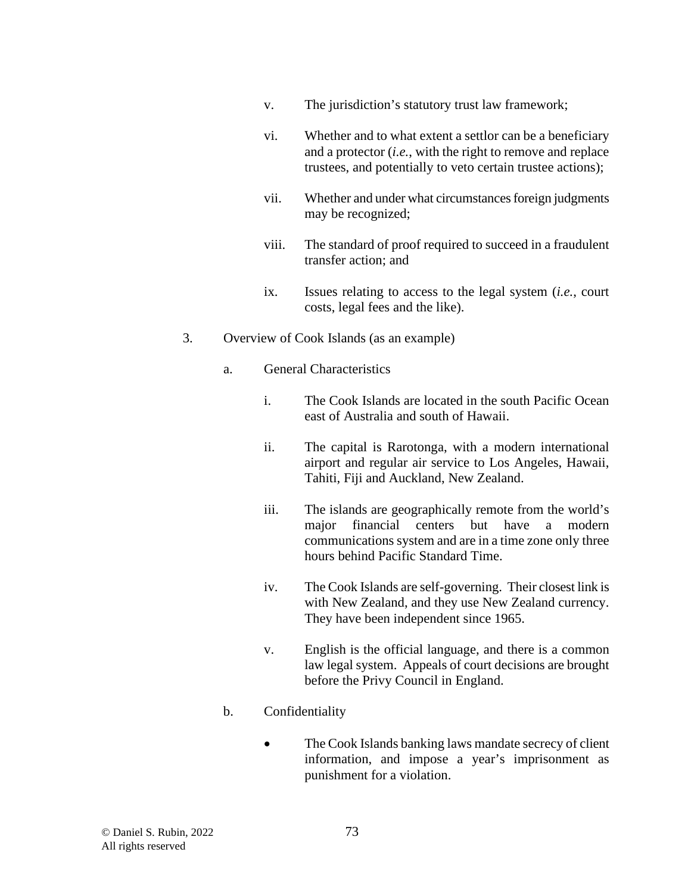- v. The jurisdiction's statutory trust law framework;
- vi. Whether and to what extent a settlor can be a beneficiary and a protector (*i.e.*, with the right to remove and replace trustees, and potentially to veto certain trustee actions);
- vii. Whether and under what circumstances foreign judgments may be recognized;
- viii. The standard of proof required to succeed in a fraudulent transfer action; and
- ix. Issues relating to access to the legal system (*i.e.*, court costs, legal fees and the like).
- 3. Overview of Cook Islands (as an example)
	- a. General Characteristics
		- i. The Cook Islands are located in the south Pacific Ocean east of Australia and south of Hawaii.
		- ii. The capital is Rarotonga, with a modern international airport and regular air service to Los Angeles, Hawaii, Tahiti, Fiji and Auckland, New Zealand.
		- iii. The islands are geographically remote from the world's major financial centers but have a modern communications system and are in a time zone only three hours behind Pacific Standard Time.
		- iv. The Cook Islands are self-governing. Their closest link is with New Zealand, and they use New Zealand currency. They have been independent since 1965.
		- v. English is the official language, and there is a common law legal system. Appeals of court decisions are brought before the Privy Council in England.

## b. Confidentiality

• The Cook Islands banking laws mandate secrecy of client information, and impose a year's imprisonment as punishment for a violation.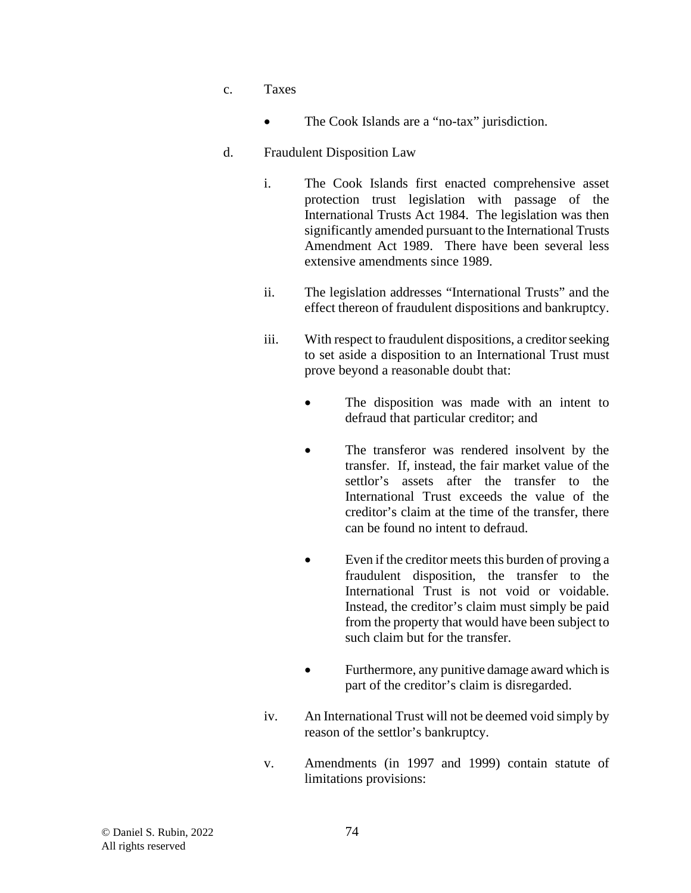- c. Taxes
	- The Cook Islands are a "no-tax" jurisdiction.

### d. Fraudulent Disposition Law

- i. The Cook Islands first enacted comprehensive asset protection trust legislation with passage of the International Trusts Act 1984. The legislation was then significantly amended pursuant to the International Trusts Amendment Act 1989. There have been several less extensive amendments since 1989.
- ii. The legislation addresses "International Trusts" and the effect thereon of fraudulent dispositions and bankruptcy.
- iii. With respect to fraudulent dispositions, a creditor seeking to set aside a disposition to an International Trust must prove beyond a reasonable doubt that:
	- The disposition was made with an intent to defraud that particular creditor; and
	- The transferor was rendered insolvent by the transfer. If, instead, the fair market value of the settlor's assets after the transfer to the International Trust exceeds the value of the creditor's claim at the time of the transfer, there can be found no intent to defraud.
	- Even if the creditor meets this burden of proving a fraudulent disposition, the transfer to the International Trust is not void or voidable. Instead, the creditor's claim must simply be paid from the property that would have been subject to such claim but for the transfer.
	- Furthermore, any punitive damage award which is part of the creditor's claim is disregarded.
- iv. An International Trust will not be deemed void simply by reason of the settlor's bankruptcy.
- v. Amendments (in 1997 and 1999) contain statute of limitations provisions: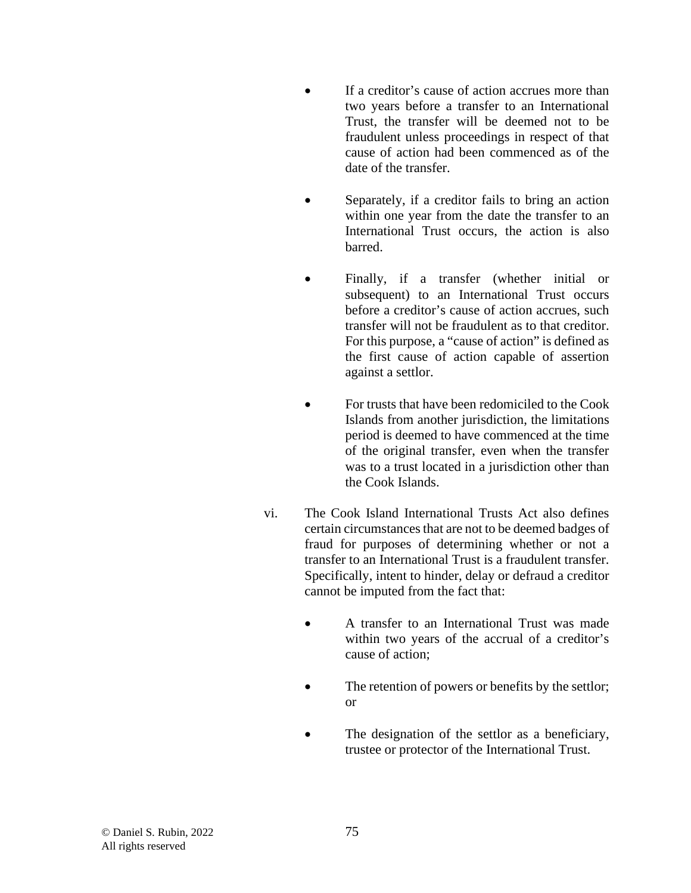- If a creditor's cause of action accrues more than two years before a transfer to an International Trust, the transfer will be deemed not to be fraudulent unless proceedings in respect of that cause of action had been commenced as of the date of the transfer.
- Separately, if a creditor fails to bring an action within one year from the date the transfer to an International Trust occurs, the action is also barred.
- Finally, if a transfer (whether initial or subsequent) to an International Trust occurs before a creditor's cause of action accrues, such transfer will not be fraudulent as to that creditor. For this purpose, a "cause of action" is defined as the first cause of action capable of assertion against a settlor.
- For trusts that have been redomiciled to the Cook Islands from another jurisdiction, the limitations period is deemed to have commenced at the time of the original transfer, even when the transfer was to a trust located in a jurisdiction other than the Cook Islands.
- vi. The Cook Island International Trusts Act also defines certain circumstances that are not to be deemed badges of fraud for purposes of determining whether or not a transfer to an International Trust is a fraudulent transfer. Specifically, intent to hinder, delay or defraud a creditor cannot be imputed from the fact that:
	- A transfer to an International Trust was made within two years of the accrual of a creditor's cause of action;
	- The retention of powers or benefits by the settlor; or
	- The designation of the settlor as a beneficiary, trustee or protector of the International Trust.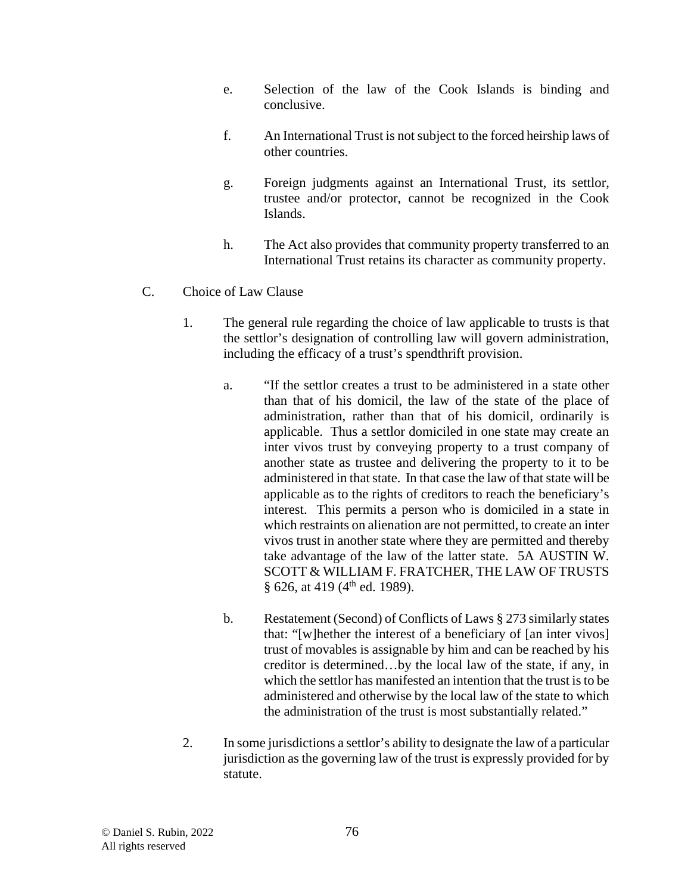- e. Selection of the law of the Cook Islands is binding and conclusive.
- f. An International Trust is not subject to the forced heirship laws of other countries.
- g. Foreign judgments against an International Trust, its settlor, trustee and/or protector, cannot be recognized in the Cook Islands.
- h. The Act also provides that community property transferred to an International Trust retains its character as community property.
- C. Choice of Law Clause
	- 1. The general rule regarding the choice of law applicable to trusts is that the settlor's designation of controlling law will govern administration, including the efficacy of a trust's spendthrift provision.
		- a. "If the settlor creates a trust to be administered in a state other than that of his domicil, the law of the state of the place of administration, rather than that of his domicil, ordinarily is applicable. Thus a settlor domiciled in one state may create an inter vivos trust by conveying property to a trust company of another state as trustee and delivering the property to it to be administered in that state. In that case the law of that state will be applicable as to the rights of creditors to reach the beneficiary's interest. This permits a person who is domiciled in a state in which restraints on alienation are not permitted, to create an inter vivos trust in another state where they are permitted and thereby take advantage of the law of the latter state. 5A AUSTIN W. SCOTT & WILLIAM F. FRATCHER, THE LAW OF TRUSTS § 626, at 419 ( $4<sup>th</sup>$  ed. 1989).
		- b. Restatement (Second) of Conflicts of Laws § 273 similarly states that: "[w]hether the interest of a beneficiary of [an inter vivos] trust of movables is assignable by him and can be reached by his creditor is determined…by the local law of the state, if any, in which the settlor has manifested an intention that the trust is to be administered and otherwise by the local law of the state to which the administration of the trust is most substantially related."
	- 2. In some jurisdictions a settlor's ability to designate the law of a particular jurisdiction as the governing law of the trust is expressly provided for by statute.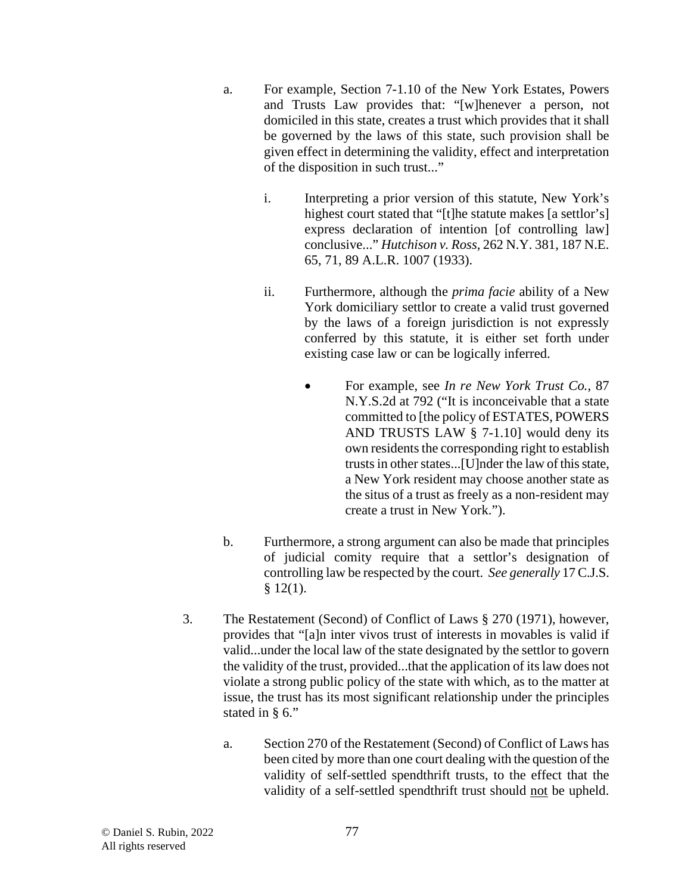- a. For example, Section 7-1.10 of the New York Estates, Powers and Trusts Law provides that: "[w]henever a person, not domiciled in this state, creates a trust which provides that it shall be governed by the laws of this state, such provision shall be given effect in determining the validity, effect and interpretation of the disposition in such trust..."
	- i. Interpreting a prior version of this statute, New York's highest court stated that "[t]he statute makes [a settlor's] express declaration of intention [of controlling law] conclusive..." *Hutchison v. Ross*, 262 N.Y. 381, 187 N.E. 65, 71, 89 A.L.R. 1007 (1933).
	- ii. Furthermore, although the *prima facie* ability of a New York domiciliary settlor to create a valid trust governed by the laws of a foreign jurisdiction is not expressly conferred by this statute, it is either set forth under existing case law or can be logically inferred.
		- For example, see *In re New York Trust Co.*, 87 N.Y.S.2d at 792 ("It is inconceivable that a state committed to [the policy of ESTATES, POWERS AND TRUSTS LAW § 7-1.10] would deny its own residents the corresponding right to establish trusts in other states...[U]nder the law of this state, a New York resident may choose another state as the situs of a trust as freely as a non-resident may create a trust in New York.").
- b. Furthermore, a strong argument can also be made that principles of judicial comity require that a settlor's designation of controlling law be respected by the court. *See generally* 17 C.J.S.  $§$  12(1).
- 3. The Restatement (Second) of Conflict of Laws § 270 (1971), however, provides that "[a]n inter vivos trust of interests in movables is valid if valid...under the local law of the state designated by the settlor to govern the validity of the trust, provided...that the application of its law does not violate a strong public policy of the state with which, as to the matter at issue, the trust has its most significant relationship under the principles stated in § 6."
	- a. Section 270 of the Restatement (Second) of Conflict of Laws has been cited by more than one court dealing with the question of the validity of self-settled spendthrift trusts, to the effect that the validity of a self-settled spendthrift trust should not be upheld.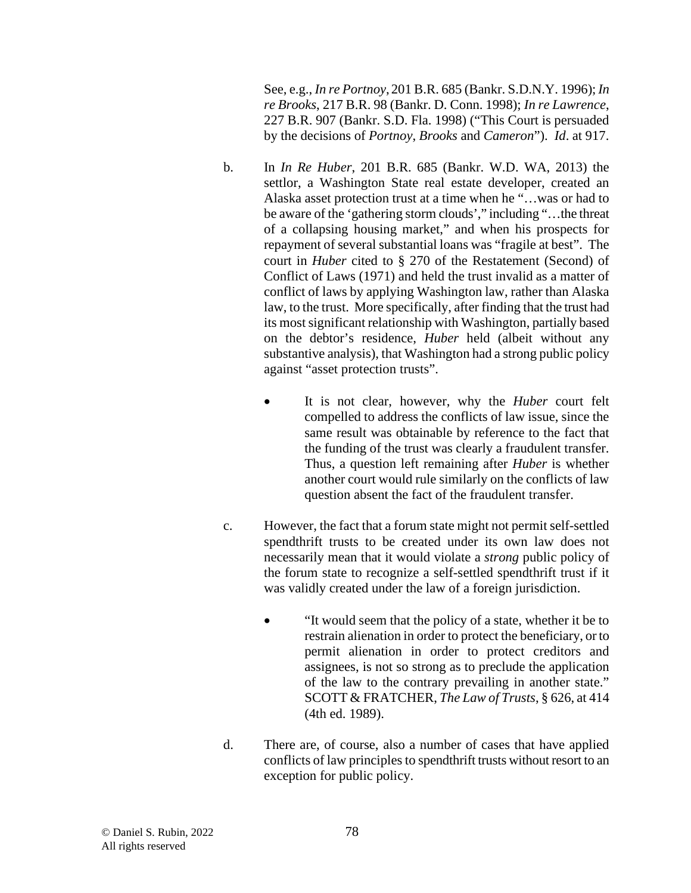See, e.g., *In re Portnoy*, 201 B.R. 685 (Bankr. S.D.N.Y. 1996); *In re Brooks*, 217 B.R. 98 (Bankr. D. Conn. 1998); *In re Lawrence*, 227 B.R. 907 (Bankr. S.D. Fla. 1998) ("This Court is persuaded by the decisions of *Portnoy*, *Brooks* and *Cameron*"). *Id*. at 917.

- b. In *In Re Huber*, 201 B.R. 685 (Bankr. W.D. WA, 2013) the settlor, a Washington State real estate developer, created an Alaska asset protection trust at a time when he "…was or had to be aware of the 'gathering storm clouds'," including "…the threat of a collapsing housing market," and when his prospects for repayment of several substantial loans was "fragile at best". The court in *Huber* cited to § 270 of the Restatement (Second) of Conflict of Laws (1971) and held the trust invalid as a matter of conflict of laws by applying Washington law, rather than Alaska law, to the trust. More specifically, after finding that the trust had its most significant relationship with Washington, partially based on the debtor's residence, *Huber* held (albeit without any substantive analysis), that Washington had a strong public policy against "asset protection trusts".
	- It is not clear, however, why the *Huber* court felt compelled to address the conflicts of law issue, since the same result was obtainable by reference to the fact that the funding of the trust was clearly a fraudulent transfer. Thus, a question left remaining after *Huber* is whether another court would rule similarly on the conflicts of law question absent the fact of the fraudulent transfer.
- c. However, the fact that a forum state might not permit self-settled spendthrift trusts to be created under its own law does not necessarily mean that it would violate a *strong* public policy of the forum state to recognize a self-settled spendthrift trust if it was validly created under the law of a foreign jurisdiction.
	- "It would seem that the policy of a state, whether it be to restrain alienation in order to protect the beneficiary, or to permit alienation in order to protect creditors and assignees, is not so strong as to preclude the application of the law to the contrary prevailing in another state." SCOTT & FRATCHER, *The Law of Trusts*, § 626, at 414 (4th ed. 1989).
- d. There are, of course, also a number of cases that have applied conflicts of law principles to spendthrift trusts without resort to an exception for public policy.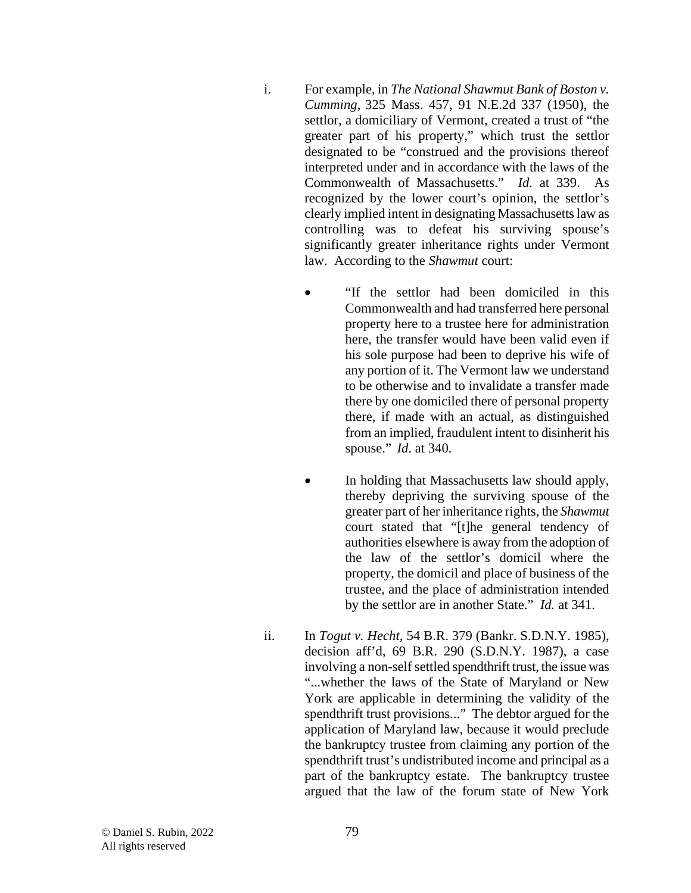- i. For example, in *The National Shawmut Bank of Boston v. Cumming*, 325 Mass. 457, 91 N.E.2d 337 (1950), the settlor, a domiciliary of Vermont, created a trust of "the greater part of his property," which trust the settlor designated to be "construed and the provisions thereof interpreted under and in accordance with the laws of the Commonwealth of Massachusetts." *Id*. at 339. As recognized by the lower court's opinion, the settlor's clearly implied intent in designating Massachusetts law as controlling was to defeat his surviving spouse's significantly greater inheritance rights under Vermont law. According to the *Shawmut* court:
	- "If the settlor had been domiciled in this Commonwealth and had transferred here personal property here to a trustee here for administration here, the transfer would have been valid even if his sole purpose had been to deprive his wife of any portion of it. The Vermont law we understand to be otherwise and to invalidate a transfer made there by one domiciled there of personal property there, if made with an actual, as distinguished from an implied, fraudulent intent to disinherit his spouse." *Id*. at 340.
	- In holding that Massachusetts law should apply, thereby depriving the surviving spouse of the greater part of her inheritance rights, the *Shawmut*  court stated that "[t]he general tendency of authorities elsewhere is away from the adoption of the law of the settlor's domicil where the property, the domicil and place of business of the trustee, and the place of administration intended by the settlor are in another State." *Id.* at 341.
- ii. In *Togut v. Hecht,* 54 B.R. 379 (Bankr. S.D.N.Y. 1985), decision aff'd, 69 B.R. 290 (S.D.N.Y. 1987), a case involving a non-self settled spendthrift trust, the issue was "...whether the laws of the State of Maryland or New York are applicable in determining the validity of the spendthrift trust provisions..." The debtor argued for the application of Maryland law, because it would preclude the bankruptcy trustee from claiming any portion of the spendthrift trust's undistributed income and principal as a part of the bankruptcy estate. The bankruptcy trustee argued that the law of the forum state of New York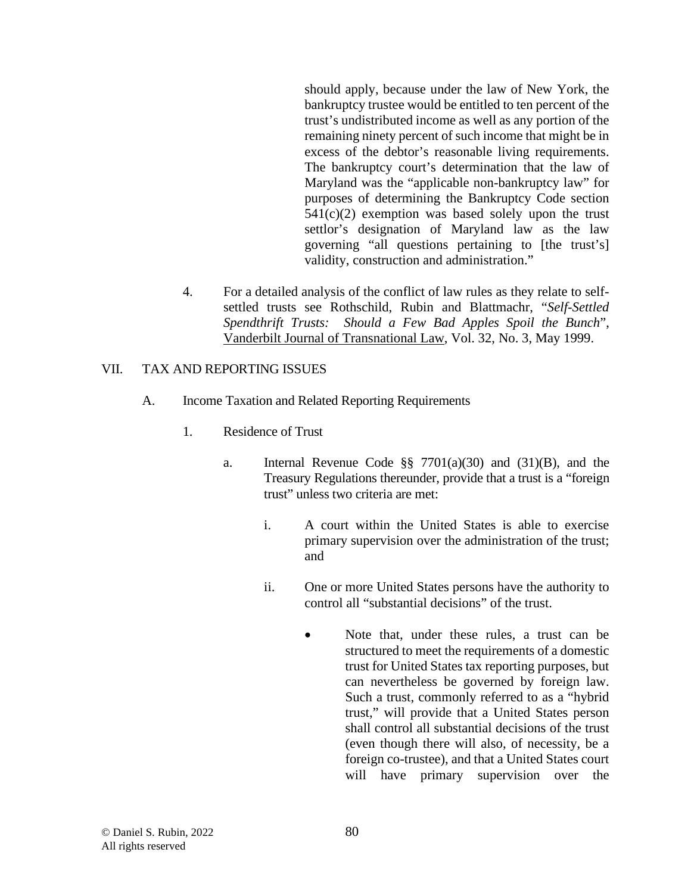should apply, because under the law of New York, the bankruptcy trustee would be entitled to ten percent of the trust's undistributed income as well as any portion of the remaining ninety percent of such income that might be in excess of the debtor's reasonable living requirements. The bankruptcy court's determination that the law of Maryland was the "applicable non-bankruptcy law" for purposes of determining the Bankruptcy Code section  $541(c)(2)$  exemption was based solely upon the trust settlor's designation of Maryland law as the law governing "all questions pertaining to [the trust's] validity, construction and administration."

4. For a detailed analysis of the conflict of law rules as they relate to selfsettled trusts see Rothschild, Rubin and Blattmachr, "*Self-Settled Spendthrift Trusts: Should a Few Bad Apples Spoil the Bunch*", Vanderbilt Journal of Transnational Law, Vol. 32, No. 3, May 1999.

## VII. TAX AND REPORTING ISSUES

- A. Income Taxation and Related Reporting Requirements
	- 1. Residence of Trust
		- a. Internal Revenue Code §§ 7701(a)(30) and (31)(B), and the Treasury Regulations thereunder, provide that a trust is a "foreign trust" unless two criteria are met:
			- i. A court within the United States is able to exercise primary supervision over the administration of the trust; and
			- ii. One or more United States persons have the authority to control all "substantial decisions" of the trust.
				- Note that, under these rules, a trust can be structured to meet the requirements of a domestic trust for United States tax reporting purposes, but can nevertheless be governed by foreign law. Such a trust, commonly referred to as a "hybrid trust," will provide that a United States person shall control all substantial decisions of the trust (even though there will also, of necessity, be a foreign co-trustee), and that a United States court will have primary supervision over the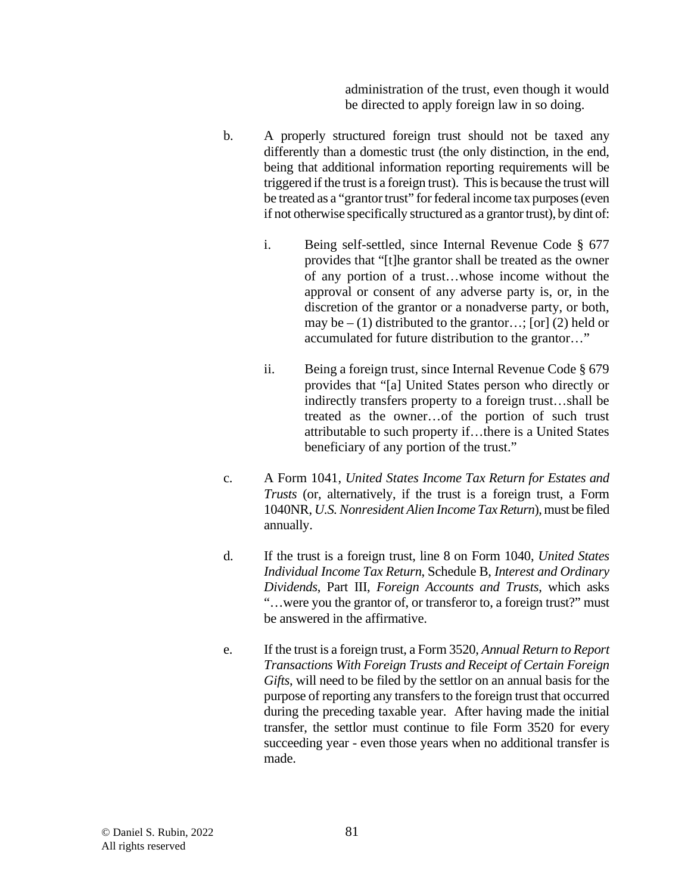administration of the trust, even though it would be directed to apply foreign law in so doing.

- b. A properly structured foreign trust should not be taxed any differently than a domestic trust (the only distinction, in the end, being that additional information reporting requirements will be triggered if the trust is a foreign trust). This is because the trust will be treated as a "grantor trust" for federal income tax purposes (even if not otherwise specifically structured as a grantor trust), by dint of:
	- i. Being self-settled, since Internal Revenue Code § 677 provides that "[t]he grantor shall be treated as the owner of any portion of a trust…whose income without the approval or consent of any adverse party is, or, in the discretion of the grantor or a nonadverse party, or both, may be  $- (1)$  distributed to the grantor...; [or] (2) held or accumulated for future distribution to the grantor…"
	- ii. Being a foreign trust, since Internal Revenue Code § 679 provides that "[a] United States person who directly or indirectly transfers property to a foreign trust…shall be treated as the owner…of the portion of such trust attributable to such property if…there is a United States beneficiary of any portion of the trust."
- c. A Form 1041, *United States Income Tax Return for Estates and Trusts* (or, alternatively, if the trust is a foreign trust, a Form 1040NR, *U.S. Nonresident Alien Income Tax Return*), must be filed annually.
- d. If the trust is a foreign trust, line 8 on Form 1040, *United States Individual Income Tax Return*, Schedule B, *Interest and Ordinary Dividends*, Part III, *Foreign Accounts and Trusts*, which asks "…were you the grantor of, or transferor to, a foreign trust?" must be answered in the affirmative.
- e. If the trust is a foreign trust, a Form 3520, *Annual Return to Report Transactions With Foreign Trusts and Receipt of Certain Foreign Gifts*, will need to be filed by the settlor on an annual basis for the purpose of reporting any transfers to the foreign trust that occurred during the preceding taxable year. After having made the initial transfer, the settlor must continue to file Form 3520 for every succeeding year - even those years when no additional transfer is made.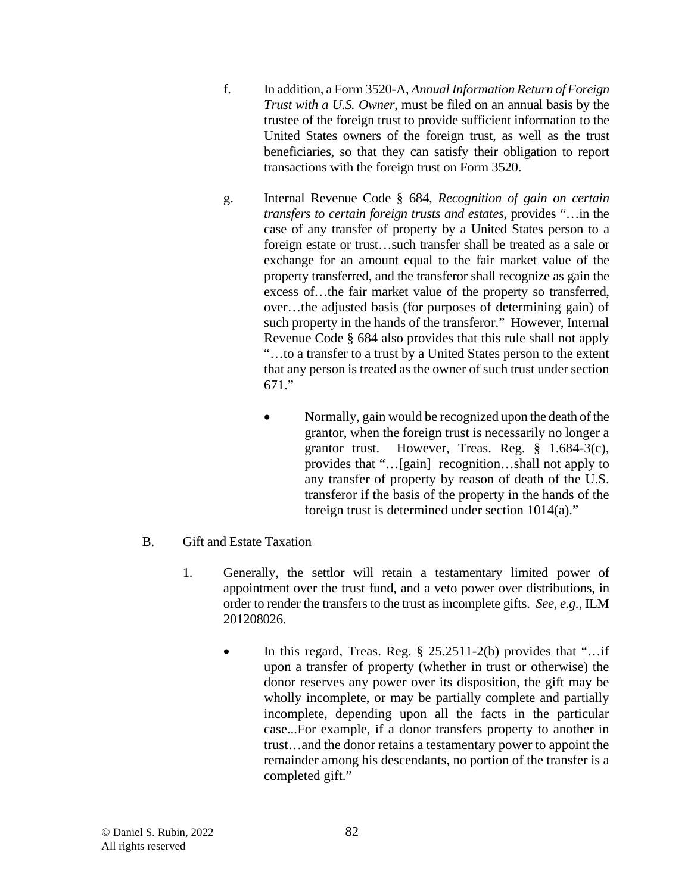- f. In addition, a Form 3520-A, *Annual Information Return of Foreign Trust with a U.S. Owner*, must be filed on an annual basis by the trustee of the foreign trust to provide sufficient information to the United States owners of the foreign trust, as well as the trust beneficiaries, so that they can satisfy their obligation to report transactions with the foreign trust on Form 3520.
- g. Internal Revenue Code § 684, *Recognition of gain on certain transfers to certain foreign trusts and estates*, provides "…in the case of any transfer of property by a United States person to a foreign estate or trust…such transfer shall be treated as a sale or exchange for an amount equal to the fair market value of the property transferred, and the transferor shall recognize as gain the excess of…the fair market value of the property so transferred, over…the adjusted basis (for purposes of determining gain) of such property in the hands of the transferor." However, Internal Revenue Code § 684 also provides that this rule shall not apply "…to a transfer to a trust by a United States person to the extent that any person is treated as the owner of such trust under section 671."
	- Normally, gain would be recognized upon the death of the grantor, when the foreign trust is necessarily no longer a grantor trust. However, Treas. Reg. § 1.684-3(c), provides that "…[gain] recognition…shall not apply to any transfer of property by reason of death of the U.S. transferor if the basis of the property in the hands of the foreign trust is determined under section 1014(a)."
- B. Gift and Estate Taxation
	- 1. Generally, the settlor will retain a testamentary limited power of appointment over the trust fund, and a veto power over distributions, in order to render the transfers to the trust as incomplete gifts. *See*, *e.g.*, ILM 201208026.
		- In this regard, Treas. Reg.  $\S$  25.2511-2(b) provides that "... if upon a transfer of property (whether in trust or otherwise) the donor reserves any power over its disposition, the gift may be wholly incomplete, or may be partially complete and partially incomplete, depending upon all the facts in the particular case...For example, if a donor transfers property to another in trust…and the donor retains a testamentary power to appoint the remainder among his descendants, no portion of the transfer is a completed gift."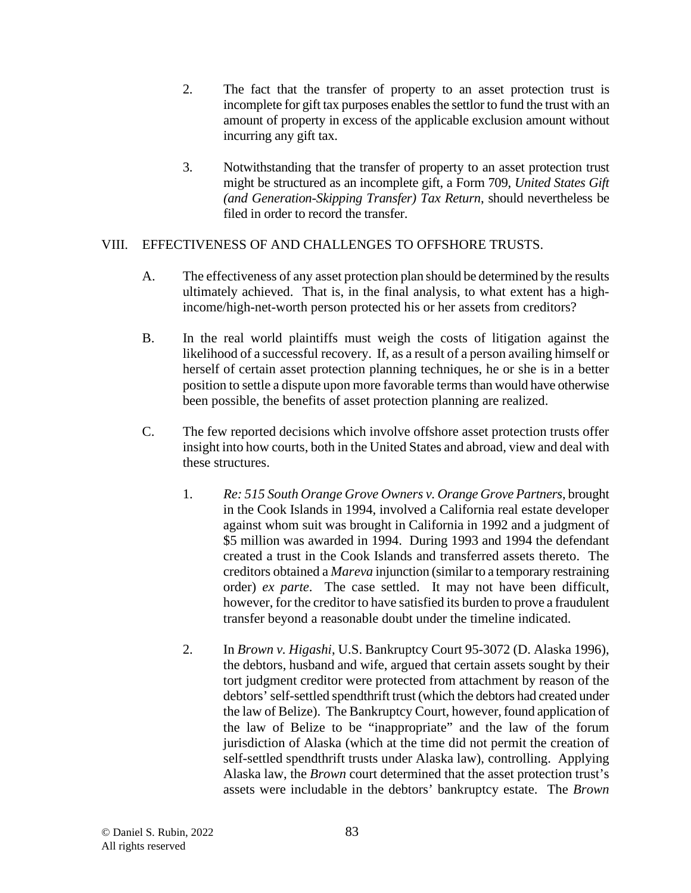- 2. The fact that the transfer of property to an asset protection trust is incomplete for gift tax purposes enables the settlor to fund the trust with an amount of property in excess of the applicable exclusion amount without incurring any gift tax.
- 3. Notwithstanding that the transfer of property to an asset protection trust might be structured as an incomplete gift, a Form 709, *United States Gift (and Generation-Skipping Transfer) Tax Return*, should nevertheless be filed in order to record the transfer.

# VIII. EFFECTIVENESS OF AND CHALLENGES TO OFFSHORE TRUSTS.

- A. The effectiveness of any asset protection plan should be determined by the results ultimately achieved. That is, in the final analysis, to what extent has a highincome/high-net-worth person protected his or her assets from creditors?
- B. In the real world plaintiffs must weigh the costs of litigation against the likelihood of a successful recovery. If, as a result of a person availing himself or herself of certain asset protection planning techniques, he or she is in a better position to settle a dispute upon more favorable terms than would have otherwise been possible, the benefits of asset protection planning are realized.
- C. The few reported decisions which involve offshore asset protection trusts offer insight into how courts, both in the United States and abroad, view and deal with these structures.
	- 1. *Re: 515 South Orange Grove Owners v. Orange Grove Partners*, brought in the Cook Islands in 1994, involved a California real estate developer against whom suit was brought in California in 1992 and a judgment of \$5 million was awarded in 1994. During 1993 and 1994 the defendant created a trust in the Cook Islands and transferred assets thereto. The creditors obtained a *Mareva* injunction (similar to a temporary restraining order) *ex parte*. The case settled. It may not have been difficult, however, for the creditor to have satisfied its burden to prove a fraudulent transfer beyond a reasonable doubt under the timeline indicated.
	- 2. In *Brown v. Higashi*, U.S. Bankruptcy Court 95-3072 (D. Alaska 1996), the debtors, husband and wife, argued that certain assets sought by their tort judgment creditor were protected from attachment by reason of the debtors' self-settled spendthrift trust (which the debtors had created under the law of Belize). The Bankruptcy Court, however, found application of the law of Belize to be "inappropriate" and the law of the forum jurisdiction of Alaska (which at the time did not permit the creation of self-settled spendthrift trusts under Alaska law), controlling. Applying Alaska law, the *Brown* court determined that the asset protection trust's assets were includable in the debtors' bankruptcy estate. The *Brown*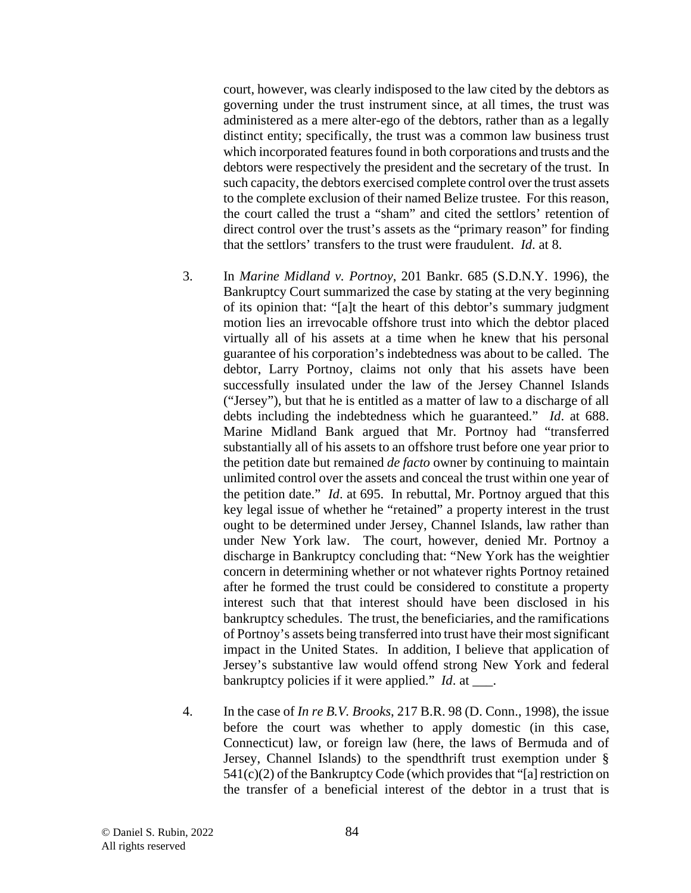court, however, was clearly indisposed to the law cited by the debtors as governing under the trust instrument since, at all times, the trust was administered as a mere alter-ego of the debtors, rather than as a legally distinct entity; specifically, the trust was a common law business trust which incorporated features found in both corporations and trusts and the debtors were respectively the president and the secretary of the trust. In such capacity, the debtors exercised complete control over the trust assets to the complete exclusion of their named Belize trustee. For this reason, the court called the trust a "sham" and cited the settlors' retention of direct control over the trust's assets as the "primary reason" for finding that the settlors' transfers to the trust were fraudulent. *Id*. at 8.

- 3. In *Marine Midland v. Portnoy*, 201 Bankr. 685 (S.D.N.Y. 1996), the Bankruptcy Court summarized the case by stating at the very beginning of its opinion that: "[a]t the heart of this debtor's summary judgment motion lies an irrevocable offshore trust into which the debtor placed virtually all of his assets at a time when he knew that his personal guarantee of his corporation's indebtedness was about to be called. The debtor, Larry Portnoy, claims not only that his assets have been successfully insulated under the law of the Jersey Channel Islands ("Jersey"), but that he is entitled as a matter of law to a discharge of all debts including the indebtedness which he guaranteed." *Id*. at 688. Marine Midland Bank argued that Mr. Portnoy had "transferred substantially all of his assets to an offshore trust before one year prior to the petition date but remained *de facto* owner by continuing to maintain unlimited control over the assets and conceal the trust within one year of the petition date." *Id*. at 695. In rebuttal, Mr. Portnoy argued that this key legal issue of whether he "retained" a property interest in the trust ought to be determined under Jersey, Channel Islands, law rather than under New York law. The court, however, denied Mr. Portnoy a discharge in Bankruptcy concluding that: "New York has the weightier concern in determining whether or not whatever rights Portnoy retained after he formed the trust could be considered to constitute a property interest such that that interest should have been disclosed in his bankruptcy schedules. The trust, the beneficiaries, and the ramifications of Portnoy's assets being transferred into trust have their most significant impact in the United States. In addition, I believe that application of Jersey's substantive law would offend strong New York and federal bankruptcy policies if it were applied." *Id*. at \_\_\_.
- 4. In the case of *In re B.V. Brooks*, 217 B.R. 98 (D. Conn., 1998), the issue before the court was whether to apply domestic (in this case, Connecticut) law, or foreign law (here, the laws of Bermuda and of Jersey, Channel Islands) to the spendthrift trust exemption under §  $541(c)(2)$  of the Bankruptcy Code (which provides that "[a] restriction on the transfer of a beneficial interest of the debtor in a trust that is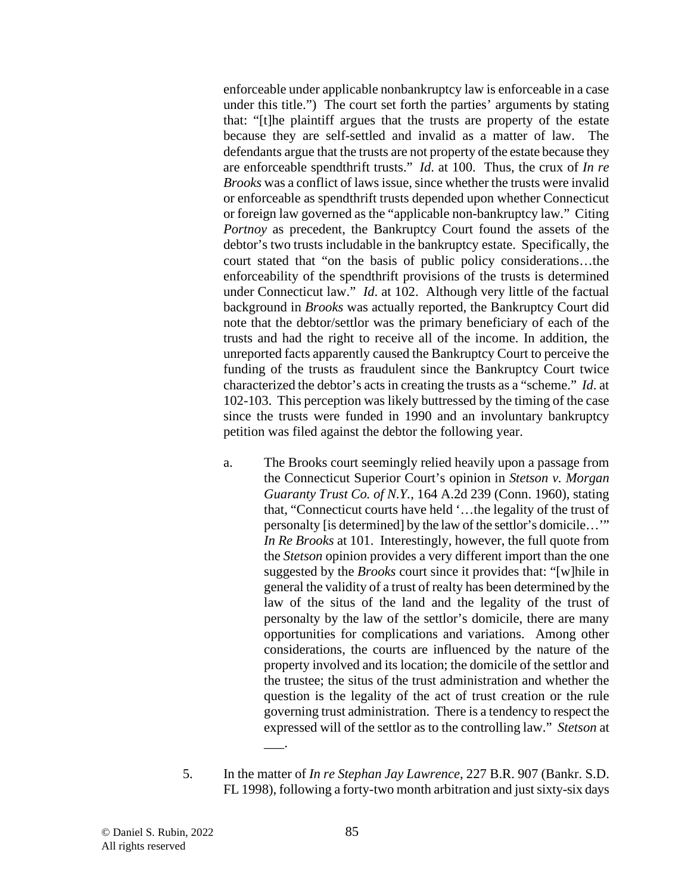enforceable under applicable nonbankruptcy law is enforceable in a case under this title.") The court set forth the parties' arguments by stating that: "[t]he plaintiff argues that the trusts are property of the estate because they are self-settled and invalid as a matter of law. The defendants argue that the trusts are not property of the estate because they are enforceable spendthrift trusts." *Id*. at 100. Thus, the crux of *In re Brooks* was a conflict of laws issue, since whether the trusts were invalid or enforceable as spendthrift trusts depended upon whether Connecticut or foreign law governed as the "applicable non-bankruptcy law." Citing Portnoy as precedent, the Bankruptcy Court found the assets of the debtor's two trusts includable in the bankruptcy estate. Specifically, the court stated that "on the basis of public policy considerations…the enforceability of the spendthrift provisions of the trusts is determined under Connecticut law." *Id.* at 102. Although very little of the factual background in *Brooks* was actually reported, the Bankruptcy Court did note that the debtor/settlor was the primary beneficiary of each of the trusts and had the right to receive all of the income. In addition, the unreported facts apparently caused the Bankruptcy Court to perceive the funding of the trusts as fraudulent since the Bankruptcy Court twice characterized the debtor's acts in creating the trusts as a "scheme." *Id*. at 102-103. This perception was likely buttressed by the timing of the case since the trusts were funded in 1990 and an involuntary bankruptcy petition was filed against the debtor the following year.

- a. The Brooks court seemingly relied heavily upon a passage from the Connecticut Superior Court's opinion in *Stetson v. Morgan Guaranty Trust Co. of N.Y.*, 164 A.2d 239 (Conn. 1960), stating that, "Connecticut courts have held '…the legality of the trust of personalty [is determined] by the law of the settlor's domicile…'" *In Re Brooks* at 101. Interestingly, however, the full quote from the *Stetson* opinion provides a very different import than the one suggested by the *Brooks* court since it provides that: "[w]hile in general the validity of a trust of realty has been determined by the law of the situs of the land and the legality of the trust of personalty by the law of the settlor's domicile, there are many opportunities for complications and variations. Among other considerations, the courts are influenced by the nature of the property involved and its location; the domicile of the settlor and the trustee; the situs of the trust administration and whether the question is the legality of the act of trust creation or the rule governing trust administration. There is a tendency to respect the expressed will of the settlor as to the controlling law." *Stetson* at  $\overline{\phantom{a}}$ .
- 5. In the matter of *In re Stephan Jay Lawrence*, 227 B.R. 907 (Bankr. S.D. FL 1998), following a forty-two month arbitration and just sixty-six days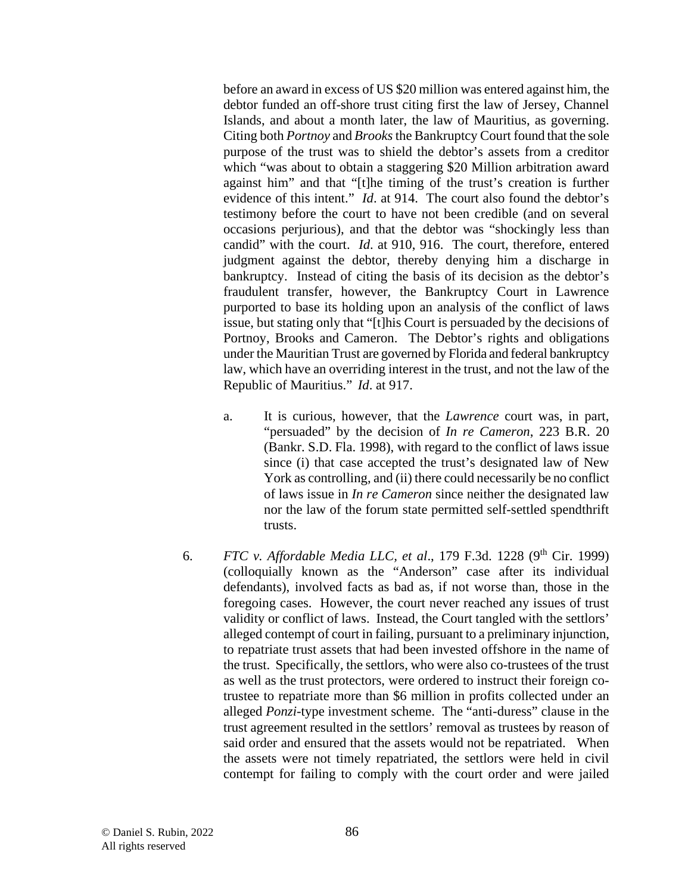before an award in excess of US \$20 million was entered against him, the debtor funded an off-shore trust citing first the law of Jersey, Channel Islands, and about a month later, the law of Mauritius, as governing. Citing both *Portnoy* and *Brooks*the Bankruptcy Court found that the sole purpose of the trust was to shield the debtor's assets from a creditor which "was about to obtain a staggering \$20 Million arbitration award against him" and that "[t]he timing of the trust's creation is further evidence of this intent." *Id*. at 914. The court also found the debtor's testimony before the court to have not been credible (and on several occasions perjurious), and that the debtor was "shockingly less than candid" with the court. *Id*. at 910, 916. The court, therefore, entered judgment against the debtor, thereby denying him a discharge in bankruptcy. Instead of citing the basis of its decision as the debtor's fraudulent transfer, however, the Bankruptcy Court in Lawrence purported to base its holding upon an analysis of the conflict of laws issue, but stating only that "[t]his Court is persuaded by the decisions of Portnoy, Brooks and Cameron. The Debtor's rights and obligations under the Mauritian Trust are governed by Florida and federal bankruptcy law, which have an overriding interest in the trust, and not the law of the Republic of Mauritius." *Id*. at 917.

- a. It is curious, however, that the *Lawrence* court was, in part, "persuaded" by the decision of *In re Cameron*, 223 B.R. 20 (Bankr. S.D. Fla. 1998), with regard to the conflict of laws issue since (i) that case accepted the trust's designated law of New York as controlling, and (ii) there could necessarily be no conflict of laws issue in *In re Cameron* since neither the designated law nor the law of the forum state permitted self-settled spendthrift trusts.
- 6. *FTC v. Affordable Media LLC, et al.*, 179 F.3d. 1228 (9<sup>th</sup> Cir. 1999) (colloquially known as the "Anderson" case after its individual defendants), involved facts as bad as, if not worse than, those in the foregoing cases. However, the court never reached any issues of trust validity or conflict of laws. Instead, the Court tangled with the settlors' alleged contempt of court in failing, pursuant to a preliminary injunction, to repatriate trust assets that had been invested offshore in the name of the trust. Specifically, the settlors, who were also co-trustees of the trust as well as the trust protectors, were ordered to instruct their foreign cotrustee to repatriate more than \$6 million in profits collected under an alleged *Ponzi*-type investment scheme. The "anti-duress" clause in the trust agreement resulted in the settlors' removal as trustees by reason of said order and ensured that the assets would not be repatriated. When the assets were not timely repatriated, the settlors were held in civil contempt for failing to comply with the court order and were jailed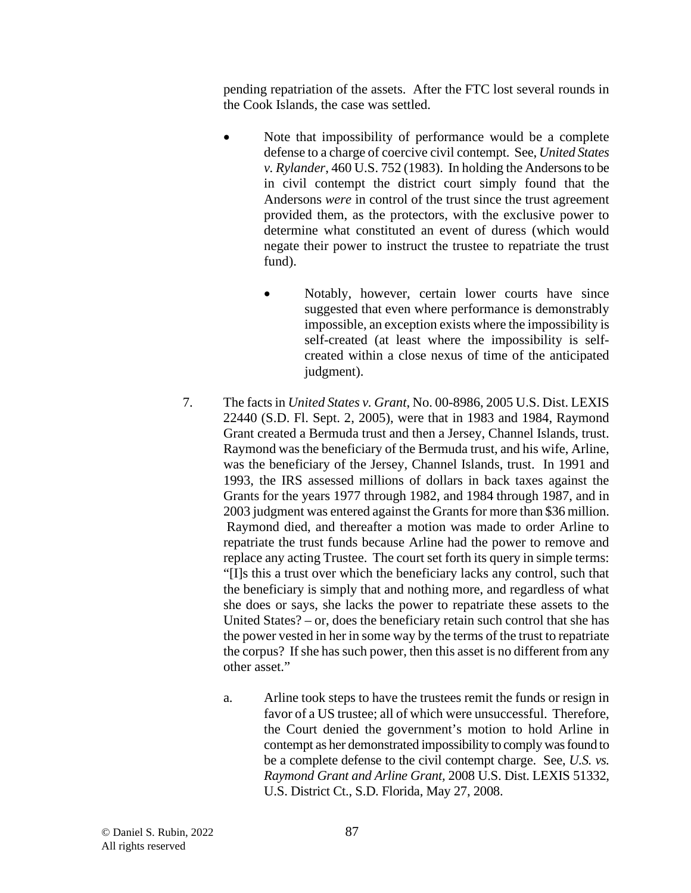pending repatriation of the assets. After the FTC lost several rounds in the Cook Islands, the case was settled.

- Note that impossibility of performance would be a complete defense to a charge of coercive civil contempt. See, *United States v. Rylander*, 460 U.S. 752 (1983). In holding the Andersons to be in civil contempt the district court simply found that the Andersons *were* in control of the trust since the trust agreement provided them, as the protectors, with the exclusive power to determine what constituted an event of duress (which would negate their power to instruct the trustee to repatriate the trust fund).
	- Notably, however, certain lower courts have since suggested that even where performance is demonstrably impossible, an exception exists where the impossibility is self-created (at least where the impossibility is selfcreated within a close nexus of time of the anticipated judgment).
- 7. The facts in *United States v. Grant*, No. 00-8986, 2005 U.S. Dist. LEXIS 22440 (S.D. Fl. Sept. 2, 2005), were that in 1983 and 1984, Raymond Grant created a Bermuda trust and then a Jersey, Channel Islands, trust. Raymond was the beneficiary of the Bermuda trust, and his wife, Arline, was the beneficiary of the Jersey, Channel Islands, trust. In 1991 and 1993, the IRS assessed millions of dollars in back taxes against the Grants for the years 1977 through 1982, and 1984 through 1987, and in 2003 judgment was entered against the Grants for more than \$36 million. Raymond died, and thereafter a motion was made to order Arline to repatriate the trust funds because Arline had the power to remove and replace any acting Trustee. The court set forth its query in simple terms: "[I]s this a trust over which the beneficiary lacks any control, such that the beneficiary is simply that and nothing more, and regardless of what she does or says, she lacks the power to repatriate these assets to the United States? – or, does the beneficiary retain such control that she has the power vested in her in some way by the terms of the trust to repatriate the corpus? If she has such power, then this asset is no different from any other asset."
	- a. Arline took steps to have the trustees remit the funds or resign in favor of a US trustee; all of which were unsuccessful. Therefore, the Court denied the government's motion to hold Arline in contempt as her demonstrated impossibility to comply was found to be a complete defense to the civil contempt charge. See, *U.S. vs. Raymond Grant and Arline Grant,* 2008 U.S. Dist. LEXIS 51332, U.S. District Ct., S.D. Florida, May 27, 2008.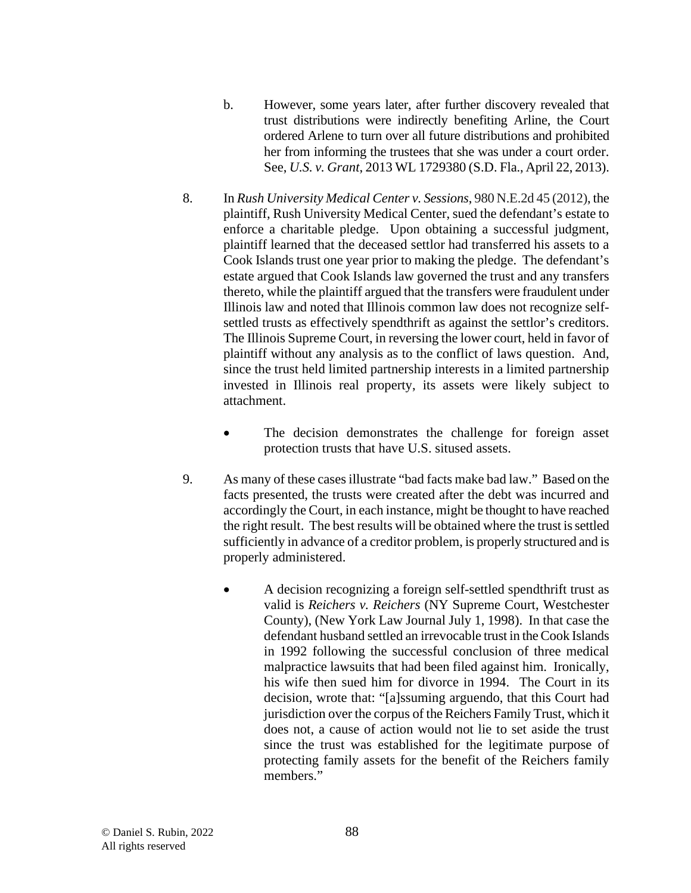- b. However, some years later, after further discovery revealed that trust distributions were indirectly benefiting Arline, the Court ordered Arlene to turn over all future distributions and prohibited her from informing the trustees that she was under a court order. See, *U.S. v. Grant*, 2013 WL 1729380 (S.D. Fla., April 22, 2013).
- 8. In *Rush University Medical Center v. Sessions*, 980 N.E.2d 45 (2012), the plaintiff, Rush University Medical Center, sued the defendant's estate to enforce a charitable pledge. Upon obtaining a successful judgment, plaintiff learned that the deceased settlor had transferred his assets to a Cook Islands trust one year prior to making the pledge. The defendant's estate argued that Cook Islands law governed the trust and any transfers thereto, while the plaintiff argued that the transfers were fraudulent under Illinois law and noted that Illinois common law does not recognize selfsettled trusts as effectively spendthrift as against the settlor's creditors. The Illinois Supreme Court, in reversing the lower court, held in favor of plaintiff without any analysis as to the conflict of laws question. And, since the trust held limited partnership interests in a limited partnership invested in Illinois real property, its assets were likely subject to attachment.
	- The decision demonstrates the challenge for foreign asset protection trusts that have U.S. sitused assets.
- 9. As many of these cases illustrate "bad facts make bad law." Based on the facts presented, the trusts were created after the debt was incurred and accordingly the Court, in each instance, might be thought to have reached the right result. The best results will be obtained where the trust is settled sufficiently in advance of a creditor problem, is properly structured and is properly administered.
	- A decision recognizing a foreign self-settled spendthrift trust as valid is *Reichers v. Reichers* (NY Supreme Court, Westchester County), (New York Law Journal July 1, 1998). In that case the defendant husband settled an irrevocable trust in the Cook Islands in 1992 following the successful conclusion of three medical malpractice lawsuits that had been filed against him. Ironically, his wife then sued him for divorce in 1994. The Court in its decision, wrote that: "[a]ssuming arguendo, that this Court had jurisdiction over the corpus of the Reichers Family Trust, which it does not, a cause of action would not lie to set aside the trust since the trust was established for the legitimate purpose of protecting family assets for the benefit of the Reichers family members."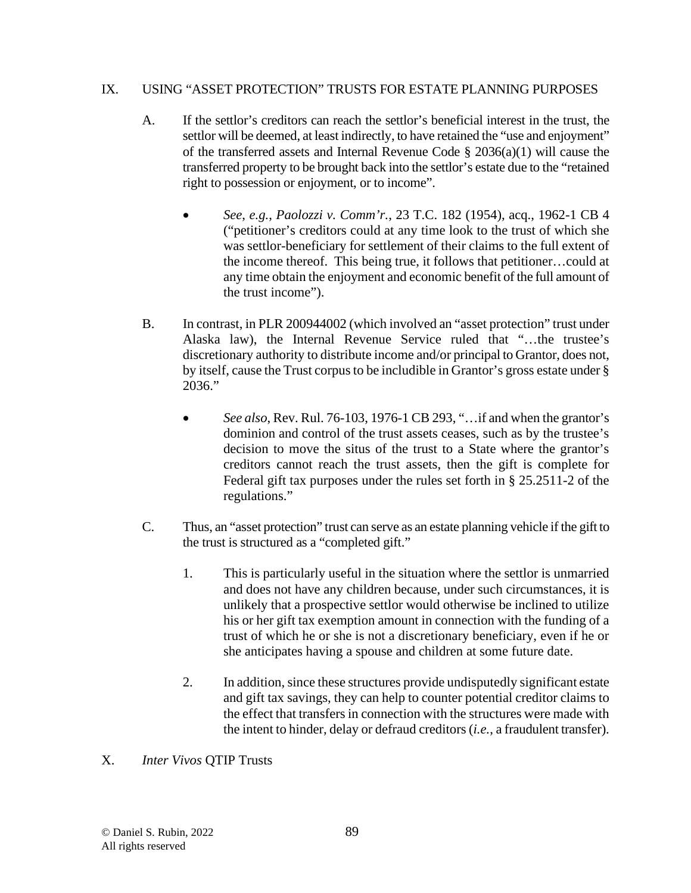## IX. USING "ASSET PROTECTION" TRUSTS FOR ESTATE PLANNING PURPOSES

- A. If the settlor's creditors can reach the settlor's beneficial interest in the trust, the settlor will be deemed, at least indirectly, to have retained the "use and enjoyment" of the transferred assets and Internal Revenue Code § 2036(a)(1) will cause the transferred property to be brought back into the settlor's estate due to the "retained right to possession or enjoyment, or to income".
	- *See*, *e.g.*, *Paolozzi v. Comm'r.*, 23 T.C. 182 (1954), acq., 1962-1 CB 4 ("petitioner's creditors could at any time look to the trust of which she was settlor-beneficiary for settlement of their claims to the full extent of the income thereof. This being true, it follows that petitioner…could at any time obtain the enjoyment and economic benefit of the full amount of the trust income").
- B. In contrast, in PLR 200944002 (which involved an "asset protection" trust under Alaska law), the Internal Revenue Service ruled that "…the trustee's discretionary authority to distribute income and/or principal to Grantor, does not, by itself, cause the Trust corpus to be includible in Grantor's gross estate under § 2036."
	- *See also*, Rev. Rul. 76-103, 1976-1 CB 293, "…if and when the grantor's dominion and control of the trust assets ceases, such as by the trustee's decision to move the situs of the trust to a State where the grantor's creditors cannot reach the trust assets, then the gift is complete for Federal gift tax purposes under the rules set forth in § 25.2511-2 of the regulations."
- C. Thus, an "asset protection" trust can serve as an estate planning vehicle if the gift to the trust is structured as a "completed gift."
	- 1. This is particularly useful in the situation where the settlor is unmarried and does not have any children because, under such circumstances, it is unlikely that a prospective settlor would otherwise be inclined to utilize his or her gift tax exemption amount in connection with the funding of a trust of which he or she is not a discretionary beneficiary, even if he or she anticipates having a spouse and children at some future date.
	- 2. In addition, since these structures provide undisputedly significant estate and gift tax savings, they can help to counter potential creditor claims to the effect that transfers in connection with the structures were made with the intent to hinder, delay or defraud creditors (*i.e.*, a fraudulent transfer).
- X. *Inter Vivos* QTIP Trusts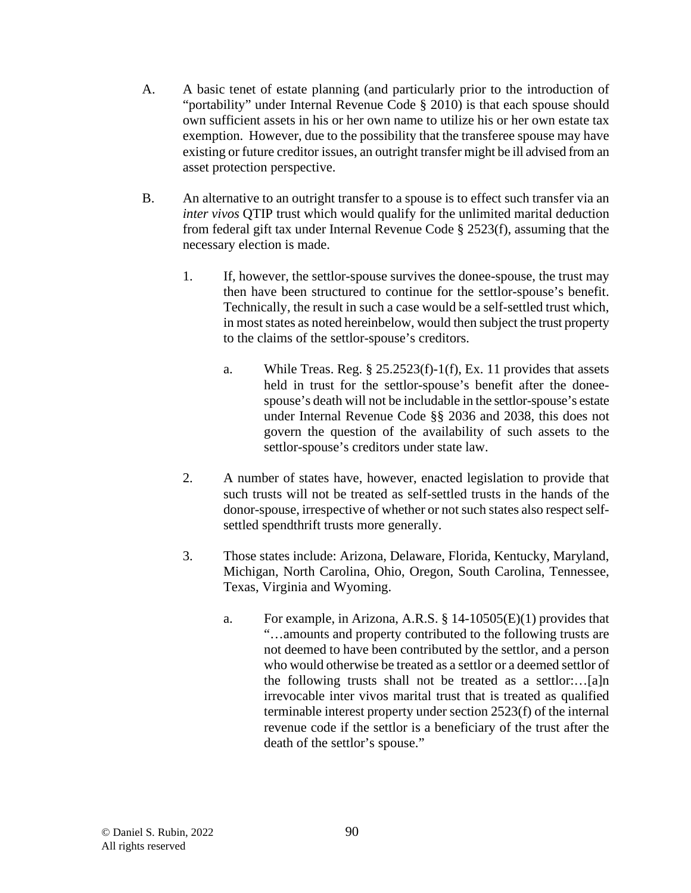- A. A basic tenet of estate planning (and particularly prior to the introduction of "portability" under Internal Revenue Code § 2010) is that each spouse should own sufficient assets in his or her own name to utilize his or her own estate tax exemption. However, due to the possibility that the transferee spouse may have existing or future creditor issues, an outright transfer might be ill advised from an asset protection perspective.
- B. An alternative to an outright transfer to a spouse is to effect such transfer via an *inter vivos* QTIP trust which would qualify for the unlimited marital deduction from federal gift tax under Internal Revenue Code § 2523(f), assuming that the necessary election is made.
	- 1. If, however, the settlor-spouse survives the donee-spouse, the trust may then have been structured to continue for the settlor-spouse's benefit. Technically, the result in such a case would be a self-settled trust which, in most states as noted hereinbelow, would then subject the trust property to the claims of the settlor-spouse's creditors.
		- a. While Treas. Reg.  $\S 25.2523(f)-1(f)$ , Ex. 11 provides that assets held in trust for the settlor-spouse's benefit after the doneespouse's death will not be includable in the settlor-spouse's estate under Internal Revenue Code §§ 2036 and 2038, this does not govern the question of the availability of such assets to the settlor-spouse's creditors under state law.
	- 2. A number of states have, however, enacted legislation to provide that such trusts will not be treated as self-settled trusts in the hands of the donor-spouse, irrespective of whether or not such states also respect selfsettled spendthrift trusts more generally.
	- 3. Those states include: Arizona, Delaware, Florida, Kentucky, Maryland, Michigan, North Carolina, Ohio, Oregon, South Carolina, Tennessee, Texas, Virginia and Wyoming.
		- a. For example, in Arizona, A.R.S. § 14-10505(E)(1) provides that "…amounts and property contributed to the following trusts are not deemed to have been contributed by the settlor, and a person who would otherwise be treated as a settlor or a deemed settlor of the following trusts shall not be treated as a settlor:…[a]n irrevocable inter vivos marital trust that is treated as qualified terminable interest property under section 2523(f) of the internal revenue code if the settlor is a beneficiary of the trust after the death of the settlor's spouse."